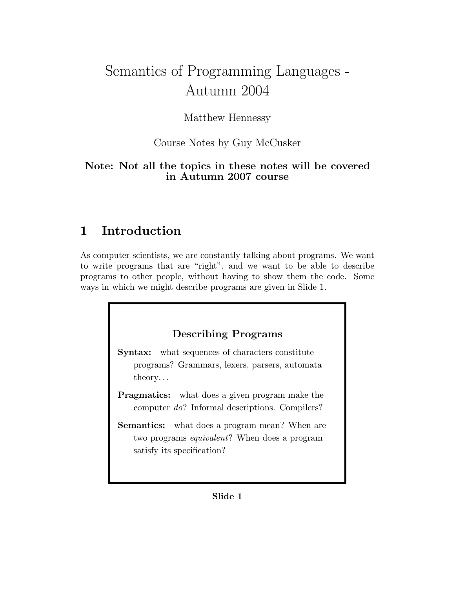# Semantics of Programming Languages - Autumn 2004

# Matthew Hennessy

# Course Notes by Guy McCusker

# Note: Not all the topics in these notes will be covered in Autumn 2007 course

# 1 Introduction

As computer scientists, we are constantly talking about programs. We want to write programs that are "right", and we want to be able to describe programs to other people, without having to show them the code. Some ways in which we might describe programs are given in Slide 1.

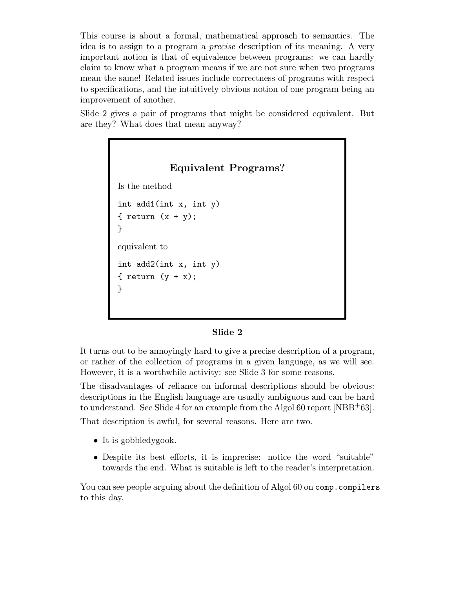This course is about a formal, mathematical approach to semantics. The idea is to assign to a program a precise description of its meaning. A very important notion is that of equivalence between programs: we can hardly claim to know what a program means if we are not sure when two programs mean the same! Related issues include correctness of programs with respect to specifications, and the intuitively obvious notion of one program being an improvement of another.

Slide 2 gives a pair of programs that might be considered equivalent. But are they? What does that mean anyway?



#### Slide 2

It turns out to be annoyingly hard to give a precise description of a program, or rather of the collection of programs in a given language, as we will see. However, it is a worthwhile activity: see Slide 3 for some reasons.

The disadvantages of reliance on informal descriptions should be obvious: descriptions in the English language are usually ambiguous and can be hard to understand. See Slide 4 for an example from the Algol 60 report [NBB<sup>+</sup>63].

That description is awful, for several reasons. Here are two.

- It is gobbledy gook.
- Despite its best efforts, it is imprecise: notice the word "suitable" towards the end. What is suitable is left to the reader's interpretation.

You can see people arguing about the definition of Algol 60 on comp.compilers to this day.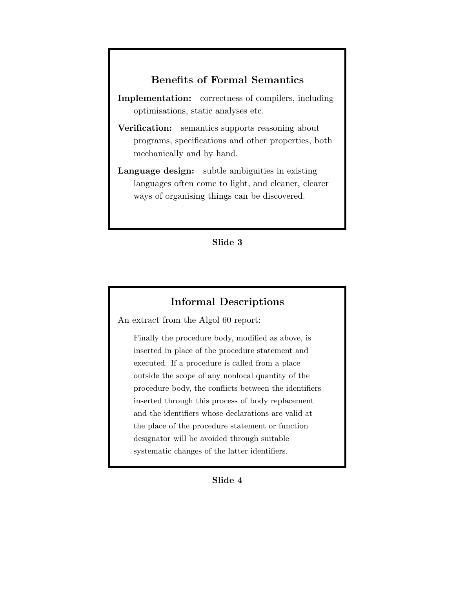## Benefits of Formal Semantics

Implementation: correctness of compilers, including optimisations, static analyses etc.

- Verification: semantics supports reasoning about programs, specifications and other properties, both mechanically and by hand.
- Language design: subtle ambiguities in existing languages often come to light, and cleaner, clearer ways of organising things can be discovered.

#### Slide 3

## Informal Descriptions

An extract from the Algol 60 report:

Finally the procedure body, modified as above, is inserted in place of the procedure statement and executed. If a procedure is called from a place outside the scope of any nonlocal quantity of the procedure body, the conflicts between the identifiers inserted through this process of body replacement and the identifiers whose declarations are valid at the place of the procedure statement or function designator will be avoided through suitable systematic changes of the latter identifiers.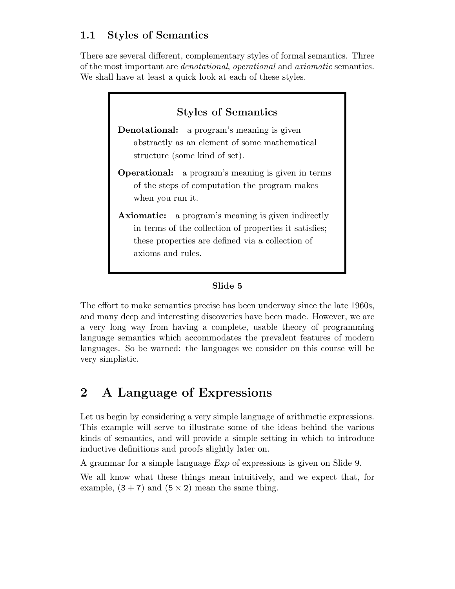# 1.1 Styles of Semantics

There are several different, complementary styles of formal semantics. Three of the most important are denotational, operational and axiomatic semantics. We shall have at least a quick look at each of these styles.



## Slide 5

The effort to make semantics precise has been underway since the late 1960s, and many deep and interesting discoveries have been made. However, we are a very long way from having a complete, usable theory of programming language semantics which accommodates the prevalent features of modern languages. So be warned: the languages we consider on this course will be very simplistic.

# 2 A Language of Expressions

Let us begin by considering a very simple language of arithmetic expressions. This example will serve to illustrate some of the ideas behind the various kinds of semantics, and will provide a simple setting in which to introduce inductive definitions and proofs slightly later on.

A grammar for a simple language Exp of expressions is given on Slide 9.

We all know what these things mean intuitively, and we expect that, for example,  $(3 + 7)$  and  $(5 \times 2)$  mean the same thing.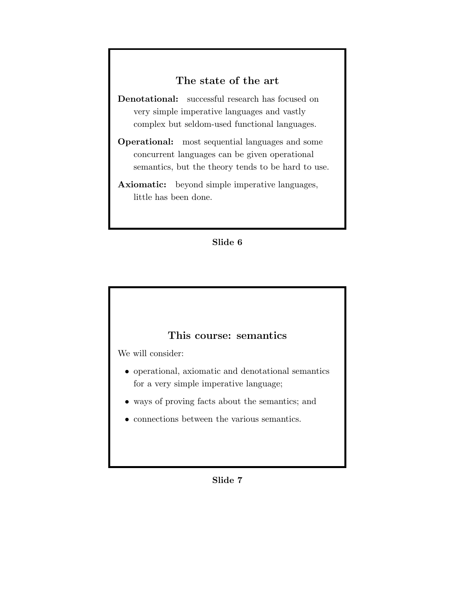# The state of the art

Denotational: successful research has focused on very simple imperative languages and vastly complex but seldom-used functional languages.

Operational: most sequential languages and some concurrent languages can be given operational semantics, but the theory tends to be hard to use.

Axiomatic: beyond simple imperative languages, little has been done.

#### Slide 6

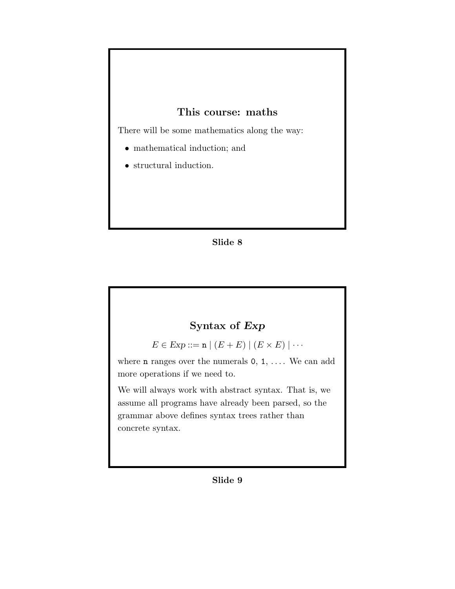# This course: maths

There will be some mathematics along the way:

- mathematical induction; and
- structural induction.

#### Slide 8

# Syntax of Exp

 $E \in \text{Exp} ::= \mathbf{n} \mid (E + E) \mid (E \times E) \mid \cdots$ 

where  $n$  ranges over the numerals  $0, 1, \ldots$ . We can add more operations if we need to.

We will always work with abstract syntax. That is, we assume all programs have already been parsed, so the grammar above defines syntax trees rather than concrete syntax.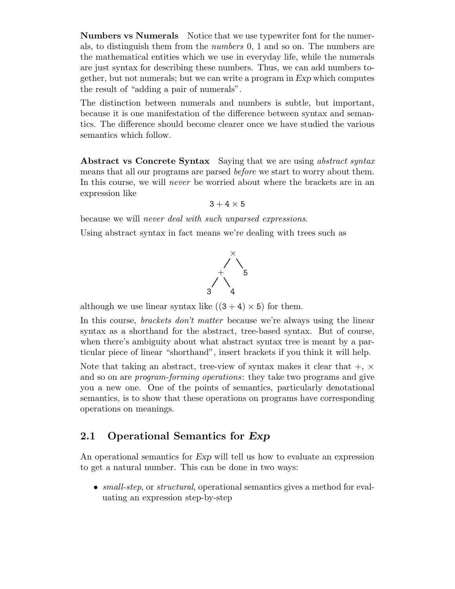Numbers vs Numerals Notice that we use typewriter font for the numerals, to distinguish them from the numbers 0, 1 and so on. The numbers are the mathematical entities which we use in everyday life, while the numerals are just syntax for describing these numbers. Thus, we can add numbers together, but not numerals; but we can write a program in Exp which computes the result of "adding a pair of numerals".

The distinction between numerals and numbers is subtle, but important, because it is one manifestation of the difference between syntax and semantics. The difference should become clearer once we have studied the various semantics which follow.

Abstract vs Concrete Syntax Saying that we are using *abstract syntax* means that all our programs are parsed before we start to worry about them. In this course, we will *never* be worried about where the brackets are in an expression like

```
3 + 4 \times 5
```
because we will never deal with such unparsed expressions.

Using abstract syntax in fact means we're dealing with trees such as



although we use linear syntax like  $((3 + 4) \times 5)$  for them.

In this course, *brackets don't matter* because we're always using the linear syntax as a shorthand for the abstract, tree-based syntax. But of course, when there's ambiguity about what abstract syntax tree is meant by a particular piece of linear "shorthand", insert brackets if you think it will help.

Note that taking an abstract, tree-view of syntax makes it clear that  $+$ ,  $\times$ and so on are program-forming operations: they take two programs and give you a new one. One of the points of semantics, particularly denotational semantics, is to show that these operations on programs have corresponding operations on meanings.

## 2.1 Operational Semantics for Exp

An operational semantics for Exp will tell us how to evaluate an expression to get a natural number. This can be done in two ways:

• small-step, or structural, operational semantics gives a method for evaluating an expression step-by-step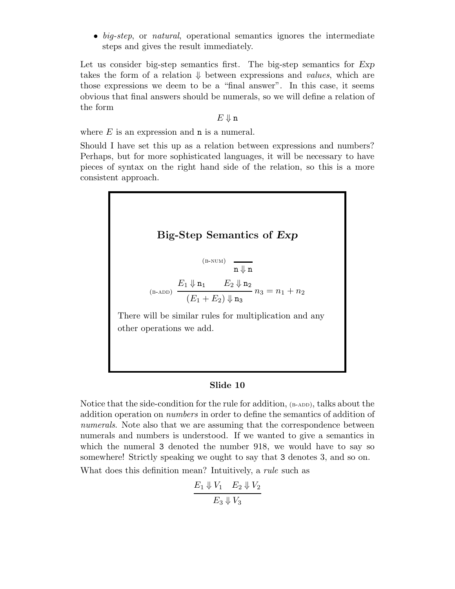• big-step, or natural, operational semantics ignores the intermediate steps and gives the result immediately.

Let us consider big-step semantics first. The big-step semantics for Exp takes the form of a relation  $\downarrow$  between expressions and *values*, which are those expressions we deem to be a "final answer". In this case, it seems obvious that final answers should be numerals, so we will define a relation of the form

#### $E \Downarrow n$

where  $E$  is an expression and  $\bf{n}$  is a numeral.

Should I have set this up as a relation between expressions and numbers? Perhaps, but for more sophisticated languages, it will be necessary to have pieces of syntax on the right hand side of the relation, so this is a more consistent approach.



#### Slide 10

Notice that the side-condition for the rule for addition,  $(\beta$ -ADD), talks about the addition operation on numbers in order to define the semantics of addition of numerals. Note also that we are assuming that the correspondence between numerals and numbers is understood. If we wanted to give a semantics in which the numeral 3 denoted the number 918, we would have to say so somewhere! Strictly speaking we ought to say that 3 denotes 3, and so on. What does this definition mean? Intuitively, a *rule* such as

$$
\frac{E_1 \Downarrow V_1 \quad E_2 \Downarrow V_2}{E_3 \Downarrow V_3}
$$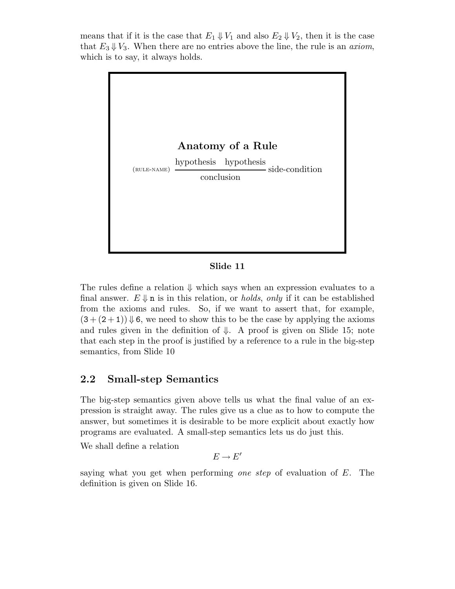means that if it is the case that  $E_1 \Downarrow V_1$  and also  $E_2 \Downarrow V_2$ , then it is the case that  $E_3 \downarrow V_3$ . When there are no entries above the line, the rule is an *axiom*, which is to say, it always holds.



Slide 11

The rules define a relation  $\Downarrow$  which says when an expression evaluates to a final answer.  $E \downarrow \mathbf{n}$  is in this relation, or *holds, only* if it can be established from the axioms and rules. So, if we want to assert that, for example,  $(3 + (2 + 1)) \Downarrow 6$ , we need to show this to be the case by applying the axioms and rules given in the definition of  $\downarrow$ . A proof is given on Slide 15; note that each step in the proof is justified by a reference to a rule in the big-step semantics, from Slide 10

## 2.2 Small-step Semantics

The big-step semantics given above tells us what the final value of an expression is straight away. The rules give us a clue as to how to compute the answer, but sometimes it is desirable to be more explicit about exactly how programs are evaluated. A small-step semantics lets us do just this.

We shall define a relation

 $E \rightarrow E'$ 

saying what you get when performing one step of evaluation of  $E$ . The definition is given on Slide 16.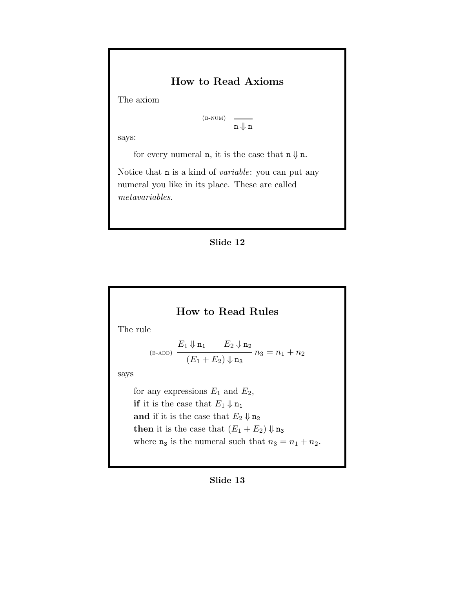# How to Read Axioms

The axiom

 $(B-NUM)$  $n \Downarrow n$ 

says:

for every numeral **n**, it is the case that  $n \Downarrow n$ .

Notice that n is a kind of variable: you can put any numeral you like in its place. These are called metavariables.

#### Slide 12

## How to Read Rules

The rule

$$
\begin{array}{c}\nE_1\Downarrow \mathbf{n_1} \qquad E_2\Downarrow \mathbf{n_2} \\
(E_1+E_2)\Downarrow \mathbf{n_3}\n\end{array} n_3=n_1+n_2
$$

says

for any expressions  $E_1$  and  $E_2$ , if it is the case that  $E_1 \Downarrow \mathbf{n}_1$ and if it is the case that  $E_2 \Downarrow \mathbf{n}_2$ then it is the case that  $(E_1 + E_2) \Downarrow n_3$ where  $n_3$  is the numeral such that  $n_3 = n_1 + n_2$ .

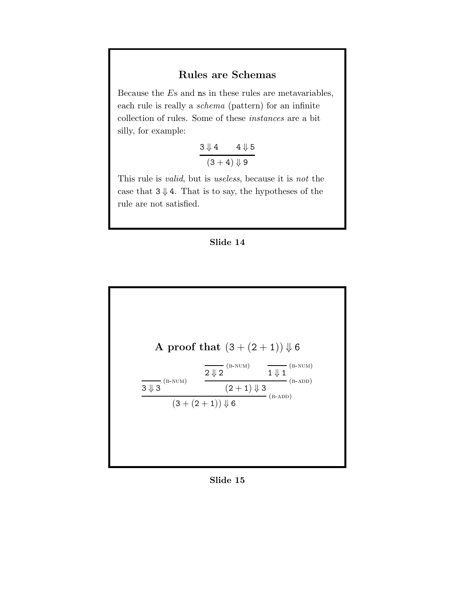# Rules are Schemas

Because the Es and ns in these rules are metavariables, each rule is really a schema (pattern) for an infinite collection of rules. Some of these instances are a bit silly, for example:

$$
\frac{3 \Downarrow 4 \qquad 4 \Downarrow 5}{(3+4) \Downarrow 9}
$$

This rule is valid, but is useless, because it is not the case that  $3 \downarrow 4$ . That is to say, the hypotheses of the rule are not satisfied.





Slide 15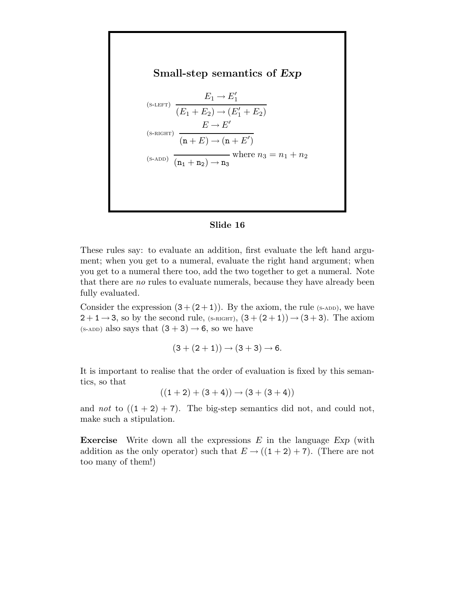

#### Slide 16

These rules say: to evaluate an addition, first evaluate the left hand argument; when you get to a numeral, evaluate the right hand argument; when you get to a numeral there too, add the two together to get a numeral. Note that there are no rules to evaluate numerals, because they have already been fully evaluated.

Consider the expression  $(3+(2+1))$ . By the axiom, the rule (s-ADD), we have  $2+1\rightarrow 3$ , so by the second rule, (s-RIGHT),  $(3+(2+1))\rightarrow (3+3)$ . The axiom (s-add) also says that  $(3 + 3) \rightarrow 6$ , so we have

$$
(3 + (2 + 1)) \rightarrow (3 + 3) \rightarrow 6.
$$

It is important to realise that the order of evaluation is fixed by this semantics, so that

$$
((1+2)+(3+4)) \rightarrow (3+(3+4))
$$

and not to  $((1 + 2) + 7)$ . The big-step semantics did not, and could not, make such a stipulation.

**Exercise** Write down all the expressions  $E$  in the language  $Exp$  (with addition as the only operator) such that  $E \rightarrow ((1+2)+7)$ . (There are not too many of them!)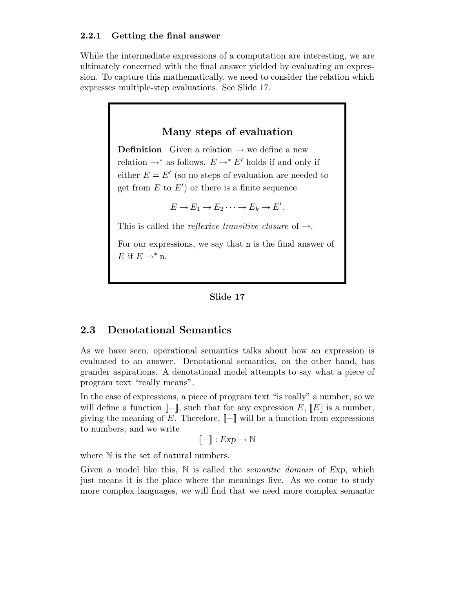#### 2.2.1 Getting the final answer

While the intermediate expressions of a computation are interesting, we are ultimately concerned with the final answer yielded by evaluating an expression. To capture this mathematically, we need to consider the relation which expresses multiple-step evaluations. See Slide 17.

## Many steps of evaluation

**Definition** Given a relation  $\rightarrow$  we define a new relation  $\rightarrow^*$  as follows.  $E \rightarrow^* E'$  holds if and only if either  $E = E'$  (so no steps of evaluation are needed to get from  $E$  to  $E'$ ) or there is a finite sequence

$$
E \to E_1 \to E_2 \cdots \to E_k \to E'.
$$

This is called the *reflexive transitive closure* of  $\rightarrow$ .

For our expressions, we say that n is the final answer of E if  $E \rightarrow^* n$ .

#### Slide 17

#### 2.3 Denotational Semantics

As we have seen, operational semantics talks about how an expression is evaluated to an answer. Denotational semantics, on the other hand, has grander aspirations. A denotational model attempts to say what a piece of program text "really means".

In the case of expressions, a piece of program text "is really" a number, so we will define a function  $[-\ ]$ , such that for any expression E,  $[E]$  is a number, giving the meaning of E. Therefore,  $\llbracket - \rrbracket$  will be a function from expressions to numbers, and we write

$$
[\![ - ]\!] : \mathit{Exp} \to \mathbb{N}
$$

where  $\mathbb N$  is the set of natural numbers.

Given a model like this,  $\mathbb N$  is called the *semantic domain* of Exp, which just means it is the place where the meanings live. As we come to study more complex languages, we will find that we need more complex semantic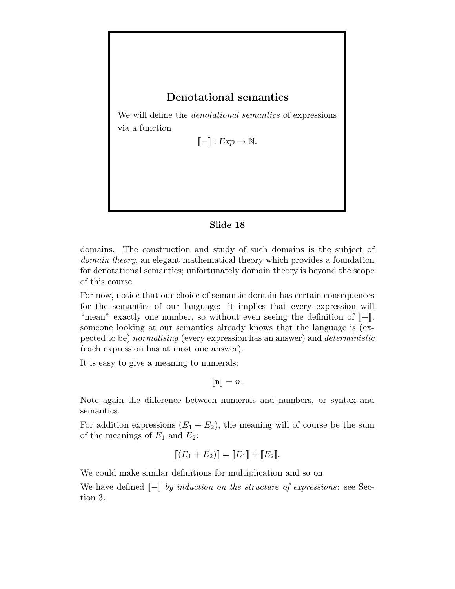## Denotational semantics

We will define the denotational semantics of expressions via a function

 $\llbracket - \rrbracket : Exp \to \mathbb{N}.$ 

#### Slide 18

domains. The construction and study of such domains is the subject of domain theory, an elegant mathematical theory which provides a foundation for denotational semantics; unfortunately domain theory is beyond the scope of this course.

For now, notice that our choice of semantic domain has certain consequences for the semantics of our language: it implies that every expression will "mean" exactly one number, so without even seeing the definition of  $\llbracket - \rrbracket$ , someone looking at our semantics already knows that the language is (expected to be) normalising (every expression has an answer) and deterministic (each expression has at most one answer).

It is easy to give a meaning to numerals:

 $[\![\mathbf{n}]\!] = n.$ 

Note again the difference between numerals and numbers, or syntax and semantics.

For addition expressions  $(E_1 + E_2)$ , the meaning will of course be the sum of the meanings of  $E_1$  and  $E_2$ :

$$
[[ (E_1 + E_2)]] = [[E_1]] + [[E_2]].
$$

We could make similar definitions for multiplication and so on.

We have defined  $\llbracket - \rrbracket$  by induction on the structure of expressions: see Section 3.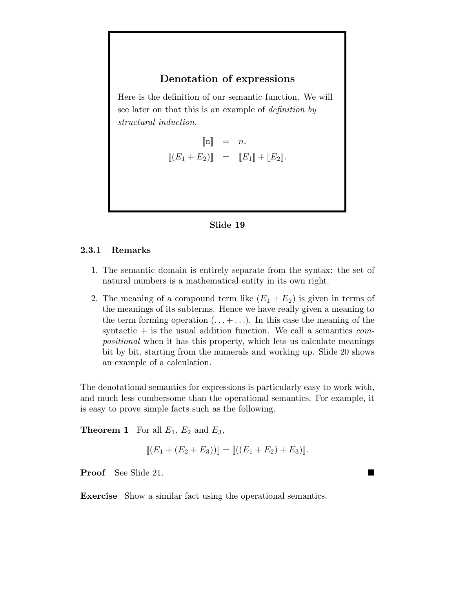## Denotation of expressions

Here is the definition of our semantic function. We will see later on that this is an example of definition by structural induction.

$$
\begin{aligned}\n[\![\mathbf{n}]\!] &= n. \\
[\![(E_1 + E_2)]\!] &= [\![E_1]\!] + [\![E_2]\!].\n\end{aligned}
$$



#### 2.3.1 Remarks

- 1. The semantic domain is entirely separate from the syntax: the set of natural numbers is a mathematical entity in its own right.
- 2. The meaning of a compound term like  $(E_1 + E_2)$  is given in terms of the meanings of its subterms. Hence we have really given a meaning to the term forming operation  $(\ldots + \ldots)$ . In this case the meaning of the syntactic  $+$  is the usual addition function. We call a semantics compositional when it has this property, which lets us calculate meanings bit by bit, starting from the numerals and working up. Slide 20 shows an example of a calculation.

The denotational semantics for expressions is particularly easy to work with, and much less cumbersome than the operational semantics. For example, it is easy to prove simple facts such as the following.

**Theorem 1** For all  $E_1$ ,  $E_2$  and  $E_3$ ,

$$
[[ (E_1 + (E_2 + E_3))]] = [[((E_1 + E_2) + E_3)]]
$$

Proof See Slide 21.

Exercise Show a similar fact using the operational semantics.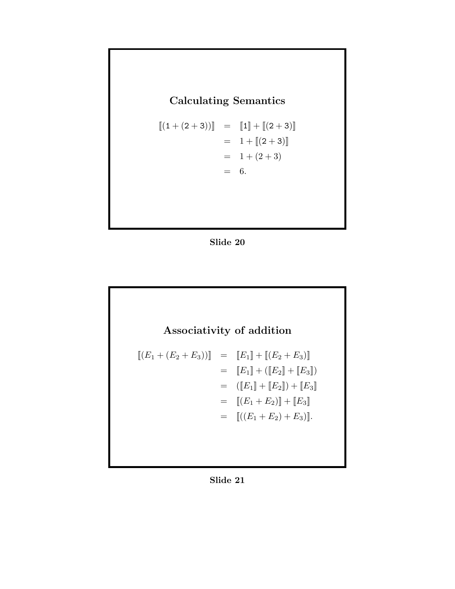# Calculating Semantics

$$
\begin{aligned}\n\left[ (1 + (2 + 3)) \right] &= \quad \left[ 1 \right] + \left[ (2 + 3) \right] \\
&= \quad 1 + \left[ (2 + 3) \right] \\
&= \quad 1 + (2 + 3) \\
&= \quad 6.\n\end{aligned}
$$





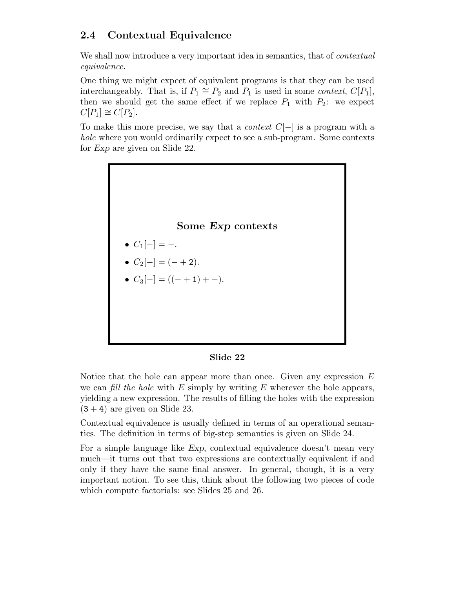# 2.4 Contextual Equivalence

We shall now introduce a very important idea in semantics, that of *contextual* equivalence.

One thing we might expect of equivalent programs is that they can be used interchangeably. That is, if  $P_1 \cong P_2$  and  $P_1$  is used in some *context*,  $C[P_1]$ , then we should get the same effect if we replace  $P_1$  with  $P_2$ : we expect  $C[P_1] \cong C[P_2].$ 

To make this more precise, we say that a *context*  $C[-]$  is a program with a hole where you would ordinarily expect to see a sub-program. Some contexts for Exp are given on Slide 22.



#### Slide 22

Notice that the hole can appear more than once. Given any expression  $E$ we can fill the hole with  $E$  simply by writing  $E$  wherever the hole appears, yielding a new expression. The results of filling the holes with the expression  $(3 + 4)$  are given on Slide 23.

Contextual equivalence is usually defined in terms of an operational semantics. The definition in terms of big-step semantics is given on Slide 24.

For a simple language like Exp, contextual equivalence doesn't mean very much—it turns out that two expressions are contextually equivalent if and only if they have the same final answer. In general, though, it is a very important notion. To see this, think about the following two pieces of code which compute factorials: see Slides 25 and 26.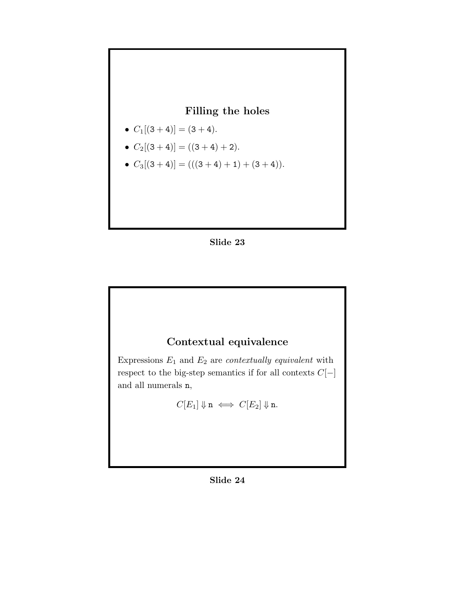

- $C_1[(3+4)] = (3+4)$ .
- $C_2[(3+4)] = ((3+4)+2)$ .
- $C_3[(3+4)] = (((3+4)+1) + (3+4)).$





Expressions  $E_1$  and  $E_2$  are *contextually equivalent* with respect to the big-step semantics if for all contexts  $C[-]$ and all numerals n,

$$
C[E_1]\Downarrow \textbf{n} \iff C[E_2]\Downarrow \textbf{n}.
$$

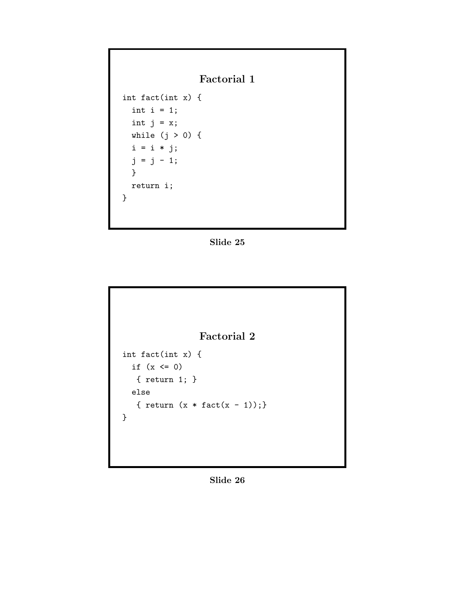Factorial 1

int fact(int x) { int  $i = 1$ ; int  $j = x;$ while  $(j > 0)$  {  $i = i * j;$  $j = j - 1;$ } return i; }

Slide 25



Slide 26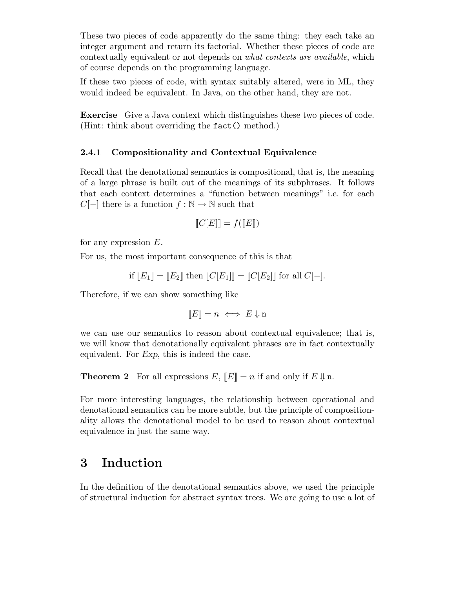These two pieces of code apparently do the same thing: they each take an integer argument and return its factorial. Whether these pieces of code are contextually equivalent or not depends on what contexts are available, which of course depends on the programming language.

If these two pieces of code, with syntax suitably altered, were in ML, they would indeed be equivalent. In Java, on the other hand, they are not.

Exercise Give a Java context which distinguishes these two pieces of code. (Hint: think about overriding the fact() method.)

#### 2.4.1 Compositionality and Contextual Equivalence

Recall that the denotational semantics is compositional, that is, the meaning of a large phrase is built out of the meanings of its subphrases. It follows that each context determines a "function between meanings" i.e. for each  $C[-]$  there is a function  $f : \mathbb{N} \to \mathbb{N}$  such that

$$
\llbracket C[E] \rrbracket = f(\llbracket E \rrbracket)
$$

for any expression E.

For us, the most important consequence of this is that

if 
$$
[E_1] = [E_2]
$$
 then  $[C[E_1]] = [C[E_2]]$  for all  $C[-]$ .

Therefore, if we can show something like

 $\llbracket E \rrbracket = n \iff E \Downarrow$ n

we can use our semantics to reason about contextual equivalence; that is, we will know that denotationally equivalent phrases are in fact contextually equivalent. For Exp, this is indeed the case.

**Theorem 2** For all expressions  $E$ ,  $\llbracket E \rrbracket = n$  if and only if  $E \Downarrow n$ .

For more interesting languages, the relationship between operational and denotational semantics can be more subtle, but the principle of compositionality allows the denotational model to be used to reason about contextual equivalence in just the same way.

# 3 Induction

In the definition of the denotational semantics above, we used the principle of structural induction for abstract syntax trees. We are going to use a lot of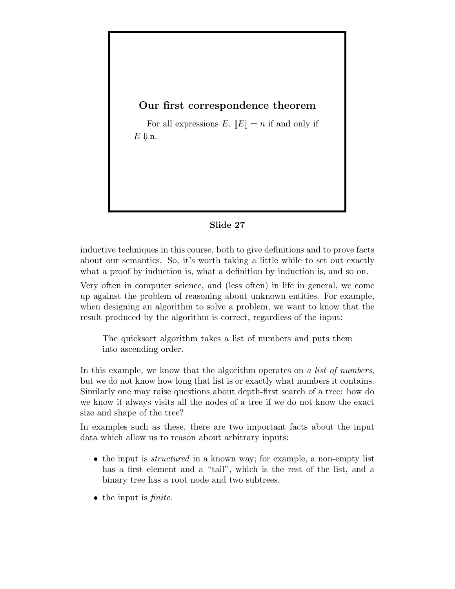## Our first correspondence theorem

For all expressions  $E, \llbracket E \rrbracket = n$  if and only if  $E \Downarrow n$ .

#### Slide 27

inductive techniques in this course, both to give definitions and to prove facts about our semantics. So, it's worth taking a little while to set out exactly what a proof by induction is, what a definition by induction is, and so on.

Very often in computer science, and (less often) in life in general, we come up against the problem of reasoning about unknown entities. For example, when designing an algorithm to solve a problem, we want to know that the result produced by the algorithm is correct, regardless of the input:

The quicksort algorithm takes a list of numbers and puts them into ascending order.

In this example, we know that the algorithm operates on a list of numbers, but we do not know how long that list is or exactly what numbers it contains. Similarly one may raise questions about depth-first search of a tree: how do we know it always visits all the nodes of a tree if we do not know the exact size and shape of the tree?

In examples such as these, there are two important facts about the input data which allow us to reason about arbitrary inputs:

- the input is *structured* in a known way; for example, a non-empty list has a first element and a "tail", which is the rest of the list, and a binary tree has a root node and two subtrees.
- $\bullet$  the input is *finite*.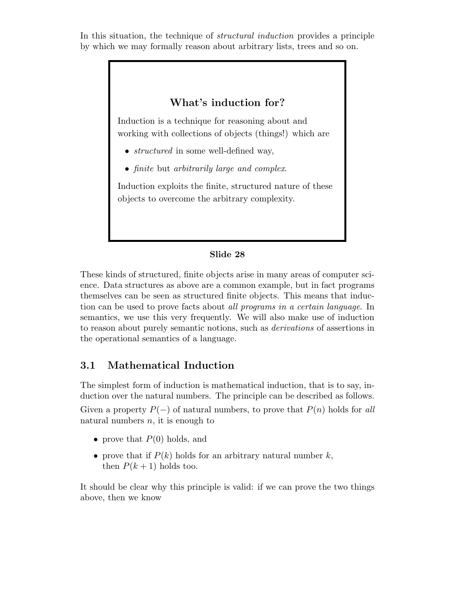In this situation, the technique of structural induction provides a principle by which we may formally reason about arbitrary lists, trees and so on.

# What's induction for? Induction is a technique for reasoning about and working with collections of objects (things!) which are • *structured* in some well-defined way, • finite but arbitrarily large and complex. Induction exploits the finite, structured nature of these objects to overcome the arbitrary complexity.

#### Slide 28

These kinds of structured, finite objects arise in many areas of computer science. Data structures as above are a common example, but in fact programs themselves can be seen as structured finite objects. This means that induction can be used to prove facts about all programs in a certain language. In semantics, we use this very frequently. We will also make use of induction to reason about purely semantic notions, such as derivations of assertions in the operational semantics of a language.

# 3.1 Mathematical Induction

The simplest form of induction is mathematical induction, that is to say, induction over the natural numbers. The principle can be described as follows. Given a property  $P(-)$  of natural numbers, to prove that  $P(n)$  holds for all natural numbers  $n$ , it is enough to

- prove that  $P(0)$  holds, and
- prove that if  $P(k)$  holds for an arbitrary natural number k, then  $P(k+1)$  holds too.

It should be clear why this principle is valid: if we can prove the two things above, then we know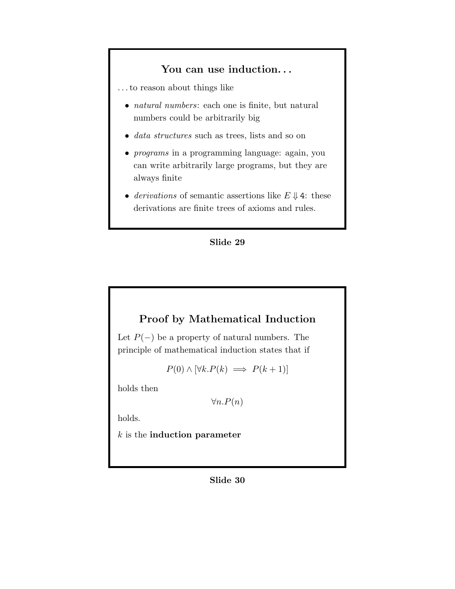### You can use induction...

. . . to reason about things like

- *natural numbers*: each one is finite, but natural numbers could be arbitrarily big
- *data structures* such as trees, lists and so on
- *programs* in a programming language: again, you can write arbitrarily large programs, but they are always finite
- derivations of semantic assertions like  $E \Downarrow 4$ : these derivations are finite trees of axioms and rules.



# Proof by Mathematical Induction

Let  $P(-)$  be a property of natural numbers. The principle of mathematical induction states that if

 $P(0) \wedge [\forall k.P(k) \implies P(k+1)]$ 

holds then

 $\forall n.P(n)$ 

holds.

 $k$  is the **induction parameter**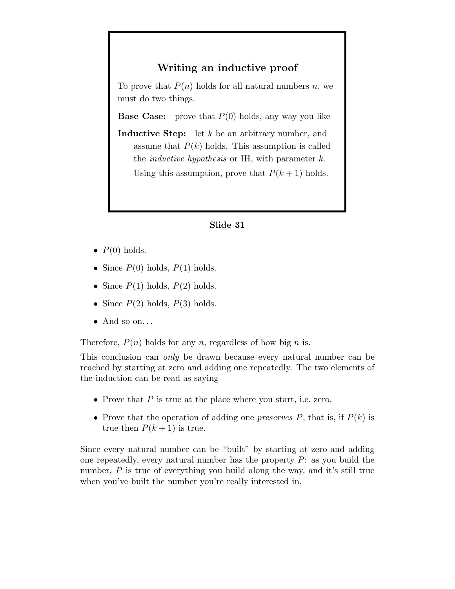## Writing an inductive proof

To prove that  $P(n)$  holds for all natural numbers n, we must do two things.

**Base Case:** prove that  $P(0)$  holds, any way you like

**Inductive Step:** let  $k$  be an arbitrary number, and assume that  $P(k)$  holds. This assumption is called the *inductive hypothesis* or IH, with parameter  $k$ . Using this assumption, prove that  $P(k+1)$  holds.

#### Slide 31

- $P(0)$  holds.
- Since  $P(0)$  holds,  $P(1)$  holds.
- Since  $P(1)$  holds,  $P(2)$  holds.
- Since  $P(2)$  holds,  $P(3)$  holds.
- $\bullet$  And so on...

Therefore,  $P(n)$  holds for any n, regardless of how big n is.

This conclusion can *only* be drawn because every natural number can be reached by starting at zero and adding one repeatedly. The two elements of the induction can be read as saying

- Prove that  $P$  is true at the place where you start, i.e. zero.
- Prove that the operation of adding one preserves  $P$ , that is, if  $P(k)$  is true then  $P(k + 1)$  is true.

Since every natural number can be "built" by starting at zero and adding one repeatedly, every natural number has the property  $P$ : as you build the number,  $P$  is true of everything you build along the way, and it's still true when you've built the number you're really interested in.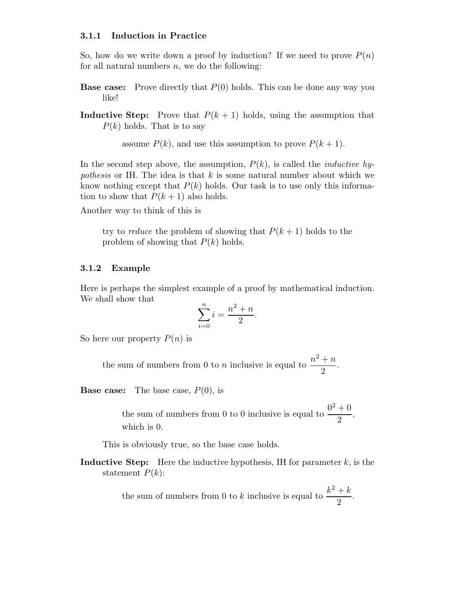#### 3.1.1 Induction in Practice

So, how do we write down a proof by induction? If we need to prove  $P(n)$ for all natural numbers  $n$ , we do the following:

**Base case:** Prove directly that  $P(0)$  holds. This can be done any way you like!

**Inductive Step:** Prove that  $P(k + 1)$  holds, using the assumption that  $P(k)$  holds. That is to say

assume  $P(k)$ , and use this assumption to prove  $P(k+1)$ .

In the second step above, the assumption,  $P(k)$ , is called the *inductive hy*pothesis or IH. The idea is that  $k$  is some natural number about which we know nothing except that  $P(k)$  holds. Our task is to use only this information to show that  $P(k+1)$  also holds.

Another way to think of this is

try to reduce the problem of showing that  $P(k+1)$  holds to the problem of showing that  $P(k)$  holds.

#### 3.1.2 Example

Here is perhaps the simplest example of a proof by mathematical induction. We shall show that

$$
\sum_{i=0}^{n} i = \frac{n^2 + n}{2}.
$$

So here our property  $P(n)$  is

the sum of numbers from 0 to *n* inclusive is equal to  $\frac{n^2 + n}{2}$  $\frac{1}{2}$ .

**Base case:** The base case,  $P(0)$ , is

the sum of numbers from 0 to 0 inclusive is equal to  $\frac{0^2 + 0}{2}$  $\frac{1}{2}$ , which is 0.

This is obviously true, so the base case holds.

**Inductive Step:** Here the inductive hypothesis, IH for parameter  $k$ , is the statement  $P(k)$ :

> the sum of numbers from 0 to k inclusive is equal to  $\frac{k^2 + k}{2}$  $\frac{1}{2}$ .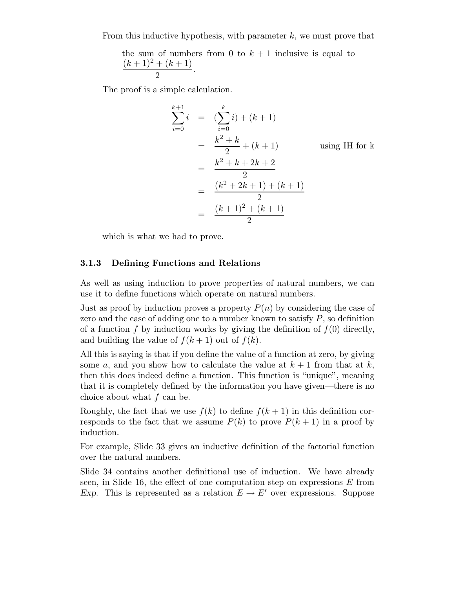From this inductive hypothesis, with parameter  $k$ , we must prove that

the sum of numbers from 0 to  $k + 1$  inclusive is equal to  $(k+1)^2 + (k+1)$  $\frac{1}{2}$ .

The proof is a simple calculation.

$$
\sum_{i=0}^{k+1} i = \left(\sum_{i=0}^{k} i\right) + (k+1)
$$
  
= 
$$
\frac{k^2 + k}{2} + (k+1)
$$
 using IH for k  
= 
$$
\frac{k^2 + k + 2k + 2}{2}
$$
  
= 
$$
\frac{(k^2 + 2k + 1) + (k+1)}{2}
$$
  
= 
$$
\frac{(k+1)^2 + (k+1)}{2}
$$

which is what we had to prove.

#### 3.1.3 Defining Functions and Relations

As well as using induction to prove properties of natural numbers, we can use it to define functions which operate on natural numbers.

Just as proof by induction proves a property  $P(n)$  by considering the case of zero and the case of adding one to a number known to satisfy  $P$ , so definition of a function f by induction works by giving the definition of  $f(0)$  directly, and building the value of  $f(k + 1)$  out of  $f(k)$ .

All this is saying is that if you define the value of a function at zero, by giving some a, and you show how to calculate the value at  $k + 1$  from that at k, then this does indeed define a function. This function is "unique", meaning that it is completely defined by the information you have given—there is no choice about what  $f$  can be.

Roughly, the fact that we use  $f(k)$  to define  $f(k+1)$  in this definition corresponds to the fact that we assume  $P(k)$  to prove  $P(k+1)$  in a proof by induction.

For example, Slide 33 gives an inductive definition of the factorial function over the natural numbers.

Slide 34 contains another definitional use of induction. We have already seen, in Slide 16, the effect of one computation step on expressions  $E$  from Exp. This is represented as a relation  $E \to E'$  over expressions. Suppose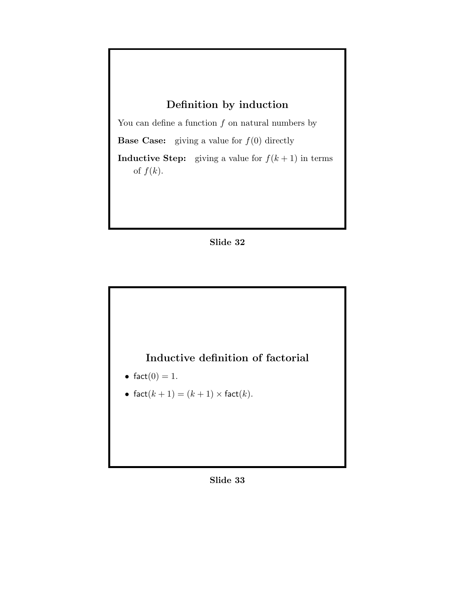# Definition by induction

You can define a function  $f$  on natural numbers by

**Base Case:** giving a value for  $f(0)$  directly

**Inductive Step:** giving a value for  $f(k + 1)$  in terms of  $f(k)$ .





- fact $(0) = 1$ .
- fact $(k + 1) = (k + 1) \times$  fact $(k)$ .

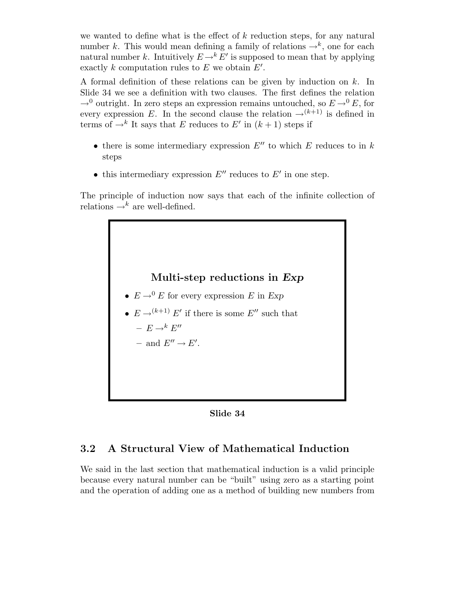we wanted to define what is the effect of  $k$  reduction steps, for any natural number k. This would mean defining a family of relations  $\rightarrow^{k}$ , one for each natural number k. Intuitively  $E \rightarrow^k E'$  is supposed to mean that by applying exactly k computation rules to E we obtain  $E'$ .

A formal definition of these relations can be given by induction on  $k$ . In Slide 34 we see a definition with two clauses. The first defines the relation  $\rightarrow$ <sup>0</sup> outright. In zero steps an expression remains untouched, so  $E \rightarrow$ <sup>0</sup> E, for every expression E. In the second clause the relation  $\rightarrow^{(k+1)}$  is defined in terms of  $\rightarrow^k$  It says that E reduces to E' in  $(k+1)$  steps if

- there is some intermediary expression  $E''$  to which E reduces to in k steps
- this intermediary expression  $E''$  reduces to  $E'$  in one step.

The principle of induction now says that each of the infinite collection of relations  $\rightarrow^k$  are well-defined.



- $E \rightarrow^0 E$  for every expression E in Exp
- $E \rightarrow (k+1) E'$  if there is some  $E''$  such that
	- $E \rightarrow^k E''$
	- and  $E'' \to E'$ .

Slide 34

## 3.2 A Structural View of Mathematical Induction

We said in the last section that mathematical induction is a valid principle because every natural number can be "built" using zero as a starting point and the operation of adding one as a method of building new numbers from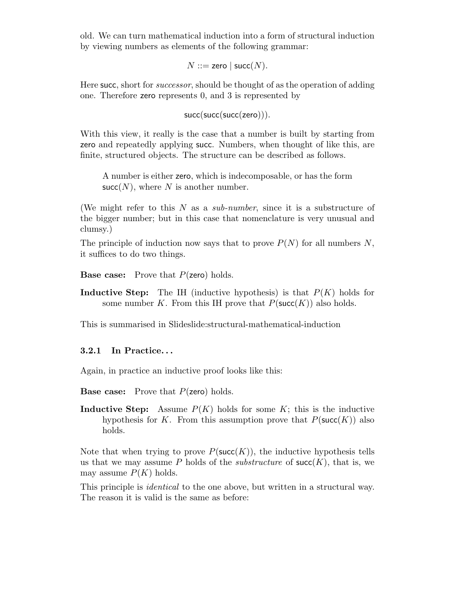old. We can turn mathematical induction into a form of structural induction by viewing numbers as elements of the following grammar:

 $N ::=$  zero | succ $(N)$ .

Here succ, short for *successor*, should be thought of as the operation of adding one. Therefore zero represents 0, and 3 is represented by

succ(succ(succ(zero))).

With this view, it really is the case that a number is built by starting from zero and repeatedly applying succ. Numbers, when thought of like this, are finite, structured objects. The structure can be described as follows.

A number is either zero, which is indecomposable, or has the form  $succ(N)$ , where N is another number.

(We might refer to this  $N$  as a *sub-number*, since it is a substructure of the bigger number; but in this case that nomenclature is very unusual and clumsy.)

The principle of induction now says that to prove  $P(N)$  for all numbers N, it suffices to do two things.

**Base case:** Prove that  $P$ (zero) holds.

**Inductive Step:** The IH (inductive hypothesis) is that  $P(K)$  holds for some number K. From this IH prove that  $P(\mathsf{succ}(K))$  also holds.

This is summarised in Slideslide:structural-mathematical-induction

#### 3.2.1 In Practice. . .

Again, in practice an inductive proof looks like this:

**Base case:** Prove that  $P$ (zero) holds.

**Inductive Step:** Assume  $P(K)$  holds for some K; this is the inductive hypothesis for K. From this assumption prove that  $P(\mathsf{succ}(K))$  also holds.

Note that when trying to prove  $P(\mathsf{succ}(K))$ , the inductive hypothesis tells us that we may assume P holds of the *substructure* of  $succ(K)$ , that is, we may assume  $P(K)$  holds.

This principle is *identical* to the one above, but written in a structural way. The reason it is valid is the same as before: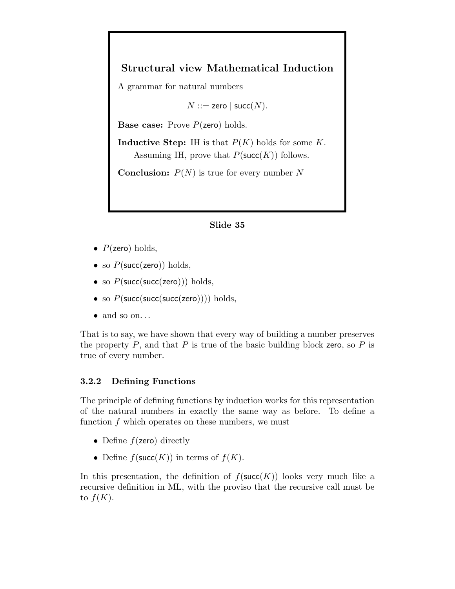# Structural view Mathematical Induction

A grammar for natural numbers

 $N ::=$  zero | succ $(N)$ .

**Base case:** Prove  $P$ (zero) holds.

**Inductive Step:** IH is that  $P(K)$  holds for some K. Assuming IH, prove that  $P(\mathsf{succ}(K))$  follows.

**Conclusion:**  $P(N)$  is true for every number N

#### Slide 35

- $P(\text{zero})$  holds,
- so  $P(\text{succ}(zero))$  holds,
- so  $P(\text{succ}(\text{succ}(\text{zero})))$  holds,
- so  $P(\text{succ}(\text{succ}(\text{succ}(\text{zero}))))$  holds,
- $\bullet$  and so on...

That is to say, we have shown that every way of building a number preserves the property  $P$ , and that  $P$  is true of the basic building block zero, so  $P$  is true of every number.

#### 3.2.2 Defining Functions

The principle of defining functions by induction works for this representation of the natural numbers in exactly the same way as before. To define a function  $f$  which operates on these numbers, we must

- Define  $f$ (zero) directly
- Define  $f(\text{succ}(K))$  in terms of  $f(K)$ .

In this presentation, the definition of  $f(\text{succ}(K))$  looks very much like a recursive definition in ML, with the proviso that the recursive call must be to  $f(K)$ .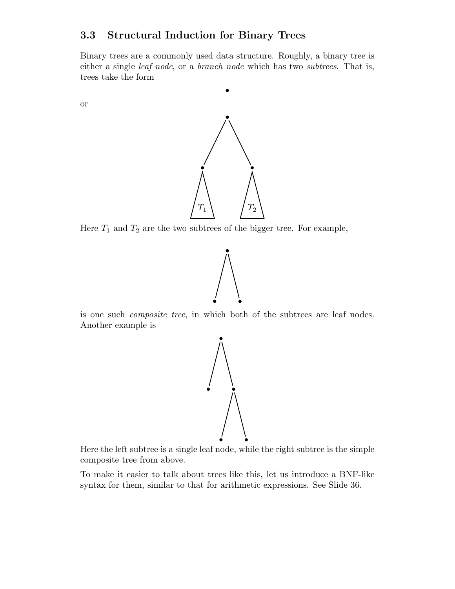## 3.3 Structural Induction for Binary Trees

Binary trees are a commonly used data structure. Roughly, a binary tree is either a single leaf node, or a branch node which has two subtrees. That is, trees take the form

or



Here  $T_1$  and  $T_2$  are the two subtrees of the bigger tree. For example,



is one such composite tree, in which both of the subtrees are leaf nodes. Another example is



Here the left subtree is a single leaf node, while the right subtree is the simple composite tree from above.

To make it easier to talk about trees like this, let us introduce a BNF-like syntax for them, similar to that for arithmetic expressions. See Slide 36.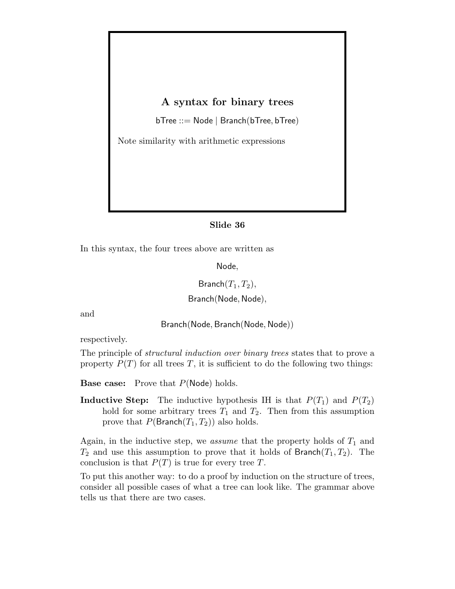## A syntax for binary trees

bTree ::= Node | Branch(bTree, bTree)

Note similarity with arithmetic expressions

### Slide 36

In this syntax, the four trees above are written as

Node,

Branch $(T_1, T_2)$ ,

Branch(Node, Node),

and

Branch(Node, Branch(Node, Node))

respectively.

The principle of *structural induction over binary trees* states that to prove a property  $P(T)$  for all trees T, it is sufficient to do the following two things:

**Base case:** Prove that  $P(\text{Node})$  holds.

**Inductive Step:** The inductive hypothesis IH is that  $P(T_1)$  and  $P(T_2)$ hold for some arbitrary trees  $T_1$  and  $T_2$ . Then from this assumption prove that  $P(\text{Branch}(T_1, T_2))$  also holds.

Again, in the inductive step, we *assume* that the property holds of  $T_1$  and  $T_2$  and use this assumption to prove that it holds of Branch $(T_1, T_2)$ . The conclusion is that  $P(T)$  is true for every tree T.

To put this another way: to do a proof by induction on the structure of trees, consider all possible cases of what a tree can look like. The grammar above tells us that there are two cases.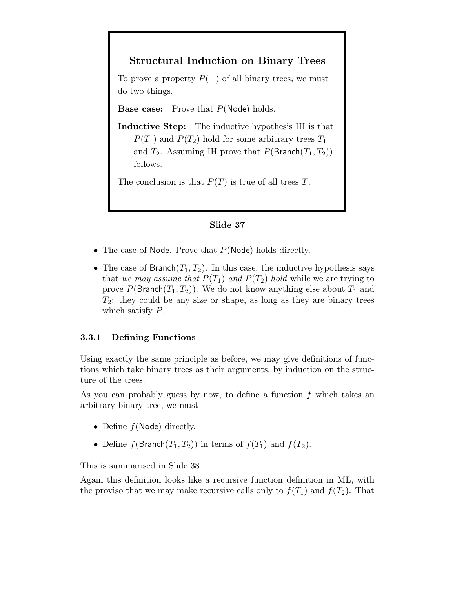# Structural Induction on Binary Trees

To prove a property  $P(-)$  of all binary trees, we must do two things.

**Base case:** Prove that  $P(\text{Node})$  holds.

Inductive Step: The inductive hypothesis IH is that  $P(T_1)$  and  $P(T_2)$  hold for some arbitrary trees  $T_1$ and  $T_2$ . Assuming IH prove that  $P(\text{Branch}(T_1, T_2))$ follows.

The conclusion is that  $P(T)$  is true of all trees T.

#### Slide 37

- The case of Node. Prove that  $P(\text{Node})$  holds directly.
- The case of Branch $(T_1, T_2)$ . In this case, the inductive hypothesis says that we may assume that  $P(T_1)$  and  $P(T_2)$  hold while we are trying to prove  $P(\text{Branch}(T_1, T_2))$ . We do not know anything else about  $T_1$  and  $T_2$ : they could be any size or shape, as long as they are binary trees which satisfy P.

#### 3.3.1 Defining Functions

Using exactly the same principle as before, we may give definitions of functions which take binary trees as their arguments, by induction on the structure of the trees.

As you can probably guess by now, to define a function  $f$  which takes an arbitrary binary tree, we must

- Define  $f(Node)$  directly.
- Define  $f(\text{Branch}(T_1, T_2))$  in terms of  $f(T_1)$  and  $f(T_2)$ .

This is summarised in Slide 38

Again this definition looks like a recursive function definition in ML, with the proviso that we may make recursive calls only to  $f(T_1)$  and  $f(T_2)$ . That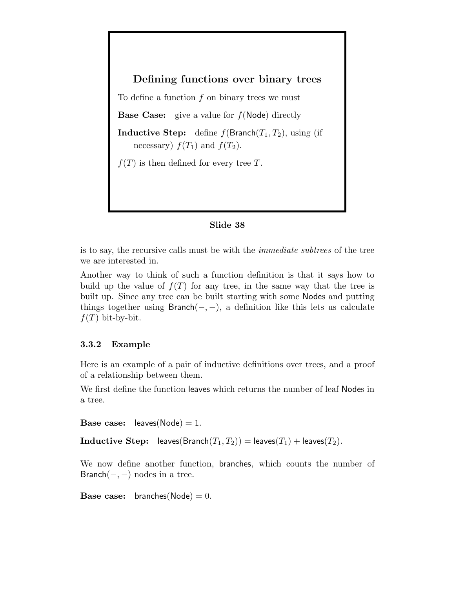Defining functions over binary trees

To define a function  $f$  on binary trees we must **Base Case:** give a value for  $f(Node)$  directly **Inductive Step:** define  $f(\text{Branch}(T_1, T_2))$ , using (if necessary)  $f(T_1)$  and  $f(T_2)$ .  $f(T)$  is then defined for every tree T.

#### Slide 38

is to say, the recursive calls must be with the immediate subtrees of the tree we are interested in.

Another way to think of such a function definition is that it says how to build up the value of  $f(T)$  for any tree, in the same way that the tree is built up. Since any tree can be built starting with some Nodes and putting things together using  $Branch(-, -)$ , a definition like this lets us calculate  $f(T)$  bit-by-bit.

#### 3.3.2 Example

Here is an example of a pair of inductive definitions over trees, and a proof of a relationship between them.

We first define the function leaves which returns the number of leaf Nodes in a tree.

**Base case:** leaves( $Node$ ) = 1.

**Inductive Step:** leaves(Branch $(T_1, T_2)$ ) = leaves( $T_1$ ) + leaves( $T_2$ ).

We now define another function, branches, which counts the number of Branch $(-, -)$  nodes in a tree.

**Base case:** branches( $Node$ ) = 0.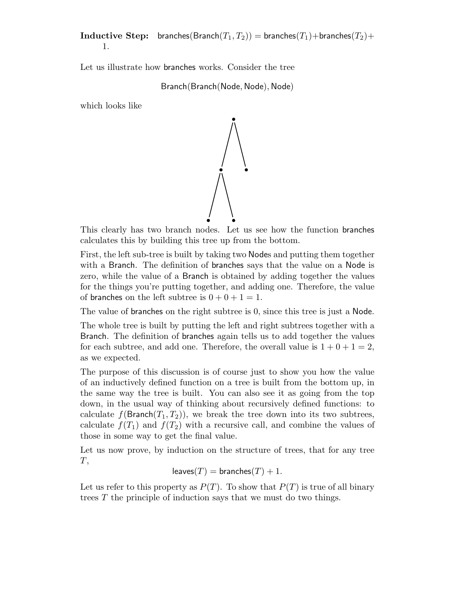**Inductive Step:** branches(Branch $(T_1, T_2)$ ) = branches( $T_1$ )+branches( $T_2$ )+ 1.

Let us illustrate how branches works. Consider the tree

Branch(Branch(Node, Node), Node)

which looks like



This clearly has two branch nodes. Let us see how the function branches calculates this by building this tree up from the bottom.

First, the left sub-tree is built by taking two Nodes and putting them together with a Branch. The definition of branches says that the value on a Node is zero, while the value of a Branch is obtained by adding together the values for the things you're putting together, and adding one. Therefore, the value of branches on the left subtree is  $0 + 0 + 1 = 1$ .

The value of branches on the right subtree is 0, since this tree is just a Node.

The whole tree is built by putting the left and right subtrees together with a Branch. The definition of branches again tells us to add together the values for each subtree, and add one. Therefore, the overall value is  $1 + 0 + 1 = 2$ , as we expected.

The purpose of this discussion is of course just to show you how the value of an inductively defined function on a tree is built from the bottom up, in the same way the tree is built. You can also see it as going from the top down, in the usual way of thinking about recursively defined functions: to calculate  $f(\text{Branch}(T_1, T_2))$ , we break the tree down into its two subtrees, calculate  $f(T_1)$  and  $f(T_2)$  with a recursive call, and combine the values of those in some way to get the final value.

Let us now prove, by induction on the structure of trees, that for any tree  $T,$ 

$$
leaves(T) = branches(T) + 1.
$$

Let us refer to this property as  $P(T)$ . To show that  $P(T)$  is true of all binary trees T the principle of induction says that we must do two things.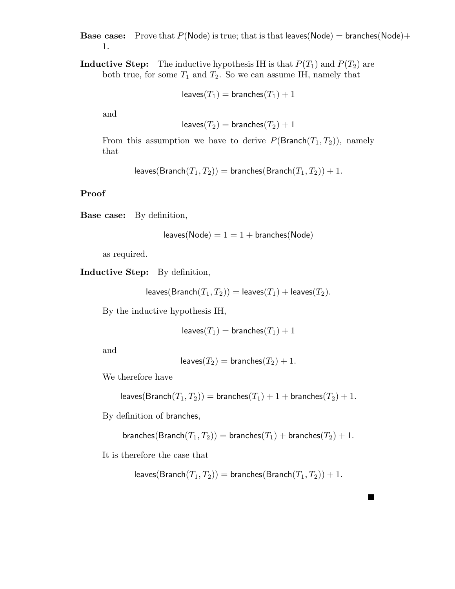**Base case:** Prove that  $P(\text{Node})$  is true; that is that leaves(Node) = branches(Node)+ 1.

**Inductive Step:** The inductive hypothesis IH is that  $P(T_1)$  and  $P(T_2)$  are both true, for some  $T_1$  and  $T_2$ . So we can assume IH, namely that

$$
\mathsf{leaves}(T_1) = \mathsf{branches}(T_1) + 1
$$

and

$$
\mathsf{leaves}(T_2) = \mathsf{branches}(T_2) + 1
$$

From this assumption we have to derive  $P(\text{Branch}(T_1, T_2))$ , namely that

leaves( $\text{Branch}(T_1, T_2)$ ) = branches( $\text{Branch}(T_1, T_2)$ ) + 1.

#### Proof

Base case: By definition,

$$
leaves(\text{Node}) = 1 = 1 + \text{branches}(\text{Node})
$$

as required.

Inductive Step: By definition,

leaves(Branch $(T_1, T_2)$ ) = leaves $(T_1)$  + leaves( $T_2$ ).

By the inductive hypothesis IH,

$$
\mathsf{leaves}(T_1) = \mathsf{branches}(T_1) + 1
$$

and

$$
\mathsf{leaves}(T_2) = \mathsf{branches}(T_2) + 1.
$$

We therefore have

leaves(Branch $(T_1, T_2)$ ) = branches $(T_1) + 1 +$  branches $(T_2) + 1$ .

By definition of branches,

$$
\text{branches}(\text{Branch}(T_1, T_2)) = \text{branches}(T_1) + \text{branches}(T_2) + 1.
$$

It is therefore the case that

leaves(Branch $(T_1, T_2)$ ) = branches(Branch $(T_1, T_2)$ ) + 1.

**.**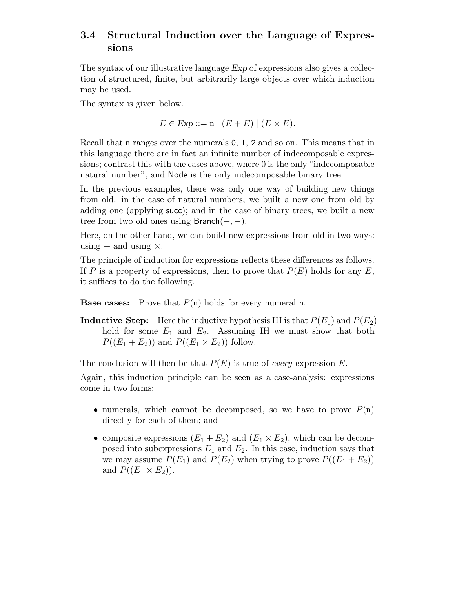## 3.4 Structural Induction over the Language of Expressions

The syntax of our illustrative language Exp of expressions also gives a collection of structured, finite, but arbitrarily large objects over which induction may be used.

The syntax is given below.

$$
E \in \text{Exp} ::= \mathbf{n} \mid (E + E) \mid (E \times E).
$$

Recall that n ranges over the numerals 0, 1, 2 and so on. This means that in this language there are in fact an infinite number of indecomposable expressions; contrast this with the cases above, where 0 is the only "indecomposable natural number", and Node is the only indecomposable binary tree.

In the previous examples, there was only one way of building new things from old: in the case of natural numbers, we built a new one from old by adding one (applying succ); and in the case of binary trees, we built a new tree from two old ones using Branch(−, −).

Here, on the other hand, we can build new expressions from old in two ways: using  $+$  and using  $\times$ .

The principle of induction for expressions reflects these differences as follows. If P is a property of expressions, then to prove that  $P(E)$  holds for any E, it suffices to do the following.

**Base cases:** Prove that  $P(n)$  holds for every numeral **n**.

**Inductive Step:** Here the inductive hypothesis IH is that  $P(E_1)$  and  $P(E_2)$ hold for some  $E_1$  and  $E_2$ . Assuming IH we must show that both  $P((E_1 + E_2))$  and  $P((E_1 \times E_2))$  follow.

The conclusion will then be that  $P(E)$  is true of *every* expression E.

Again, this induction principle can be seen as a case-analysis: expressions come in two forms:

- numerals, which cannot be decomposed, so we have to prove  $P(n)$ directly for each of them; and
- composite expressions  $(E_1 + E_2)$  and  $(E_1 \times E_2)$ , which can be decomposed into subexpressions  $E_1$  and  $E_2$ . In this case, induction says that we may assume  $P(E_1)$  and  $P(E_2)$  when trying to prove  $P((E_1 + E_2))$ and  $P((E_1 \times E_2))$ .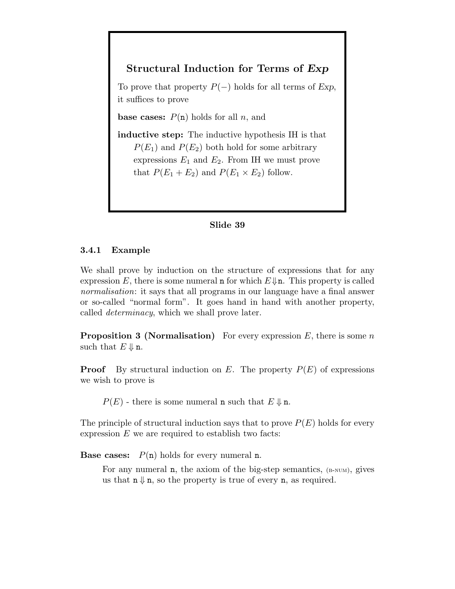## Structural Induction for Terms of Exp

To prove that property  $P(-)$  holds for all terms of Exp, it suffices to prove

**base cases:**  $P(n)$  holds for all n, and

inductive step: The inductive hypothesis IH is that  $P(E_1)$  and  $P(E_2)$  both hold for some arbitrary expressions  $E_1$  and  $E_2$ . From IH we must prove that  $P(E_1 + E_2)$  and  $P(E_1 \times E_2)$  follow.

### Slide 39

#### 3.4.1 Example

We shall prove by induction on the structure of expressions that for any expression E, there is some numeral **n** for which  $E \downarrow \mathbf{n}$ . This property is called normalisation: it says that all programs in our language have a final answer or so-called "normal form". It goes hand in hand with another property, called determinacy, which we shall prove later.

**Proposition 3 (Normalisation)** For every expression E, there is some n such that  $E \Downarrow n$ .

**Proof** By structural induction on E. The property  $P(E)$  of expressions we wish to prove is

 $P(E)$  - there is some numeral **n** such that  $E \Downarrow \mathbf{n}$ .

The principle of structural induction says that to prove  $P(E)$  holds for every expression  $E$  we are required to establish two facts:

**Base cases:**  $P(n)$  holds for every numeral **n**.

For any numeral  $n$ , the axiom of the big-step semantics,  $(B-NUM)$ , gives us that  $n \downarrow n$ , so the property is true of every n, as required.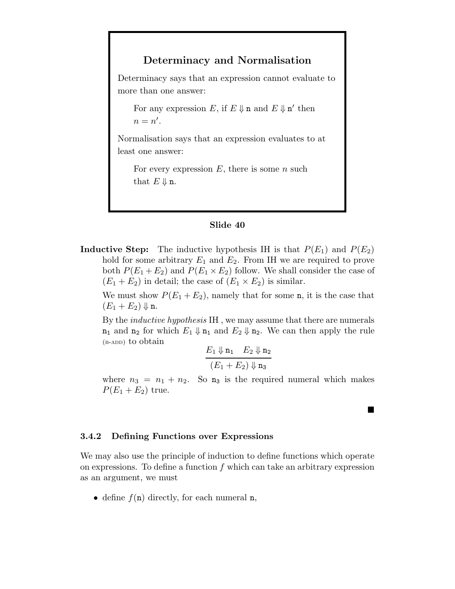## Determinacy and Normalisation

Determinacy says that an expression cannot evaluate to more than one answer:

For any expression E, if  $E \Downarrow$  n and  $E \Downarrow$  n' then  $n = n'.$ 

Normalisation says that an expression evaluates to at least one answer:

For every expression  $E$ , there is some  $n$  such that  $E \Downarrow n$ .

#### Slide 40

**Inductive Step:** The inductive hypothesis IH is that  $P(E_1)$  and  $P(E_2)$ hold for some arbitrary  $E_1$  and  $E_2$ . From IH we are required to prove both  $P(E_1 + E_2)$  and  $P(E_1 \times E_2)$  follow. We shall consider the case of  $(E_1 + E_2)$  in detail; the case of  $(E_1 \times E_2)$  is similar.

We must show  $P(E_1 + E_2)$ , namely that for some n, it is the case that  $(E_1 + E_2) \Downarrow$  n.

By the inductive hypothesis IH , we may assume that there are numerals  $n_1$  and  $n_2$  for which  $E_1 \Downarrow n_1$  and  $E_2 \Downarrow n_2$ . We can then apply the rule  $(B-ADD)$  to obtain

$$
\frac{E_1 \Downarrow \mathbf{n}_1 \quad E_2 \Downarrow \mathbf{n}_2}{(E_1 + E_2) \Downarrow \mathbf{n}_3}
$$

where  $n_3 = n_1 + n_2$ . So  $n_3$  is the required numeral which makes  $P(E_1 + E_2)$  true.

**.** 

#### 3.4.2 Defining Functions over Expressions

We may also use the principle of induction to define functions which operate on expressions. To define a function  $f$  which can take an arbitrary expression as an argument, we must

• define  $f(n)$  directly, for each numeral n,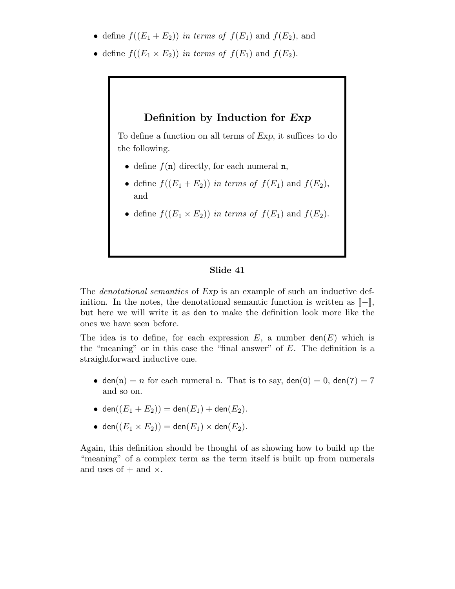- define  $f((E_1 + E_2))$  in terms of  $f(E_1)$  and  $f(E_2)$ , and
- define  $f((E_1 \times E_2))$  in terms of  $f(E_1)$  and  $f(E_2)$ .

### Definition by Induction for Exp

To define a function on all terms of Exp, it suffices to do the following.

- define  $f(n)$  directly, for each numeral n,
- define  $f((E_1 + E_2))$  in terms of  $f(E_1)$  and  $f(E_2)$ , and
- define  $f((E_1 \times E_2))$  in terms of  $f(E_1)$  and  $f(E_2)$ .

#### Slide 41

The *denotational semantics* of Exp is an example of such an inductive definition. In the notes, the denotational semantic function is written as  $\llbracket - \rrbracket$ , but here we will write it as den to make the definition look more like the ones we have seen before.

The idea is to define, for each expression E, a number  $den(E)$  which is the "meaning" or in this case the "final answer" of  $E$ . The definition is a straightforward inductive one.

- den(n) = n for each numeral n. That is to say, den(0) = 0, den(7) = 7 and so on.
- den $((E_1 + E_2)) =$  den $(E_1) +$  den $(E_2)$ .
- den $((E_1 \times E_2))$  = den $(E_1) \times$  den $(E_2)$ .

Again, this definition should be thought of as showing how to build up the "meaning" of a complex term as the term itself is built up from numerals and uses of  $+$  and  $\times$ .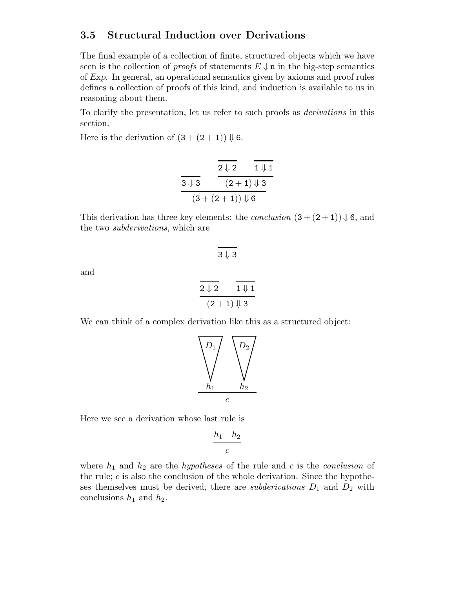### 3.5 Structural Induction over Derivations

The final example of a collection of finite, structured objects which we have seen is the collection of *proofs* of statements  $E \Downarrow$  n in the big-step semantics of Exp. In general, an operational semantics given by axioms and proof rules defines a collection of proofs of this kind, and induction is available to us in reasoning about them.

To clarify the presentation, let us refer to such proofs as derivations in this section.

Here is the derivation of  $(3 + (2 + 1)) \Downarrow 6$ .

|                  | $2 \downarrow 2$        | $1 \Downarrow 1$ |
|------------------|-------------------------|------------------|
| $3 \downarrow 3$ | $(2+1)\Downarrow 3$     |                  |
|                  | $(3+(2+1))\Downarrow 6$ |                  |

This derivation has three key elements: the *conclusion*  $(3 + (2 + 1)) \Downarrow 6$ , and the two subderivations, which are

 $3 \downarrow 3$ 

and

$$
\begin{array}{c|c}\n\overline{2 \Downarrow 2} & \overline{1 \Downarrow 1} \\
\hline\n(2+1) \Downarrow 3\n\end{array}
$$

We can think of a complex derivation like this as a structured object:



Here we see a derivation whose last rule is

$$
\frac{h_1 \quad h_2}{c}
$$

where  $h_1$  and  $h_2$  are the *hypotheses* of the rule and c is the *conclusion* of the rule;  $c$  is also the conclusion of the whole derivation. Since the hypotheses themselves must be derived, there are *subderivations*  $D_1$  and  $D_2$  with conclusions  $h_1$  and  $h_2$ .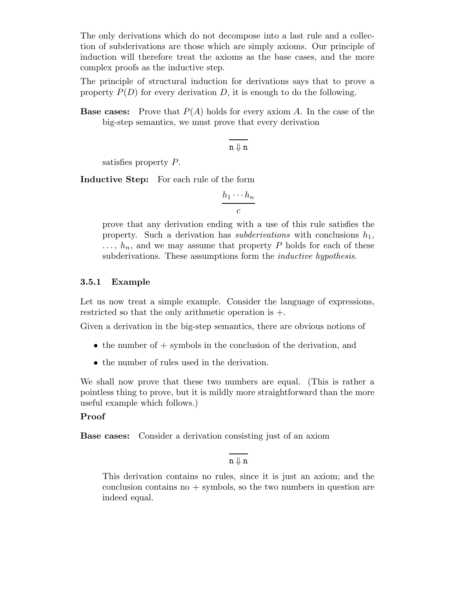The only derivations which do not decompose into a last rule and a collection of subderivations are those which are simply axioms. Our principle of induction will therefore treat the axioms as the base cases, and the more complex proofs as the inductive step.

The principle of structural induction for derivations says that to prove a property  $P(D)$  for every derivation D, it is enough to do the following.

**Base cases:** Prove that  $P(A)$  holds for every axiom A. In the case of the big-step semantics, we must prove that every derivation

$$
\overline{n\Downarrow n}
$$

satisfies property P.

Inductive Step: For each rule of the form

$$
\frac{h_1\cdots h_n}{c}
$$

prove that any derivation ending with a use of this rule satisfies the property. Such a derivation has *subderivations* with conclusions  $h_1$ ,  $\ldots, h_n$ , and we may assume that property P holds for each of these subderivations. These assumptions form the *inductive hypothesis*.

### 3.5.1 Example

Let us now treat a simple example. Consider the language of expressions, restricted so that the only arithmetic operation is +.

Given a derivation in the big-step semantics, there are obvious notions of

- the number of  $+$  symbols in the conclusion of the derivation, and
- the number of rules used in the derivation.

We shall now prove that these two numbers are equal. (This is rather a pointless thing to prove, but it is mildly more straightforward than the more useful example which follows.)

### Proof

Base cases: Consider a derivation consisting just of an axiom

 $n \downarrow n$ 

This derivation contains no rules, since it is just an axiom; and the conclusion contains no  $+$  symbols, so the two numbers in question are indeed equal.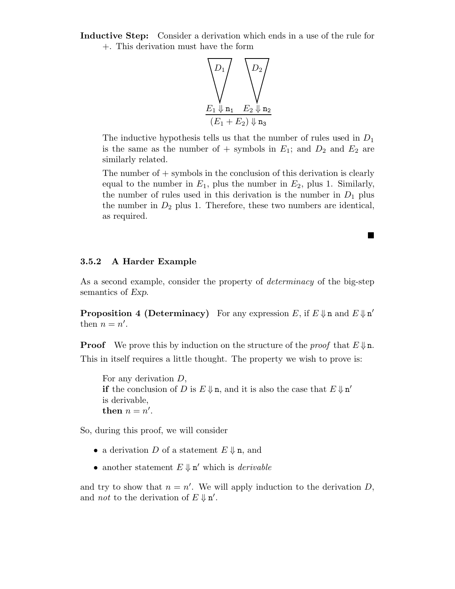Inductive Step: Consider a derivation which ends in a use of the rule for +. This derivation must have the form



The inductive hypothesis tells us that the number of rules used in  $D_1$ is the same as the number of + symbols in  $E_1$ ; and  $D_2$  and  $E_2$  are similarly related.

The number of  $+$  symbols in the conclusion of this derivation is clearly equal to the number in  $E_1$ , plus the number in  $E_2$ , plus 1. Similarly, the number of rules used in this derivation is the number in  $D_1$  plus the number in  $D_2$  plus 1. Therefore, these two numbers are identical, as required.

!

#### 3.5.2 A Harder Example

As a second example, consider the property of *determinacy* of the big-step semantics of Exp.

**Proposition 4 (Determinacy)** For any expression E, if  $E \psi$  n and  $E \psi$  n' then  $n = n'$ .

**Proof** We prove this by induction on the structure of the *proof* that  $E \Downarrow n$ . This in itself requires a little thought. The property we wish to prove is:

For any derivation D, if the conclusion of D is  $E \Downarrow n$ , and it is also the case that  $E \Downarrow n'$ is derivable, then  $n = n'$ .

So, during this proof, we will consider

- a derivation D of a statement  $E \Downarrow n$ , and
- another statement  $E \Downarrow n'$  which is *derivable*

and try to show that  $n = n'$ . We will apply induction to the derivation D, and *not* to the derivation of  $E \Downarrow n'$ .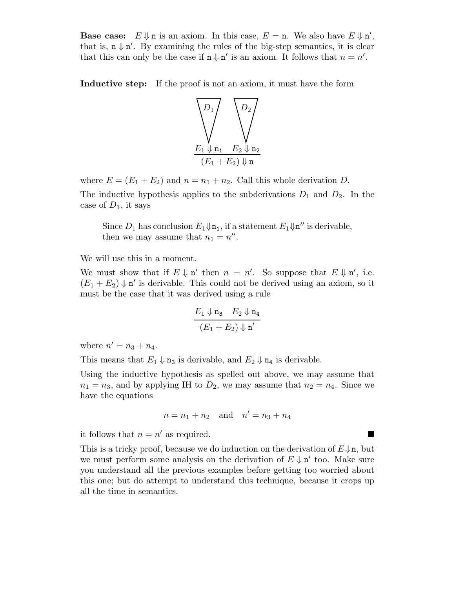**Base case:**  $E \Downarrow n$  is an axiom. In this case,  $E = n$ . We also have  $E \Downarrow n'$ , that is,  $n \Downarrow n'$ . By examining the rules of the big-step semantics, it is clear that this can only be the case if  $\mathbf{n} \Downarrow \mathbf{n}'$  is an axiom. It follows that  $n = n'$ .

Inductive step: If the proof is not an axiom, it must have the form



where  $E = (E_1 + E_2)$  and  $n = n_1 + n_2$ . Call this whole derivation D. The inductive hypothesis applies to the subderivations  $D_1$  and  $D_2$ . In the

Since  $D_1$  has conclusion  $E_1 \psi_{n_1}$ , if a statement  $E_1 \psi_{n'}$  is derivable, then we may assume that  $n_1 = n''$ .

We will use this in a moment.

We must show that if  $E \Downarrow n'$  then  $n = n'$ . So suppose that  $E \Downarrow n'$ , i.e.  $(E_1 + E_2) \Downarrow n'$  is derivable. This could not be derived using an axiom, so it must be the case that it was derived using a rule

$$
\frac{E_1 \Downarrow \mathbf{n}_3 \quad E_2 \Downarrow \mathbf{n}_4}{(E_1 + E_2) \Downarrow \mathbf{n}'}
$$

where  $n' = n_3 + n_4$ .

case of  $D_1$ , it says

This means that  $E_1 \Downarrow \mathbf{n}_3$  is derivable, and  $E_2 \Downarrow \mathbf{n}_4$  is derivable.

Using the inductive hypothesis as spelled out above, we may assume that  $n_1 = n_3$ , and by applying IH to  $D_2$ , we may assume that  $n_2 = n_4$ . Since we have the equations

$$
n = n_1 + n_2
$$
 and  $n' = n_3 + n_4$ 

it follows that  $n = n'$  as required.

This is a tricky proof, because we do induction on the derivation of  $E\psi_n$ , but we must perform some analysis on the derivation of  $E \downarrow n'$  too. Make sure you understand all the previous examples before getting too worried about this one; but do attempt to understand this technique, because it crops up all the time in semantics.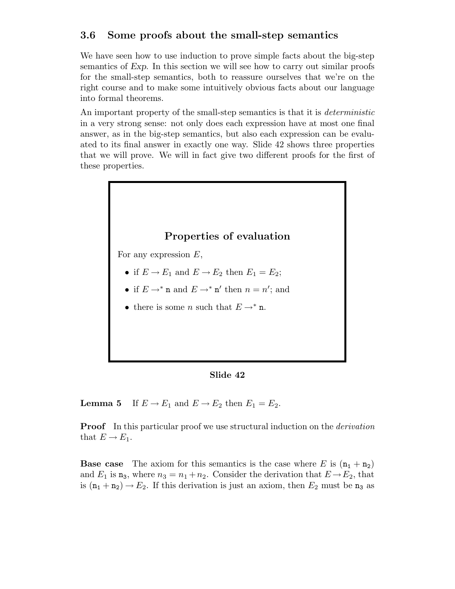## 3.6 Some proofs about the small-step semantics

We have seen how to use induction to prove simple facts about the big-step semantics of Exp. In this section we will see how to carry out similar proofs for the small-step semantics, both to reassure ourselves that we're on the right course and to make some intuitively obvious facts about our language into formal theorems.

An important property of the small-step semantics is that it is *deterministic* in a very strong sense: not only does each expression have at most one final answer, as in the big-step semantics, but also each expression can be evaluated to its final answer in exactly one way. Slide 42 shows three properties that we will prove. We will in fact give two different proofs for the first of these properties.



Slide 42

**Lemma 5** If  $E \to E_1$  and  $E \to E_2$  then  $E_1 = E_2$ .

**Proof** In this particular proof we use structural induction on the *derivation* that  $E \to E_1$ .

**Base case** The axiom for this semantics is the case where E is  $(n_1 + n_2)$ and  $E_1$  is  $\mathbf{n}_3$ , where  $n_3 = n_1 + n_2$ . Consider the derivation that  $E \to E_2$ , that is  $(n_1 + n_2) \rightarrow E_2$ . If this derivation is just an axiom, then  $E_2$  must be  $n_3$  as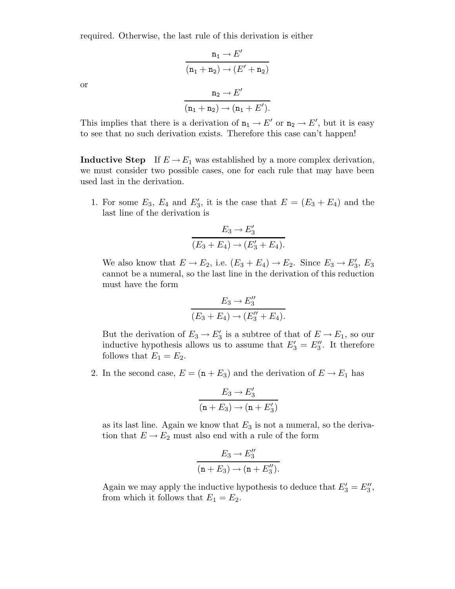required. Otherwise, the last rule of this derivation is either

$$
n_1 \rightarrow E'
$$
  
\n
$$
(n_1 + n_2) \rightarrow (E' + n_2)
$$
  
\n
$$
n_2 \rightarrow E'
$$
  
\n
$$
(n_1 + n_2) \rightarrow (n_1 + E').
$$

or

This implies that there is a derivation of  $n_1 \to E'$  or  $n_2 \to E'$ , but it is easy to see that no such derivation exists. Therefore this case can't happen!

**Inductive Step** If  $E \to E_1$  was established by a more complex derivation, we must consider two possible cases, one for each rule that may have been used last in the derivation.

1. For some  $E_3$ ,  $E_4$  and  $E'_3$ , it is the case that  $E = (E_3 + E_4)$  and the last line of the derivation is

$$
E_3 \to E'_3
$$
  

$$
(E_3 + E_4) \to (E'_3 + E_4).
$$

We also know that  $E \to E_2$ , i.e.  $(E_3 + E_4) \to E_2$ . Since  $E_3 \to E'_3$ ,  $E_3$ cannot be a numeral, so the last line in the derivation of this reduction must have the form

$$
E_3 \to E_3''
$$
  

$$
(E_3 + E_4) \to (E_3'' + E_4).
$$

But the derivation of  $E_3 \to E'_3$  is a subtree of that of  $E \to E_1$ , so our inductive hypothesis allows us to assume that  $E'_3 = E''_3$ . It therefore follows that  $E_1 = E_2$ .

2. In the second case,  $E = (\mathbf{n} + E_3)$  and the derivation of  $E \to E_1$  has

$$
\frac{E_3 \to E_3'}{(n + E_3) \to (n + E_3')}
$$

as its last line. Again we know that  $E_3$  is not a numeral, so the derivation that  $E \to E_2$  must also end with a rule of the form

$$
E_3 \to E_3''
$$
  
\n
$$
(n + E_3) \to (n + E_3'').
$$

Again we may apply the inductive hypothesis to deduce that  $E'_3 = E''_3$ , from which it follows that  $E_1 = E_2$ .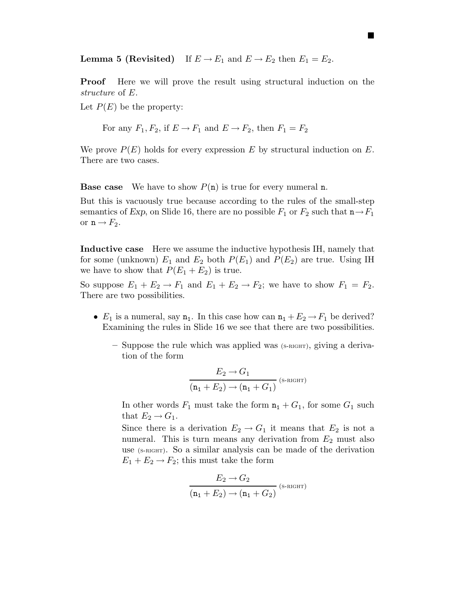**Lemma 5 (Revisited)** If  $E \to E_1$  and  $E \to E_2$  then  $E_1 = E_2$ .

**Proof** Here we will prove the result using structural induction on the structure of E.

**.** 

Let  $P(E)$  be the property:

For any  $F_1, F_2$ , if  $E \to F_1$  and  $E \to F_2$ , then  $F_1 = F_2$ 

We prove  $P(E)$  holds for every expression E by structural induction on E. There are two cases.

**Base case** We have to show  $P(n)$  is true for every numeral n.

But this is vacuously true because according to the rules of the small-step semantics of Exp, on Slide 16, there are no possible  $F_1$  or  $F_2$  such that  $n \rightarrow F_1$ or  $n \rightarrow F_2$ .

Inductive case Here we assume the inductive hypothesis IH, namely that for some (unknown)  $E_1$  and  $E_2$  both  $P(E_1)$  and  $P(E_2)$  are true. Using IH we have to show that  $P(E_1 + E_2)$  is true.

So suppose  $E_1 + E_2 \rightarrow F_1$  and  $E_1 + E_2 \rightarrow F_2$ ; we have to show  $F_1 = F_2$ . There are two possibilities.

- $E_1$  is a numeral, say  $\mathbf{n}_1$ . In this case how can  $\mathbf{n}_1 + E_2 \rightarrow F_1$  be derived? Examining the rules in Slide 16 we see that there are two possibilities.
	- Suppose the rule which was applied was (s-right), giving a derivation of the form

$$
\frac{E_2 \to G_1}{(\mathbf{n}_1 + E_2) \to (\mathbf{n}_1 + G_1)} \text{ (s-rij) (s-rij) (s-rij)}
$$

In other words  $F_1$  must take the form  $n_1 + G_1$ , for some  $G_1$  such that  $E_2 \rightarrow G_1$ .

Since there is a derivation  $E_2 \to G_1$  it means that  $E_2$  is not a numeral. This is turn means any derivation from  $E_2$  must also use (s-right). So a similar analysis can be made of the derivation  $E_1 + E_2 \rightarrow F_2$ ; this must take the form

$$
\frac{E_2 \to G_2}{(\mathbf{n}_1 + E_2) \to (\mathbf{n}_1 + G_2)} \text{ (s-right) }
$$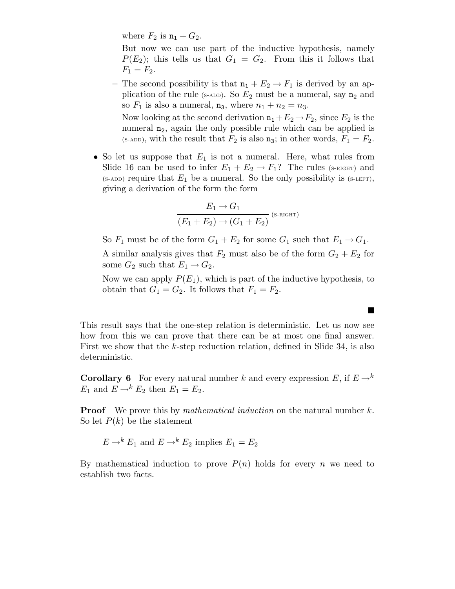where  $F_2$  is  $n_1 + G_2$ .

But now we can use part of the inductive hypothesis, namely  $P(E_2)$ ; this tells us that  $G_1 = G_2$ . From this it follows that  $F_1 = F_2.$ 

– The second possibility is that  $n_1 + E_2 \rightarrow F_1$  is derived by an application of the rule (s-ADD). So  $E_2$  must be a numeral, say  $n_2$  and so  $F_1$  is also a numeral,  $n_3$ , where  $n_1 + n_2 = n_3$ .

Now looking at the second derivation  $n_1+E_2\to F_2$ , since  $E_2$  is the numeral  $n_2$ , again the only possible rule which can be applied is (s-add), with the result that  $F_2$  is also  $\mathbf{n}_3$ ; in other words,  $F_1 = F_2$ .

• So let us suppose that  $E_1$  is not a numeral. Here, what rules from Slide 16 can be used to infer  $E_1 + E_2 \rightarrow F_1$ ? The rules (s-RIGHT) and  $(s-ADD)$  require that  $E_1$  be a numeral. So the only possibility is  $(s-LEFT)$ , giving a derivation of the form the form

$$
\frac{E_1 \rightarrow G_1}{(E_1 + E_2) \rightarrow (G_1 + E_2)}
$$
 (s- $ri$ ch

So  $F_1$  must be of the form  $G_1 + E_2$  for some  $G_1$  such that  $E_1 \rightarrow G_1$ . A similar analysis gives that  $F_2$  must also be of the form  $G_2 + E_2$  for some  $G_2$  such that  $E_1 \rightarrow G_2$ .

Now we can apply  $P(E_1)$ , which is part of the inductive hypothesis, to obtain that  $G_1 = G_2$ . It follows that  $F_1 = F_2$ .

**.** 

This result says that the one-step relation is deterministic. Let us now see how from this we can prove that there can be at most one final answer. First we show that the k-step reduction relation, defined in Slide 34, is also deterministic.

**Corollary 6** For every natural number k and every expression E, if  $E \rightarrow k$  $E_1$  and  $E \rightarrow^k E_2$  then  $E_1 = E_2$ .

**Proof** We prove this by *mathematical induction* on the natural number  $k$ . So let  $P(k)$  be the statement

$$
E \to^k E_1
$$
 and  $E \to^k E_2$  implies  $E_1 = E_2$ 

By mathematical induction to prove  $P(n)$  holds for every n we need to establish two facts.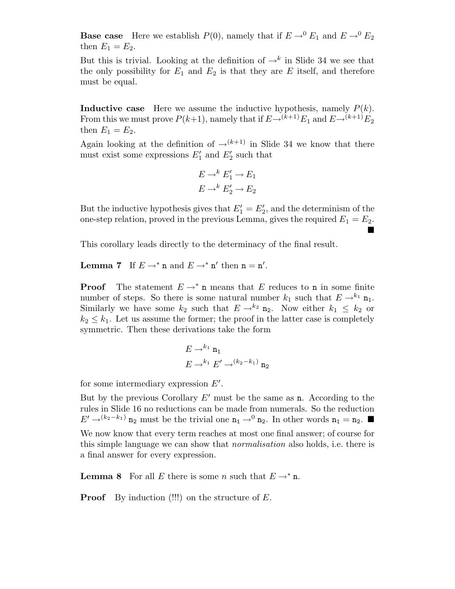**Base case** Here we establish  $P(0)$ , namely that if  $E \rightarrow 0^0 E_1$  and  $E \rightarrow 0^0 E_2$ then  $E_1 = E_2$ .

But this is trivial. Looking at the definition of  $\rightarrow^k$  in Slide 34 we see that the only possibility for  $E_1$  and  $E_2$  is that they are E itself, and therefore must be equal.

**Inductive case** Here we assume the inductive hypothesis, namely  $P(k)$ . From this we must prove  $P(k+1)$ , namely that if  $E\rightarrow (k+1)E_1$  and  $E\rightarrow (k+1)E_2$ then  $E_1 = E_2$ .

Again looking at the definition of  $\rightarrow^{(k+1)}$  in Slide 34 we know that there must exist some expressions  $E'_1$  and  $E'_2$  such that

$$
E \to^k E'_1 \to E_1
$$
  

$$
E \to^k E'_2 \to E_2
$$

But the inductive hypothesis gives that  $E'_1 = E'_2$ , and the determinism of the one-step relation, proved in the previous Lemma, gives the required  $E_1 = E_2$ . **.** 

This corollary leads directly to the determinacy of the final result.

**Lemma 7** If  $E \to^* \mathbf{n}$  and  $E \to^* \mathbf{n}'$  then  $\mathbf{n} = \mathbf{n}'$ .

**Proof** The statement  $E \rightarrow^* n$  means that E reduces to n in some finite number of steps. So there is some natural number  $k_1$  such that  $E \rightarrow^{k_1} \mathbf{n}_1$ . Similarly we have some  $k_2$  such that  $E \to^{k_2} \mathbf{n}_2$ . Now either  $k_1 \leq k_2$  or  $k_2 \leq k_1$ . Let us assume the former; the proof in the latter case is completely symmetric. Then these derivations take the form

$$
E \to^{k_1} \mathfrak{n}_1
$$
  

$$
E \to^{k_1} E' \to^{(k_2 - k_1)} \mathfrak{n}_2
$$

for some intermediary expression  $E'$ .

But by the previous Corollary  $E'$  must be the same as n. According to the rules in Slide 16 no reductions can be made from numerals. So the reduction  $E' \rightarrow^{(k_2-k_1)}$  n<sub>2</sub> must be the trivial one  $n_1 \rightarrow^0 n_2$ . In other words  $n_1 = n_2$ .

We now know that every term reaches at most one final answer; of course for this simple language we can show that normalisation also holds, i.e. there is a final answer for every expression.

**Lemma 8** For all E there is some n such that  $E \rightarrow^* n$ .

**Proof** By induction  $(!!!)$  on the structure of  $E$ .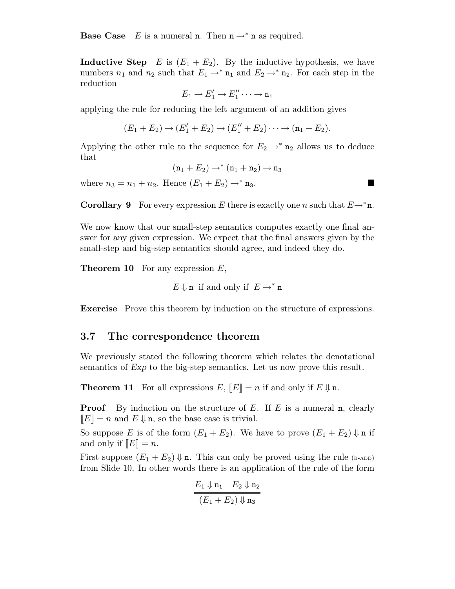**Base Case** E is a numeral **n**. Then  $\mathbf{n} \to^* \mathbf{n}$  as required.

**Inductive Step** E is  $(E_1 + E_2)$ . By the inductive hypothesis, we have numbers  $n_1$  and  $n_2$  such that  $E_1 \rightarrow^* n_1$  and  $E_2 \rightarrow^* n_2$ . For each step in the reduction

$$
E_1 \to E_1' \to E_1'' \cdots \to n_1
$$

applying the rule for reducing the left argument of an addition gives

$$
(E_1 + E_2) \to (E'_1 + E_2) \to (E''_1 + E_2) \cdots \to (n_1 + E_2).
$$

Applying the other rule to the sequence for  $E_2 \rightarrow^* n_2$  allows us to deduce that

$$
(\mathtt{n_1} + E_2) \rightarrow^* (\mathtt{n_1} + \mathtt{n_2}) \rightarrow \mathtt{n_3}
$$

where  $n_3 = n_1 + n_2$ . Hence  $(E_1 + E_2) \to^* n_3$ .

**Corollary 9** For every expression E there is exactly one n such that  $E \rightarrow^* n$ .

We now know that our small-step semantics computes exactly one final answer for any given expression. We expect that the final answers given by the small-step and big-step semantics should agree, and indeed they do.

**Theorem 10** For any expression  $E$ ,

 $E \Downarrow$ **n** if and only if  $E \rightarrow^* \mathbf{n}$ 

Exercise Prove this theorem by induction on the structure of expressions.

### 3.7 The correspondence theorem

We previously stated the following theorem which relates the denotational semantics of Exp to the big-step semantics. Let us now prove this result.

**Theorem 11** For all expressions E,  $\llbracket E \rrbracket = n$  if and only if  $E \Downarrow n$ .

**Proof** By induction on the structure of E. If E is a numeral n, clearly  $\Vert E \Vert = n$  and  $E \Downarrow n$ , so the base case is trivial.

So suppose E is of the form  $(E_1 + E_2)$ . We have to prove  $(E_1 + E_2) \Downarrow n$  if and only if  $\llbracket E \rrbracket = n$ .

First suppose  $(E_1 + E_2) \Downarrow$  n. This can only be proved using the rule (b-ADD) from Slide 10. In other words there is an application of the rule of the form

$$
\frac{E_1 \Downarrow \mathbf{n}_1 \quad E_2 \Downarrow \mathbf{n}_2}{(E_1 + E_2) \Downarrow \mathbf{n}_3}
$$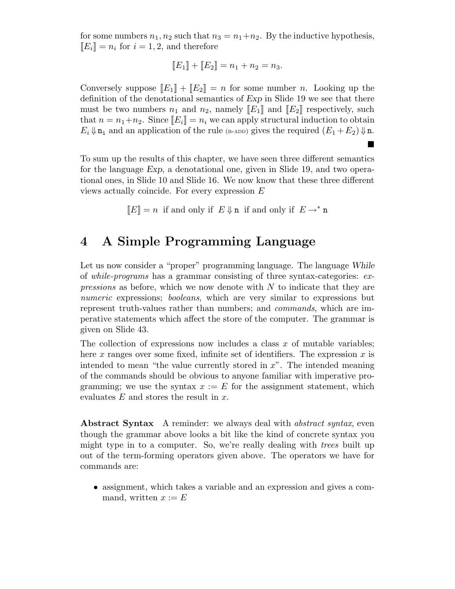for some numbers  $n_1, n_2$  such that  $n_3 = n_1+n_2$ . By the inductive hypothesis,  $\llbracket E_i \rrbracket = n_i$  for  $i = 1, 2$ , and therefore

$$
[[E_1] + [[E_2] = n_1 + n_2 = n_3].
$$

Conversely suppose  $[[E_1] + [[E_2]] = n$  for some number n. Looking up the definition of the denotational semantics of Exp in Slide 19 we see that there must be two numbers  $n_1$  and  $n_2$ , namely  $[[E_1]]$  and  $[[E_2]]$  respectively, such that  $n = n_1+n_2$ . Since  $[[E_i]] = n_i$  we can apply structural induction to obtain  $E_i \Downarrow \mathbf{n_i}$  and an application of the rule (B-ADD) gives the required  $(E_1 + E_2) \Downarrow \mathbf{n}$ .

To sum up the results of this chapter, we have seen three different semantics for the language Exp, a denotational one, given in Slide 19, and two operational ones, in Slide 10 and Slide 16. We now know that these three different views actually coincide. For every expression E

**.** 

 $\llbracket E \rrbracket = n$  if and only if  $E \Downarrow n$  if and only if  $E \rightarrow^* n$ 

## 4 A Simple Programming Language

Let us now consider a "proper" programming language. The language While of while-programs has a grammar consisting of three syntax-categories: ex*pressions* as before, which we now denote with  $N$  to indicate that they are numeric expressions; booleans, which are very similar to expressions but represent truth-values rather than numbers; and commands, which are imperative statements which affect the store of the computer. The grammar is given on Slide 43.

The collection of expressions now includes a class  $x$  of mutable variables; here x ranges over some fixed, infinite set of identifiers. The expression x is intended to mean "the value currently stored in  $x$ ". The intended meaning of the commands should be obvious to anyone familiar with imperative programming; we use the syntax  $x := E$  for the assignment statement, which evaluates  $E$  and stores the result in  $x$ .

Abstract Syntax A reminder: we always deal with *abstract syntax*, even though the grammar above looks a bit like the kind of concrete syntax you might type in to a computer. So, we're really dealing with *trees* built up out of the term-forming operators given above. The operators we have for commands are:

• assignment, which takes a variable and an expression and gives a command, written  $x := E$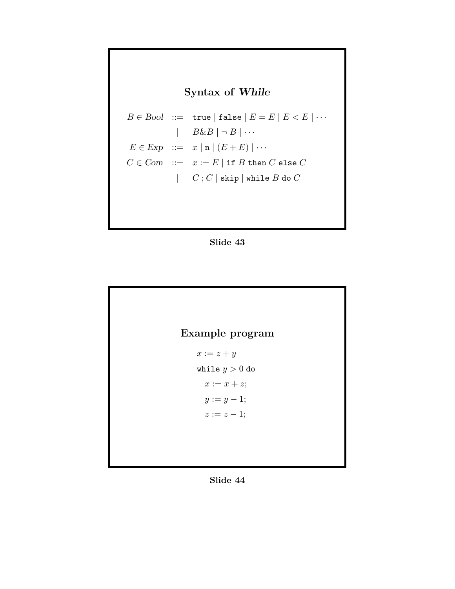# Syntax of While

```
B \in Bool ::= true | false |E = E | E < E | \cdots\mid B\&B\mid \neg B\mid \cdotsE \in \text{Exp} ::= x | n | (E + E) | \cdotsC \in \mathit{Com} \ ::=\ x := E \mid \text{if } B \text{ then } C \text{ else } C| C ; C | skip | while B do C
```




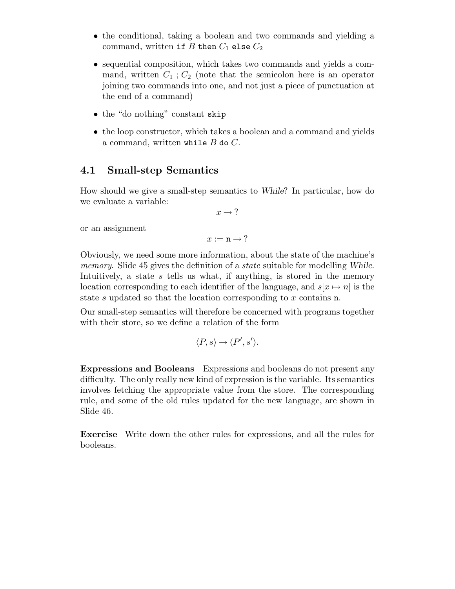- the conditional, taking a boolean and two commands and yielding a command, written if  $B$  then  $C_1$  else  $C_2$
- sequential composition, which takes two commands and yields a command, written  $C_1$ ;  $C_2$  (note that the semicolon here is an operator joining two commands into one, and not just a piece of punctuation at the end of a command)
- the "do nothing" constant skip
- the loop constructor, which takes a boolean and a command and yields a command, written while  $B$  do  $C$ .

### 4.1 Small-step Semantics

How should we give a small-step semantics to While? In particular, how do we evaluate a variable:

 $x \rightarrow ?$ 

or an assignment

 $x := n \rightarrow ?$ 

Obviously, we need some more information, about the state of the machine's memory. Slide 45 gives the definition of a *state* suitable for modelling While. Intuitively, a state s tells us what, if anything, is stored in the memory location corresponding to each identifier of the language, and  $s[x \mapsto n]$  is the state s updated so that the location corresponding to x contains **n**.

Our small-step semantics will therefore be concerned with programs together with their store, so we define a relation of the form

$$
\langle P, s \rangle \to \langle P', s' \rangle.
$$

Expressions and Booleans Expressions and booleans do not present any difficulty. The only really new kind of expression is the variable. Its semantics involves fetching the appropriate value from the store. The corresponding rule, and some of the old rules updated for the new language, are shown in Slide 46.

Exercise Write down the other rules for expressions, and all the rules for booleans.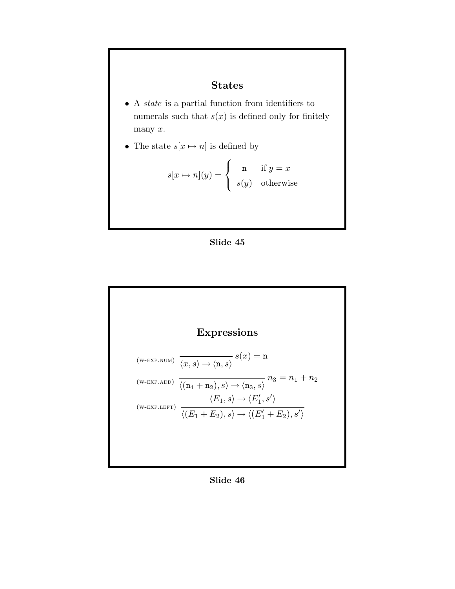## States

- A state is a partial function from identifiers to numerals such that  $s(x)$  is defined only for finitely many x.
- The state  $s[x \mapsto n]$  is defined by

$$
s[x \mapsto n](y) = \begin{cases} \begin{array}{c} \texttt{n} & \text{if } y = x \\ s(y) & \text{otherwise} \end{array} \end{cases}
$$





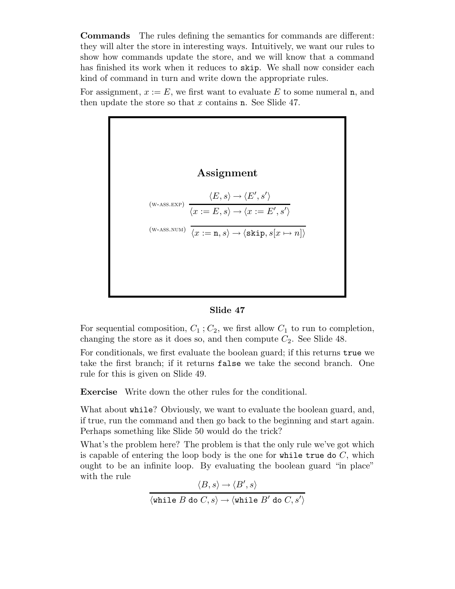Commands The rules defining the semantics for commands are different: they will alter the store in interesting ways. Intuitively, we want our rules to show how commands update the store, and we will know that a command has finished its work when it reduces to skip. We shall now consider each kind of command in turn and write down the appropriate rules.

For assignment,  $x := E$ , we first want to evaluate E to some numeral n, and then update the store so that x contains **n**. See Slide 47.





For sequential composition,  $C_1$ ;  $C_2$ , we first allow  $C_1$  to run to completion, changing the store as it does so, and then compute  $C_2$ . See Slide 48.

For conditionals, we first evaluate the boolean guard; if this returns true we take the first branch; if it returns false we take the second branch. One rule for this is given on Slide 49.

Exercise Write down the other rules for the conditional.

What about while? Obviously, we want to evaluate the boolean guard, and, if true, run the command and then go back to the beginning and start again. Perhaps something like Slide 50 would do the trick?

What's the problem here? The problem is that the only rule we've got which is capable of entering the loop body is the one for while true do  $C$ , which ought to be an infinite loop. By evaluating the boolean guard "in place" with the rule

$$
\langle B,s \rangle \to \langle B',s \rangle
$$
  

$$
\langle \text{while } B \text{ do } C,s \rangle \to \langle \text{while } B' \text{ do } C,s' \rangle
$$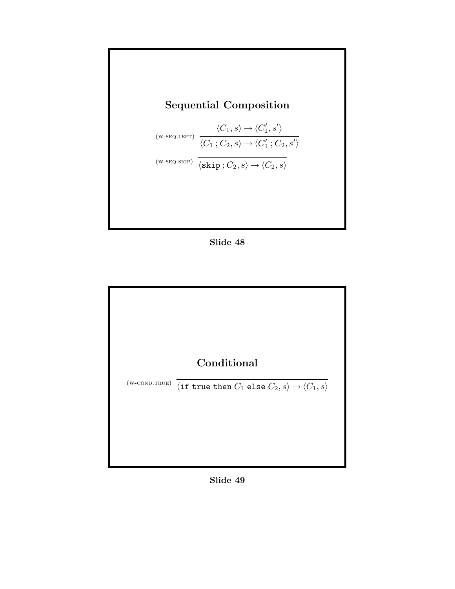

Slide 48



Slide 49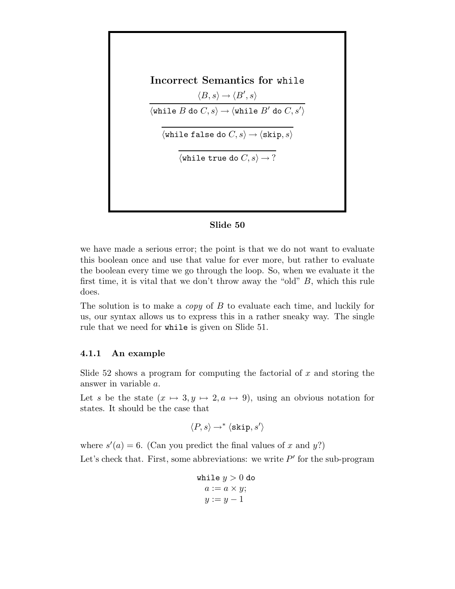Incorrect Semantics for while  $\langle B, s \rangle \rightarrow \langle B', s \rangle$  $\langle \texttt{while } B \texttt{ do } C, s \rangle \rightarrow \langle \texttt{while } B' \texttt{ do } C, s' \rangle$  $\langle$ while false do  $C, s \rangle \rightarrow \langle$ skip, s $\rangle$  $\langle$ while true do  $C, s \rangle \rightarrow ?$ 

### Slide 50

we have made a serious error; the point is that we do not want to evaluate this boolean once and use that value for ever more, but rather to evaluate the boolean every time we go through the loop. So, when we evaluate it the first time, it is vital that we don't throw away the "old"  $B$ , which this rule does.

The solution is to make a *copy* of  $B$  to evaluate each time, and luckily for us, our syntax allows us to express this in a rather sneaky way. The single rule that we need for while is given on Slide 51.

#### 4.1.1 An example

Slide 52 shows a program for computing the factorial of  $x$  and storing the answer in variable a.

Let s be the state  $(x \mapsto 3, y \mapsto 2, a \mapsto 9)$ , using an obvious notation for states. It should be the case that

$$
\langle P, s \rangle \rightarrow^* \langle \text{skip}, s' \rangle
$$

where  $s'(a) = 6$ . (Can you predict the final values of x and y?)

Let's check that. First, some abbreviations: we write  $P'$  for the sub-program

$$
\begin{array}{c} \mathtt{while}\; y>0\; \mathtt{do}\\ a:=a\times y;\\ y:=y-1 \end{array}
$$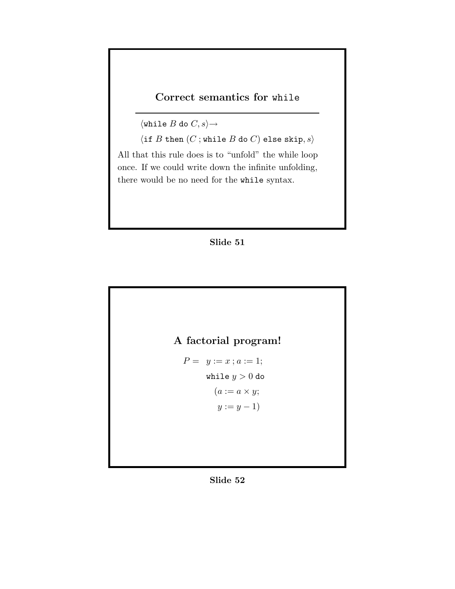## Correct semantics for while

 $\langle \text{while } B \text{ do } C, s \rangle \rightarrow$ 

 $\langle$  if  $B$  then  $(C$ ; while  $B$  do  $C$ ) else skip,  $s$ .

All that this rule does is to "unfold" the while loop once. If we could write down the infinite unfolding, there would be no need for the while syntax.





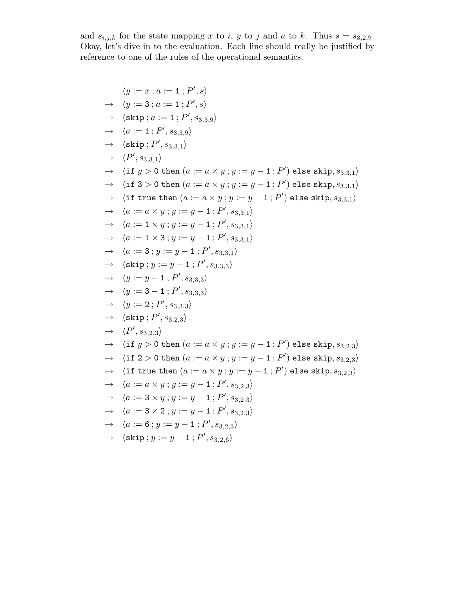and  $s_{i,j,k}$  for the state mapping x to i, y to j and a to k. Thus  $s = s_{3,2,9}$ . Okay, let's dive in to the evaluation. Each line should really be justified by reference to one of the rules of the operational semantics.

$$
⟨y := x ; a := 1 ; P', s⟩
$$
  
\n→ 
$$
⟨y := 3 ; a := 1 ; P', s⟩
$$
  
\n→ 
$$
⟨\text{skip}; a := 1 ; P', s_{3,3,9}⟩
$$
  
\n→ 
$$
⟨a := 1 ; P', s_{3,3,9}⟩
$$
  
\n→ 
$$
⟨P', s_{3,3,1}⟩
$$
  
\n→ 
$$
⟨P', s_{3,3,1}⟩
$$
  
\n→ 
$$
⟨f', s_{3,3,1}⟩
$$
  
\n→ 
$$
⟨f', s_{3,3,1}⟩
$$
  
\n→ 
$$
⟨f', s_{3,3,1}⟩
$$
  
\n→ 
$$
⟨f', s_{3,3,1}⟩
$$
  
\n→ 
$$
⟨f', s_{3,3,1}⟩
$$
  
\n→ 
$$
⟨f', s_{3,3,1}⟩
$$
  
\n→ 
$$
⟨f', s_{3,3,1}⟩
$$
  
\n→ 
$$
⟨f', s_{3,3,1}⟩
$$
  
\n→ 
$$
⟨f', s_{3,3,1}⟩
$$
  
\n→ 
$$
⟨a := a × y ; y := y - 1 ; P', s_{3,3,1}⟩
$$
  
\n→ 
$$
⟨a := 1 × 3 ; y := y - 1 ; P', s_{3,3,1}⟩
$$
  
\n→ 
$$
⟨a := 3 ; y := y - 1 ; P', s_{3,3,1}⟩
$$
  
\n→ 
$$
⟨g': = y - 1 ; P', s_{3,3,3}⟩
$$
  
\n→ 
$$
⟨g': = 3 - 1 ; P', s_{3,3,3}⟩
$$
  
\n→ 
$$
⟨g': = 2 ; P', s_{3,3,3}⟩
$$
  
\n→ 
$$
⟨g': = 2 ; P', s_{3,3,3}⟩
$$
  
\n→ 
$$
⟨g': = 2 ; P', s_{3,3,3}⟩
$$
  
\n→ 
$$
⟨f': s_{3,2,3}⟩
$$
  
\n→ 
$$
⟨f': s_{3,2,3}⟩
$$
  
\n→ 
$$
⟨f': s_{3,2,3}⟩
$$
  
\n→ 
$$
⟨f': s_{3,2,3}⟩
$$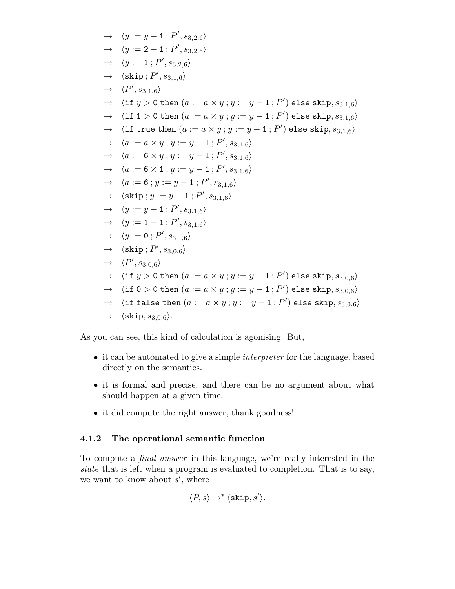$$
\langle y := y - 1; P', s_{3,2,6} \rangle
$$
  
\n
$$
\rightarrow \langle y := 2 - 1; P', s_{3,2,6} \rangle
$$
  
\n
$$
\rightarrow \langle y := 1; P', s_{3,2,6} \rangle
$$
  
\n
$$
\rightarrow \langle \text{skip}; P', s_{3,1,6} \rangle
$$
  
\n
$$
\rightarrow \langle P', s_{3,1,6} \rangle
$$
  
\n
$$
\rightarrow \langle \text{if } y > 0 \text{ then } (a := a \times y; y := y - 1; P') \text{ else skip}, s_{3,1,6} \rangle
$$
  
\n
$$
\rightarrow \langle \text{if true then } (a := a \times y; y := y - 1; P') \text{ else skip}, s_{3,1,6} \rangle
$$
  
\n
$$
\rightarrow \langle \text{if true then } (a := a \times y; y := y - 1; P') \text{ else skip}, s_{3,1,6} \rangle
$$
  
\n
$$
\rightarrow \langle a := a \times y; y := y - 1; P', s_{3,1,6} \rangle
$$
  
\n
$$
\rightarrow \langle a := 6 \times y; y := y - 1; P', s_{3,1,6} \rangle
$$
  
\n
$$
\rightarrow \langle a := 6 \times 1; y := y - 1; P', s_{3,1,6} \rangle
$$
  
\n
$$
\rightarrow \langle \text{skip}; y := y - 1; P', s_{3,1,6} \rangle
$$
  
\n
$$
\rightarrow \langle y := y - 1; P', s_{3,1,6} \rangle
$$
  
\n
$$
\rightarrow \langle y := 1 - 1; P', s_{3,1,6} \rangle
$$
  
\n
$$
\rightarrow \langle y := 0; P', s_{3,1,6} \rangle
$$
  
\n
$$
\rightarrow \langle \text{skip}; P', s_{3,0,6} \rangle
$$
  
\n
$$
\rightarrow \langle \text{if } y > 0 \text{ then } (a := a \times y; y := y - 1; P') \text{ else skip}, s_{3,0,6} \rangle
$$
  
\n
$$
\rightarrow \langle \text{if } 0 > 0 \text{ then } (a := a \times y; y := y - 1; P') \text{ else skip}, s_{3,0,6} \rangle
$$
  
\n
$$
\rightarrow \langle \text{
$$

As you can see, this kind of calculation is agonising. But,

- it can be automated to give a simple interpreter for the language, based directly on the semantics.
- it is formal and precise, and there can be no argument about what should happen at a given time.
- it did compute the right answer, thank goodness!

### 4.1.2 The operational semantic function

To compute a final answer in this language, we're really interested in the state that is left when a program is evaluated to completion. That is to say, we want to know about  $s'$ , where

$$
\langle P, s \rangle \rightarrow^* \langle \text{skip}, s' \rangle.
$$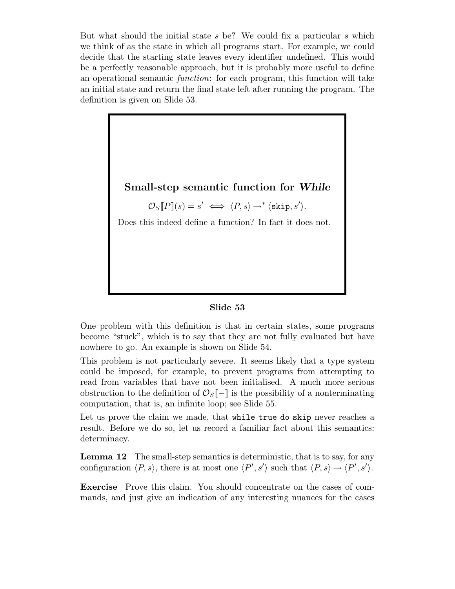But what should the initial state s be? We could fix a particular s which we think of as the state in which all programs start. For example, we could decide that the starting state leaves every identifier undefined. This would be a perfectly reasonable approach, but it is probably more useful to define an operational semantic function: for each program, this function will take an initial state and return the final state left after running the program. The definition is given on Slide 53.



#### Slide 53

One problem with this definition is that in certain states, some programs become "stuck", which is to say that they are not fully evaluated but have nowhere to go. An example is shown on Slide 54.

This problem is not particularly severe. It seems likely that a type system could be imposed, for example, to prevent programs from attempting to read from variables that have not been initialised. A much more serious obstruction to the definition of  $\mathcal{O}_S[-]$  is the possibility of a nonterminating computation, that is, an infinite loop; see Slide 55.

Let us prove the claim we made, that while true do skip never reaches a result. Before we do so, let us record a familiar fact about this semantics: determinacy.

Lemma 12 The small-step semantics is deterministic, that is to say, for any configuration  $\langle P, s \rangle$ , there is at most one  $\langle P', s' \rangle$  such that  $\langle P, s \rangle \rightarrow \langle P', s' \rangle$ .

Exercise Prove this claim. You should concentrate on the cases of commands, and just give an indication of any interesting nuances for the cases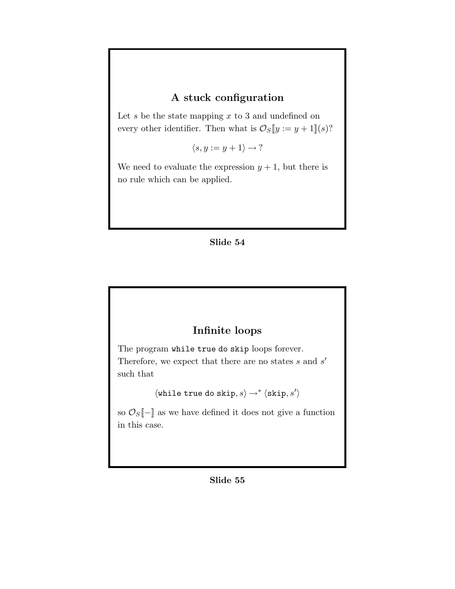## A stuck configuration

Let  $s$  be the state mapping  $x$  to 3 and undefined on every other identifier. Then what is  $\mathcal{O}_S[\![y := y + 1]\!](s)$ ?

 $\langle s, y := y + 1 \rangle \rightarrow ?$ 

We need to evaluate the expression  $y + 1$ , but there is no rule which can be applied.

### Slide 54

## Infinite loops

The program while true do skip loops forever.

Therefore, we expect that there are no states  $s$  and  $s'$ such that

 $\langle$  while true do skip,  $s\rangle \rightarrow^* \langle$ skip,  $s'\rangle$ 

so  $\mathcal{O}_S[-]$  as we have defined it does not give a function in this case.

#### Slide 55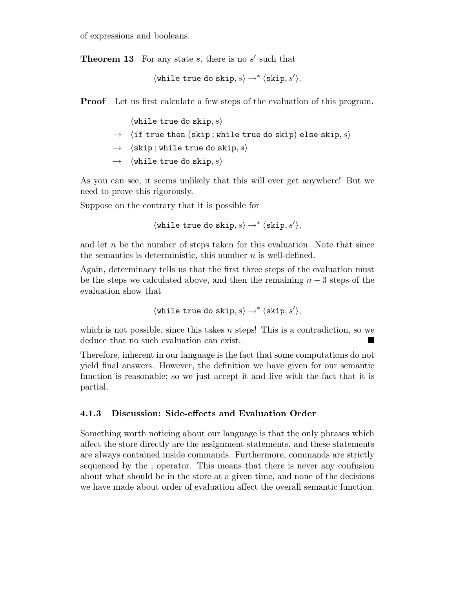of expressions and booleans.

**Theorem 13** For any state  $s$ , there is no  $s'$  such that

 $\langle$ while true do skip, s $\rangle \rightarrow^* \langle$ skip, s $'\rangle$ .

Proof Let us first calculate a few steps of the evaluation of this program.

 $\langle$ while true do skip, s $\rangle$ 

- $\rightarrow$   $\langle$  if true then (skip; while true do skip) else skip,  $s\rangle$
- $\rightarrow$   $\langle$  skip; while true do skip, s.
- $\rightarrow$   $\langle$  while true do skip, s)

As you can see, it seems unlikely that this will ever get anywhere! But we need to prove this rigorously.

Suppose on the contrary that it is possible for

 $\langle$ while true do skip,  $s\rangle \rightarrow^* \langle$ skip,  $s'\rangle$ ,

and let  $n$  be the number of steps taken for this evaluation. Note that since the semantics is deterministic, this number  $n$  is well-defined.

Again, determinacy tells us that the first three steps of the evaluation must be the steps we calculated above, and then the remaining  $n-3$  steps of the evaluation show that

 $\langle$ while true do skip,  $s\rangle \rightarrow^* \langle$ skip,  $s'\rangle$ ,

which is not possible, since this takes  $n$  steps! This is a contradiction, so we deduce that no such evaluation can exist.

Therefore, inherent in our language is the fact that some computations do not yield final answers. However, the definition we have given for our semantic function is reasonable; so we just accept it and live with the fact that it is partial.

### 4.1.3 Discussion: Side-effects and Evaluation Order

Something worth noticing about our language is that the only phrases which affect the store directly are the assignment statements, and these statements are always contained inside commands. Furthermore, commands are strictly sequenced by the ; operator. This means that there is never any confusion about what should be in the store at a given time, and none of the decisions we have made about order of evaluation affect the overall semantic function.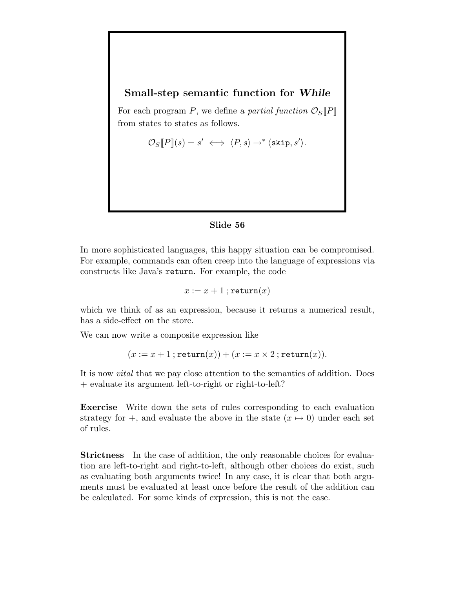### Small-step semantic function for While

For each program P, we define a partial function  $\mathcal{O}_S[P]$ from states to states as follows.

$$
\mathcal{O}_S[\![P]\!](s) = s' \iff \langle P, s \rangle \to^* \langle \text{skip}, s' \rangle.
$$

### Slide 56

In more sophisticated languages, this happy situation can be compromised. For example, commands can often creep into the language of expressions via constructs like Java's return. For example, the code

$$
x := x + 1
$$
; return $(x)$ 

which we think of as an expression, because it returns a numerical result, has a side-effect on the store.

We can now write a composite expression like

$$
(x := x + 1; \texttt{return}(x)) + (x := x \times 2; \texttt{return}(x)).
$$

It is now vital that we pay close attention to the semantics of addition. Does + evaluate its argument left-to-right or right-to-left?

Exercise Write down the sets of rules corresponding to each evaluation strategy for +, and evaluate the above in the state  $(x \mapsto 0)$  under each set of rules.

Strictness In the case of addition, the only reasonable choices for evaluation are left-to-right and right-to-left, although other choices do exist, such as evaluating both arguments twice! In any case, it is clear that both arguments must be evaluated at least once before the result of the addition can be calculated. For some kinds of expression, this is not the case.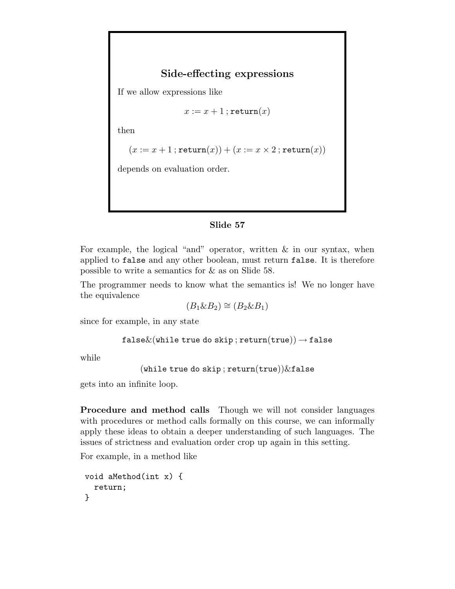## Side-effecting expressions

If we allow expressions like

 $x := x + 1$ ; return $(x)$ 

then

$$
(x := x + 1; \texttt{return}(x)) + (x := x \times 2; \texttt{return}(x))
$$

depends on evaluation order.

### Slide 57

For example, the logical "and" operator, written & in our syntax, when applied to false and any other boolean, must return false. It is therefore possible to write a semantics for & as on Slide 58.

The programmer needs to know what the semantics is! We no longer have the equivalence

$$
(B_1 \& B_2) \cong (B_2 \& B_1)
$$

since for example, in any state

false $\&$ (while true do skip; return(true))  $\rightarrow$  false

while

```
(while true do skip; return(true))&false
```
gets into an infinite loop.

Procedure and method calls Though we will not consider languages with procedures or method calls formally on this course, we can informally apply these ideas to obtain a deeper understanding of such languages. The issues of strictness and evaluation order crop up again in this setting.

For example, in a method like

```
void aMethod(int x) {
  return;
}
```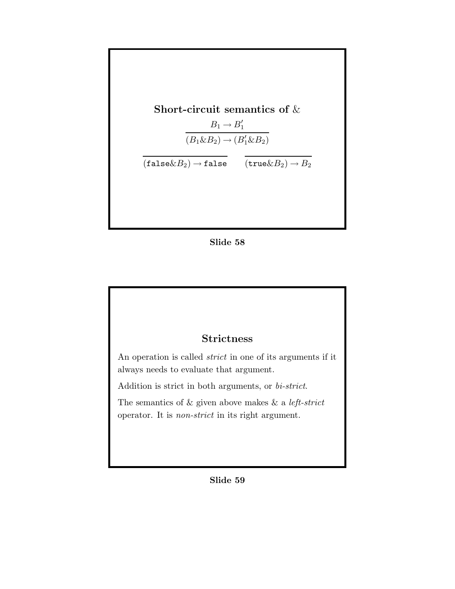

### Slide 58

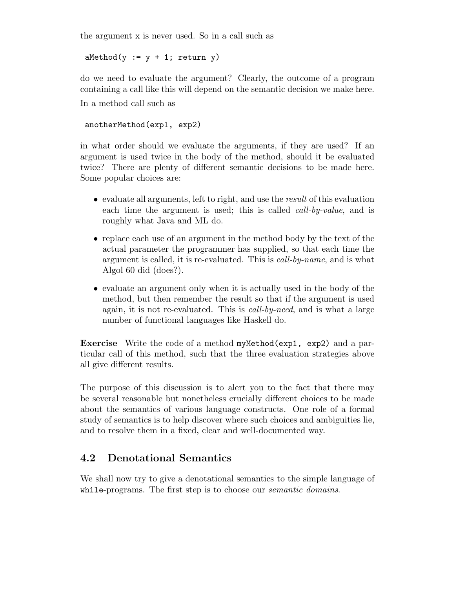the argument x is never used. So in a call such as

 $aMethod(y := y + 1; return y)$ 

do we need to evaluate the argument? Clearly, the outcome of a program containing a call like this will depend on the semantic decision we make here. In a method call such as

anotherMethod(exp1, exp2)

in what order should we evaluate the arguments, if they are used? If an argument is used twice in the body of the method, should it be evaluated twice? There are plenty of different semantic decisions to be made here. Some popular choices are:

- evaluate all arguments, left to right, and use the result of this evaluation each time the argument is used; this is called *call-by-value*, and is roughly what Java and ML do.
- replace each use of an argument in the method body by the text of the actual parameter the programmer has supplied, so that each time the argument is called, it is re-evaluated. This is call-by-name, and is what Algol 60 did (does?).
- evaluate an argument only when it is actually used in the body of the method, but then remember the result so that if the argument is used again, it is not re-evaluated. This is call-by-need, and is what a large number of functional languages like Haskell do.

Exercise Write the code of a method myMethod(exp1, exp2) and a particular call of this method, such that the three evaluation strategies above all give different results.

The purpose of this discussion is to alert you to the fact that there may be several reasonable but nonetheless crucially different choices to be made about the semantics of various language constructs. One role of a formal study of semantics is to help discover where such choices and ambiguities lie, and to resolve them in a fixed, clear and well-documented way.

## 4.2 Denotational Semantics

We shall now try to give a denotational semantics to the simple language of while-programs. The first step is to choose our *semantic domains*.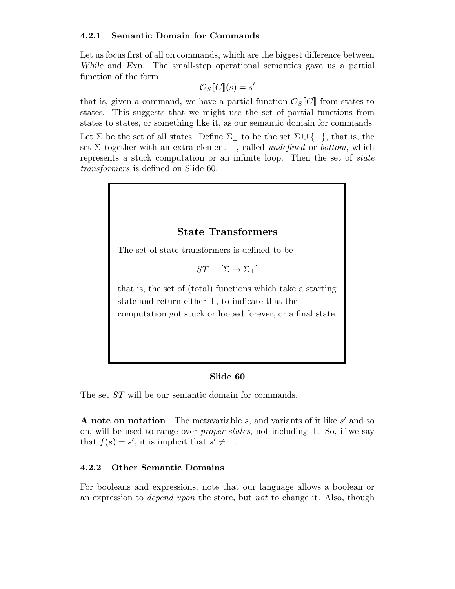### 4.2.1 Semantic Domain for Commands

Let us focus first of all on commands, which are the biggest difference between While and Exp. The small-step operational semantics gave us a partial function of the form

$$
\mathcal{O}_S[\![C]\!](s) = s'
$$

that is, given a command, we have a partial function  $\mathcal{O}_S[C]$  from states to states. This suggests that we might use the set of partial functions from states to states, or something like it, as our semantic domain for commands.

Let  $\Sigma$  be the set of all states. Define  $\Sigma_{\perp}$  to be the set  $\Sigma \cup {\{\perp\}}$ , that is, the set  $\Sigma$  together with an extra element  $\bot$ , called *undefined* or *bottom*, which represents a stuck computation or an infinite loop. Then the set of *state* transformers is defined on Slide 60.



The set ST will be our semantic domain for commands.

**A** note on notation The metavariable s, and variants of it like s' and so on, will be used to range over *proper states*, not including  $\bot$ . So, if we say that  $f(s) = s'$ , it is implicit that  $s' \neq \bot$ .

### 4.2.2 Other Semantic Domains

For booleans and expressions, note that our language allows a boolean or an expression to *depend upon* the store, but *not* to change it. Also, though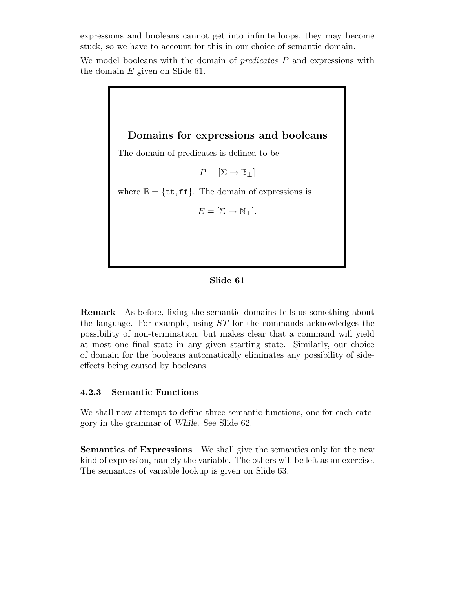expressions and booleans cannot get into infinite loops, they may become stuck, so we have to account for this in our choice of semantic domain.

We model booleans with the domain of  $predicates$   $P$  and expressions with the domain  $E$  given on Slide 61.

> Domains for expressions and booleans The domain of predicates is defined to be  $P = [\Sigma \rightarrow \mathbb{B}_+]$ where  $\mathbb{B} = \{\texttt{tt}, \texttt{ff}\}.$  The domain of expressions is  $E = [\Sigma \rightarrow \mathbb{N}_{\perp}].$

#### Slide 61

Remark As before, fixing the semantic domains tells us something about the language. For example, using ST for the commands acknowledges the possibility of non-termination, but makes clear that a command will yield at most one final state in any given starting state. Similarly, our choice of domain for the booleans automatically eliminates any possibility of sideeffects being caused by booleans.

### 4.2.3 Semantic Functions

We shall now attempt to define three semantic functions, one for each category in the grammar of While. See Slide 62.

Semantics of Expressions We shall give the semantics only for the new kind of expression, namely the variable. The others will be left as an exercise. The semantics of variable lookup is given on Slide 63.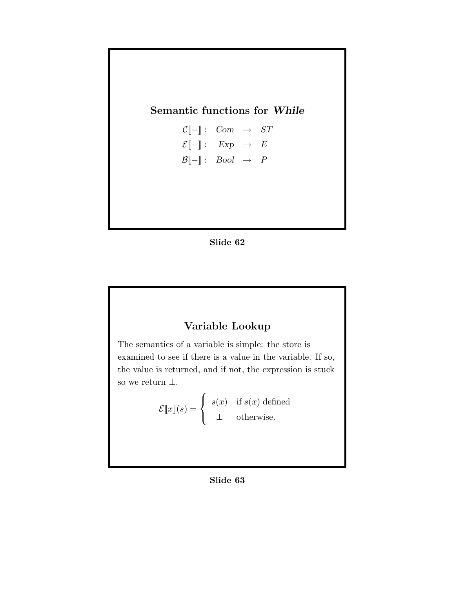## Semantic functions for While

 $\mathcal{C}[\![-\!] : \text{Com } \rightarrow \text{ST}$  $\mathcal{E}[-] : \quad Exp \quad \rightarrow \quad E$  $\mathcal{B}[-] : \quad \text{Bool} \rightarrow P$ 



## Variable Lookup

The semantics of a variable is simple: the store is examined to see if there is a value in the variable. If so, the value is returned, and if not, the expression is stuck so we return  $\bot$ .

> $\mathcal{E}[\![x]\!](s) =$  $\sqrt{ }$  $\left\{\right\}$  $\mathcal{L}$  $s(x)$  if  $s(x)$  defined ⊥ otherwise.

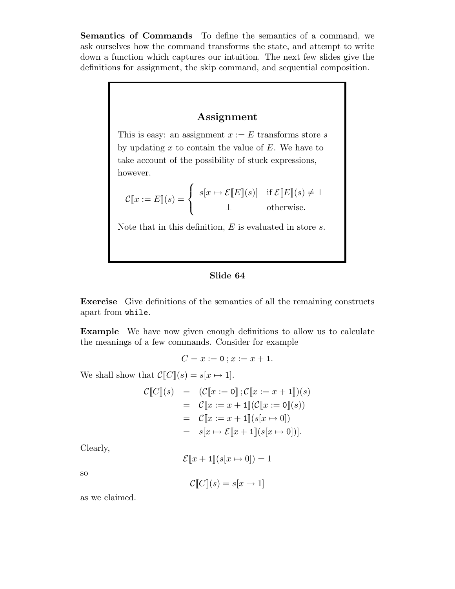Semantics of Commands To define the semantics of a command, we ask ourselves how the command transforms the state, and attempt to write down a function which captures our intuition. The next few slides give the definitions for assignment, the skip command, and sequential composition.

### Assignment

This is easy: an assignment  $x := E$  transforms store s by updating  $x$  to contain the value of  $E$ . We have to take account of the possibility of stuck expressions, however.

$$
\mathcal{C}[\![x := E]\!](s) = \begin{cases} s[x \mapsto \mathcal{E}[\![E]\!](s)) & \text{if } \mathcal{E}[\![E]\!](s) \neq \bot \\ \bot & \text{otherwise.} \end{cases}
$$

Note that in this definition,  $E$  is evaluated in store  $s$ .

### Slide 64

Exercise Give definitions of the semantics of all the remaining constructs apart from while.

Example We have now given enough definitions to allow us to calculate the meanings of a few commands. Consider for example

$$
C = x := 0 \; ; x := x + 1.
$$

We shall show that  $C\llbracket C \rrbracket(s) = s[x \mapsto 1].$ 

$$
\mathcal{C}[\![C]\!](s) = (C[\![x := 0]\!]; \mathcal{C}[\![x := x + 1]\!])(s) \n= C[\![x := x + 1]\!](C[\![x := 0]\!](s)) \n= C[\![x := x + 1]\!](s[x \mapsto 0]) \n= s[x \mapsto \mathcal{E}[\![x + 1]\!](s[x \mapsto 0])].
$$

Clearly,

 $\mathcal{E}[x+1](s[x \mapsto 0]) = 1$ 

so

$$
\mathcal{C}[\![C]\!](s) = s[x \mapsto 1]
$$

as we claimed.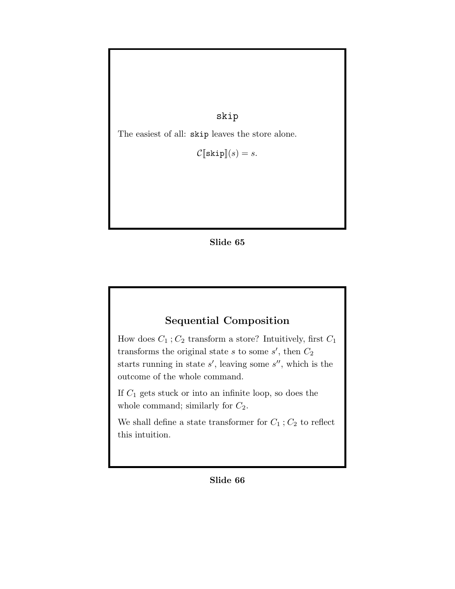skip

The easiest of all: skip leaves the store alone.

 $\mathcal{C}[\texttt{skip}](s) = s.$ 

Slide 65

# Sequential Composition

How does  $C_1$ ;  $C_2$  transform a store? Intuitively, first  $C_1$ transforms the original state s to some s', then  $C_2$ starts running in state  $s'$ , leaving some  $s''$ , which is the outcome of the whole command.

If  $C_1$  gets stuck or into an infinite loop, so does the whole command; similarly for  $C_2$ .

We shall define a state transformer for  ${\cal C}_1$  ;  ${\cal C}_2$  to reflect this intuition.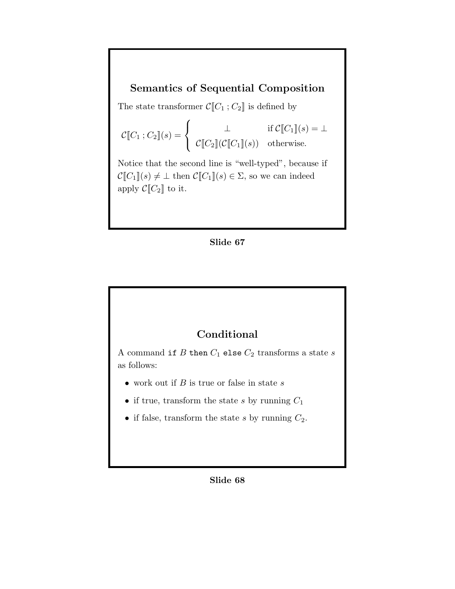## Semantics of Sequential Composition

The state transformer  $\mathcal{C}[\![C_1\,;C_2]\!]$  is defined by

$$
\mathcal{C}[\![C_1\,;C_2]\!](s) = \begin{cases} \qquad \perp & \text{if } \mathcal{C}[\![C_1]\!](s) = \perp \\ \qquad \qquad \mathcal{C}[\![C_2]\!](\mathcal{C}[\![C_1]\!](s)) & \text{otherwise.} \end{cases}
$$

Notice that the second line is "well-typed", because if  $\mathcal{C}[\![C_1]\!](s) \neq \bot$  then  $\mathcal{C}[\![C_1]\!](s) \in \Sigma$ , so we can indeed apply  $\mathcal{C}[\![C_2]\!]$  to it.

#### Slide 67



A command if  $B$  then  ${\cal C}_1$  else  ${\cal C}_2$  transforms a state  $s$ as follows:

- work out if  $B$  is true or false in state  $s$
- if true, transform the state s by running  $C_1$
- if false, transform the state s by running  $C_2$ .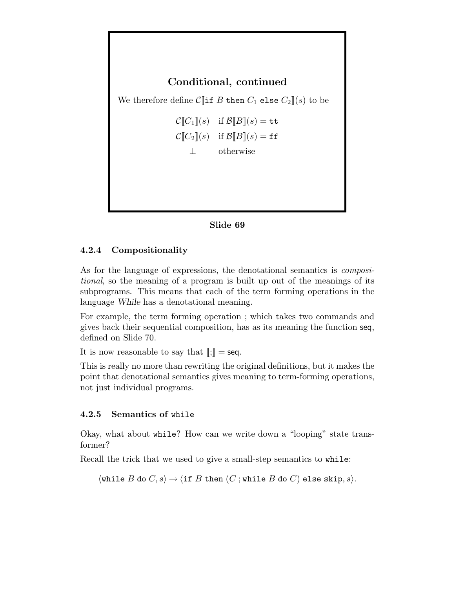

#### Slide 69

#### 4.2.4 Compositionality

As for the language of expressions, the denotational semantics is compositional, so the meaning of a program is built up out of the meanings of its subprograms. This means that each of the term forming operations in the language While has a denotational meaning.

For example, the term forming operation ; which takes two commands and gives back their sequential composition, has as its meaning the function seq, defined on Slide 70.

It is now reasonable to say that  $\|\cdot\| = \text{seq}$ .

This is really no more than rewriting the original definitions, but it makes the point that denotational semantics gives meaning to term-forming operations, not just individual programs.

#### 4.2.5 Semantics of while

Okay, what about while? How can we write down a "looping" state transformer?

Recall the trick that we used to give a small-step semantics to while:

 $\langle$  while  $B$  do  $C, s \rangle \rightarrow \langle$  if  $B$  then  $(C$  ; while  $B$  do  $C$ ) else skip,  $s \rangle$ .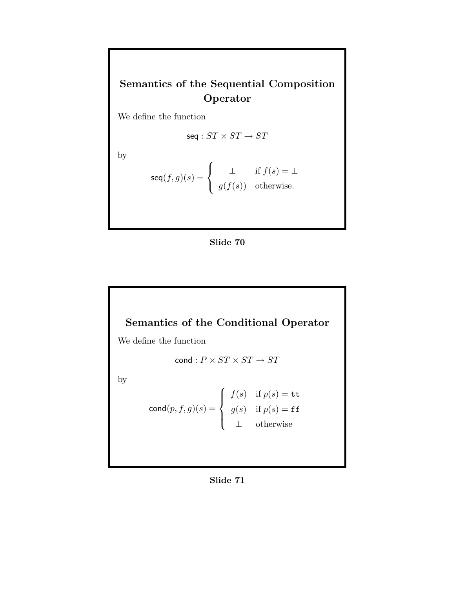# Semantics of the Sequential Composition Operator

We define the function

$$
\text{seq}: ST \times ST \to ST
$$

by

$$
\text{seq}(f,g)(s) = \begin{cases} \bot & \text{if } f(s) = \bot \\ g(f(s)) & \text{otherwise.} \end{cases}
$$





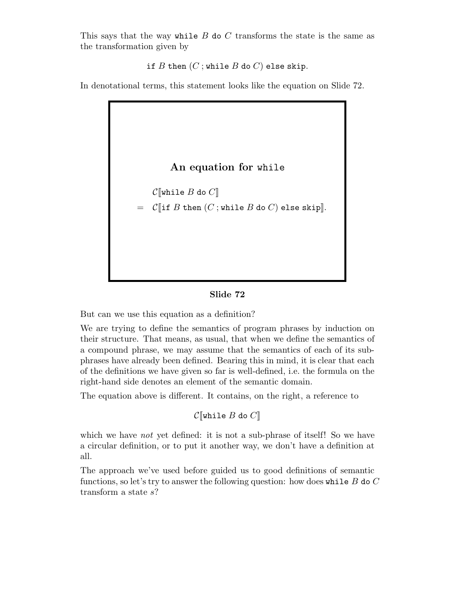This says that the way while  $B$  do  $C$  transforms the state is the same as the transformation given by

if  $B$  then  $(C$ ; while  $B$  do  $C$ ) else skip.

In denotational terms, this statement looks like the equation on Slide 72.



#### Slide 72

But can we use this equation as a definition?

We are trying to define the semantics of program phrases by induction on their structure. That means, as usual, that when we define the semantics of a compound phrase, we may assume that the semantics of each of its subphrases have already been defined. Bearing this in mind, it is clear that each of the definitions we have given so far is well-defined, i.e. the formula on the right-hand side denotes an element of the semantic domain.

The equation above is different. It contains, on the right, a reference to

```
\mathcal{C}[while B do C]
```
which we have *not* yet defined: it is not a sub-phrase of itself! So we have a circular definition, or to put it another way, we don't have a definition at all.

The approach we've used before guided us to good definitions of semantic functions, so let's try to answer the following question: how does while  $B$  do  $C$ transform a state  $s$ ?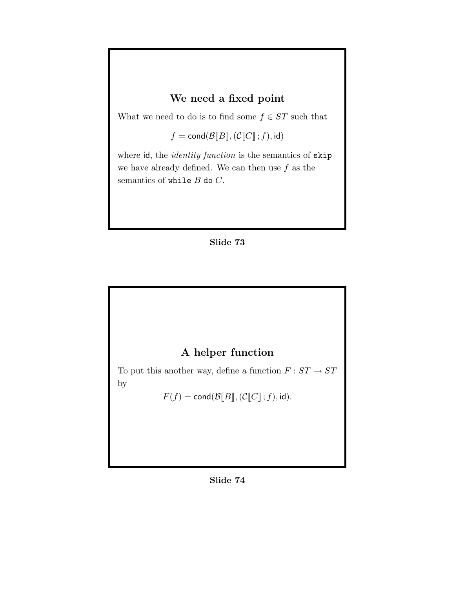## We need a fixed point

What we need to do is to find some  $f \in ST$  such that

 $f = \text{cond}(\mathcal{B}[\![B]\!],(\mathcal{C}[\![C]\!];f), \text{id})$ 

where id, the *identity function* is the semantics of skip we have already defined. We can then use  $f$  as the semantics of while  $B$  do  $C$ .





To put this another way, define a function  $F:ST\rightarrow ST$ by

 $F(f)=\mathsf{cond}(\mathcal{B}[\![B]\!],(\mathcal{C}[\![C]\!]\!];f),\mathsf{id}).$ 

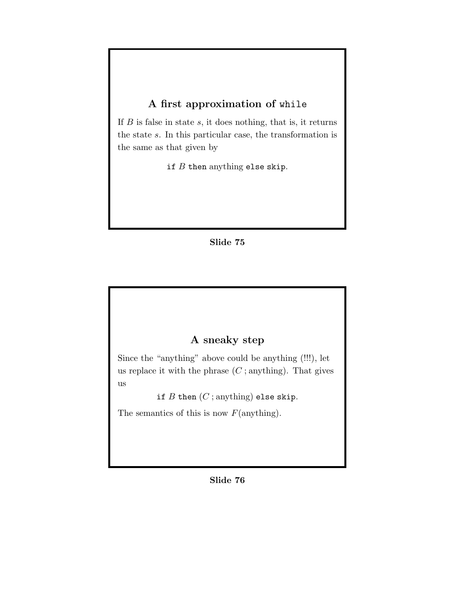# A first approximation of while

If  $B$  is false in state  $s$ , it does nothing, that is, it returns the state s. In this particular case, the transformation is the same as that given by

if  $B$  then anything else skip.

### Slide 75

## A sneaky step

Since the "anything" above could be anything (!!!), let us replace it with the phrase  $(C;$  anything). That gives us

if  $B$  then  $(C;$  anything) else skip.

The semantics of this is now  $F(\text{anything}).$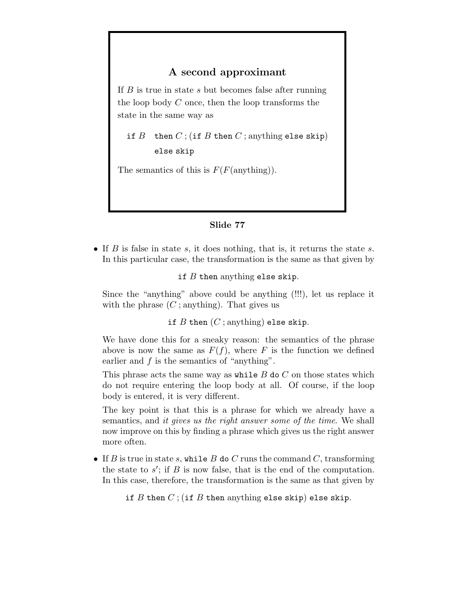### A second approximant

If  $B$  is true in state  $s$  but becomes false after running the loop body C once, then the loop transforms the state in the same way as

if  $B$  then  $C$ ; (if  $B$  then  $C$ ; anything else skip) else skip

The semantics of this is  $F(F(\text{anything})).$ 

### Slide 77

• If  $B$  is false in state  $s$ , it does nothing, that is, it returns the state  $s$ . In this particular case, the transformation is the same as that given by

if  $B$  then anything else skip.

Since the "anything" above could be anything (!!!), let us replace it with the phrase  $(C;$  anything). That gives us

if B then  $(C;$  anything) else skip.

We have done this for a sneaky reason: the semantics of the phrase above is now the same as  $F(f)$ , where F is the function we defined earlier and  $f$  is the semantics of "anything".

This phrase acts the same way as while  $B$  do  $C$  on those states which do not require entering the loop body at all. Of course, if the loop body is entered, it is very different.

The key point is that this is a phrase for which we already have a semantics, and it gives us the right answer some of the time. We shall now improve on this by finding a phrase which gives us the right answer more often.

• If  $B$  is true in state  $s$ , while  $B$  do  $C$  runs the command  $C$ , transforming the state to  $s'$ ; if B is now false, that is the end of the computation. In this case, therefore, the transformation is the same as that given by

if B then  $C$ ; (if B then anything else skip) else skip.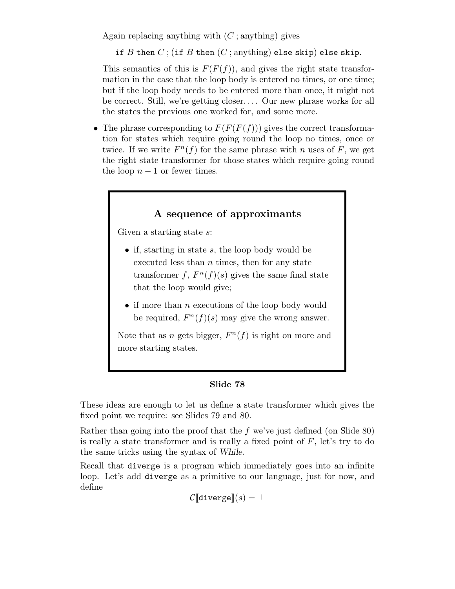Again replacing anything with  $(C;$  anything) gives

if B then  $C$ ; (if B then  $(C$ ; anything) else skip) else skip.

This semantics of this is  $F(F(f))$ , and gives the right state transformation in the case that the loop body is entered no times, or one time; but if the loop body needs to be entered more than once, it might not be correct. Still, we're getting closer.... Our new phrase works for all the states the previous one worked for, and some more.

• The phrase corresponding to  $F(F(F(f)))$  gives the correct transformation for states which require going round the loop no times, once or twice. If we write  $F^n(f)$  for the same phrase with n uses of F, we get the right state transformer for those states which require going round the loop  $n-1$  or fewer times.

## A sequence of approximants

Given a starting state  $s$ :

- if, starting in state  $s$ , the loop body would be executed less than  $n$  times, then for any state transformer f,  $F^n(f)(s)$  gives the same final state that the loop would give;
- $\bullet$  if more than *n* executions of the loop body would be required,  $F^n(f)(s)$  may give the wrong answer.

Note that as *n* gets bigger,  $F^n(f)$  is right on more and more starting states.

#### Slide 78

These ideas are enough to let us define a state transformer which gives the fixed point we require: see Slides 79 and 80.

Rather than going into the proof that the f we've just defined (on Slide 80) is really a state transformer and is really a fixed point of  $F$ , let's try to do the same tricks using the syntax of While.

Recall that diverge is a program which immediately goes into an infinite loop. Let's add diverge as a primitive to our language, just for now, and define

 $\mathcal{C}$ [diverge] $(s) = \perp$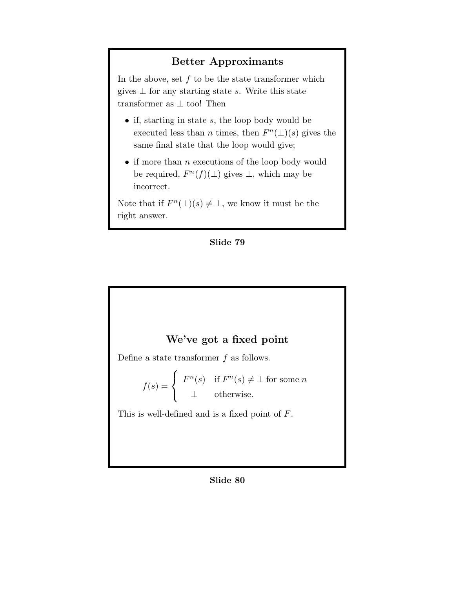## Better Approximants

In the above, set  $f$  to be the state transformer which gives  $\perp$  for any starting state s. Write this state transformer as  $\perp$  too! Then

- if, starting in state  $s$ , the loop body would be executed less than *n* times, then  $F<sup>n</sup>(\bot)(s)$  gives the same final state that the loop would give;
- $\bullet$  if more than *n* executions of the loop body would be required,  $F^{n}(f)(\perp)$  gives  $\perp$ , which may be incorrect.

Note that if  $F^n(\perp)(s) \neq \perp$ , we know it must be the right answer.

#### Slide 79

## We've got a fixed point

Define a state transformer  $f$  as follows.

$$
f(s) = \begin{cases} F^n(s) & \text{if } F^n(s) \neq \bot \text{ for some } n \\ \bot & \text{otherwise.} \end{cases}
$$

This is well-defined and is a fixed point of F.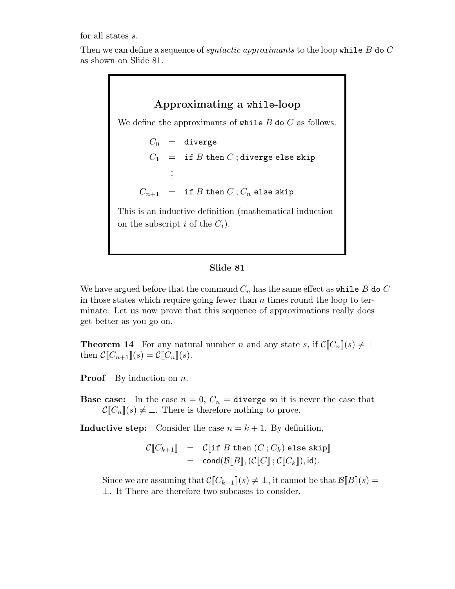for all states s.

Then we can define a sequence of *syntactic approximants* to the loop while B do C as shown on Slide 81.

> Approximating a while-loop We define the approximants of while  $B$  do  $C$  as follows.  $C_0$  = diverge  $C_1$  = if B then C; diverge else skip . . .  $C_{n+1}$  = if B then  $C$ ;  $C_n$  else skip This is an inductive definition (mathematical induction on the subscript i of the  $C_i$ ).

#### Slide 81

We have argued before that the command  $C_n$  has the same effect as while B do C in those states which require going fewer than  $n$  times round the loop to terminate. Let us now prove that this sequence of approximations really does get better as you go on.

**Theorem 14** For any natural number n and any state s, if  $\mathcal{C}[[C_n]](s) \neq \perp$ then  $C\llbracket C_{n+1} \rrbracket(s) = C\llbracket C_n \rrbracket(s)$ .

**Proof** By induction on  $n$ .

**Base case:** In the case  $n = 0$ ,  $C_n =$  **diverge** so it is never the case that  $\mathcal{C}[\![C_n]\!](s) \neq \bot$ . There is therefore nothing to prove.

**Inductive step:** Consider the case  $n = k + 1$ . By definition,

$$
\begin{array}{lcl} \mathcal{C}[\![C_{k+1}]\!] & = & \mathcal{C}[\![\texttt{if }B\texttt{ then }(C\,;C_k)\texttt{ else skip}]\!] \\ & = & \texttt{cond}(\mathcal{B}[\![B]\!], (\mathcal{C}[\![C]\!]\,; \mathcal{C}[\![C_k]\!]), \texttt{id}). \end{array}
$$

Since we are assuming that  $\mathcal{C}[[C_{k+1}](s) \neq \bot$ , it cannot be that  $\mathcal{B}[[B](s) =$ ⊥. It There are therefore two subcases to consider.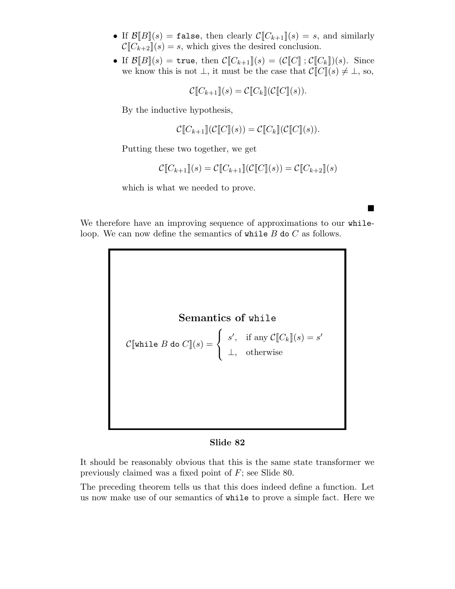- If  $\mathcal{B}[B](s) = \text{false}$ , then clearly  $\mathcal{C}[C_{k+1}](s) = s$ , and similarly  $\mathcal{C}[[C_{k+2}](s) = s$ , which gives the desired conclusion.
- If  $\mathcal{B}[B](s) =$  true, then  $\mathcal{C}[C_{k+1}](s) = (\mathcal{C}[C], \mathcal{C}[C_k])(s)$ . Since we know this is not  $\bot$ , it must be the case that  $\mathcal{C}[[C]](s) \neq \bot$ , so,

$$
\mathcal{C}[\![C_{k+1}]\!](s) = \mathcal{C}[\![C_k]\!](\mathcal{C}[\![C]\!](s)).
$$

By the inductive hypothesis,

$$
\mathcal{C}[\![C_{k+1}]\!](\mathcal{C}[\![C]\!](s)) = \mathcal{C}[\![C_k]\!](\mathcal{C}[\![C]\!](s)).
$$

Putting these two together, we get

$$
\mathcal{C}[[C_{k+1}]](s) = \mathcal{C}[[C_{k+1}]](\mathcal{C}[[C]](s)) = \mathcal{C}[[C_{k+2}]](s)
$$

**.** 

which is what we needed to prove.

We therefore have an improving sequence of approximations to our whileloop. We can now define the semantics of while  $B$  do  $C$  as follows.



#### Slide 82

It should be reasonably obvious that this is the same state transformer we previously claimed was a fixed point of F; see Slide 80.

The preceding theorem tells us that this does indeed define a function. Let us now make use of our semantics of while to prove a simple fact. Here we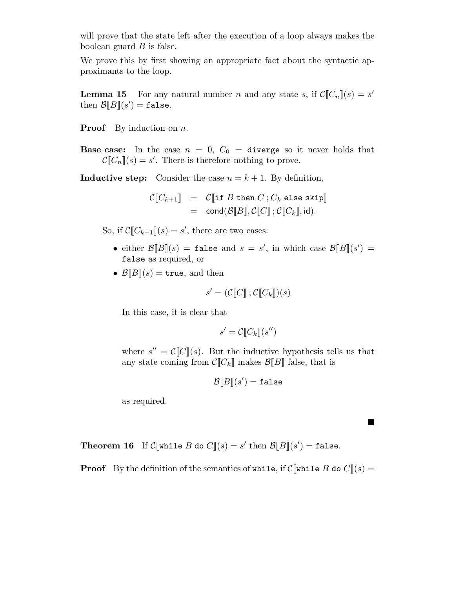will prove that the state left after the execution of a loop always makes the boolean guard  $B$  is false.

We prove this by first showing an appropriate fact about the syntactic approximants to the loop.

**Lemma 15** For any natural number *n* and any state *s*, if  $\mathcal{C}[[C_n]](s) = s'$ then  $\mathcal{B}[\![B]\!](s') = \mathtt{false}.$ 

**Proof** By induction on  $n$ .

**Base case:** In the case  $n = 0$ ,  $C_0 =$  diverge so it never holds that  $\mathcal{C}[[C_n]](s) = s'.$  There is therefore nothing to prove.

**Inductive step:** Consider the case  $n = k + 1$ . By definition,

$$
\begin{array}{lcl} \mathcal{C}[\![C_{k+1}]\!] & = & \mathcal{C}[\![\texttt{if }B\texttt{ then }C\,;C_k\texttt{ else skip}]\!] \\ & = & \texttt{cond}(\mathcal{B}[\![B]\!],\mathcal{C}[\![C]\!]\,;\mathcal{C}[\![C_k]\!],\texttt{id}). \end{array}
$$

So, if  $\mathcal{C}[[C_{k+1}]](s) = s'$ , there are two cases:

- either  $\mathcal{B}[B](s) = \texttt{false}$  and  $s = s'$ , in which case  $\mathcal{B}[B](s') =$ false as required, or
- $\mathcal{B}[[B]](s) = \text{true}$ , and then

$$
s' = (\mathcal{C}[\![C]\!]; \mathcal{C}[\![C_k]\!])(s)
$$

In this case, it is clear that

$$
s' = \mathcal{C}[\![C_k]\!](s'')
$$

where  $s'' = \mathcal{C}[[C]](s)$ . But the inductive hypothesis tells us that any state coming from  $C[\![C_k]\!]$  makes  $\mathcal{B}[\![B]\!]$  false, that is

$$
\mathcal{B}\llbracket B\rrbracket(s') = \mathtt{false}
$$

**.** 

as required.

**Theorem 16** If  $\mathcal{C}[\![\text{while }B \text{ do } C]\!](s) = s'$  then  $\mathcal{B}[\![B]\!](s') = \texttt{false}.$ 

**Proof** By the definition of the semantics of while, if  $C[\text{while } B \text{ do } C](s) =$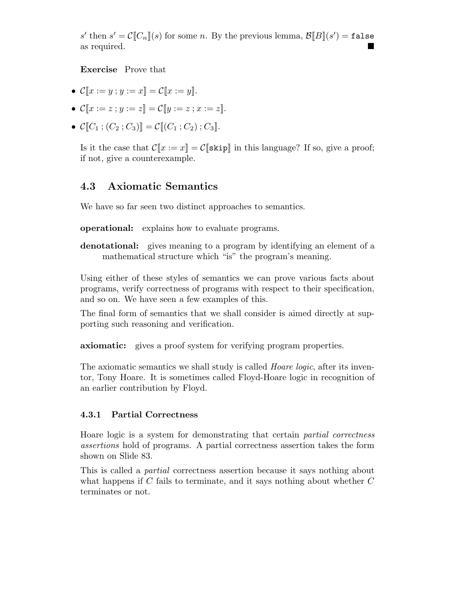s' then  $s' = \mathcal{C}[\![C_n]\!](s)$  for some n. By the previous lemma,  $\mathcal{B}[\![B]\!](s') = \mathtt{false}$ as required.

Exercise Prove that

- $C[x := y : y := x] = C[x := y]$ .
- $\mathcal{C}[[x := z : y := z]] = \mathcal{C}[[y := z : x := z]].$
- $\mathcal{C}[[C_1; (C_2; C_3)]] = \mathcal{C}[[(C_1; C_2); C_3]].$

Is it the case that  $\mathcal{C}[x := x] = \mathcal{C}[\text{skip}]$  in this language? If so, give a proof; if not, give a counterexample.

## 4.3 Axiomatic Semantics

We have so far seen two distinct approaches to semantics.

operational: explains how to evaluate programs.

denotational: gives meaning to a program by identifying an element of a mathematical structure which "is" the program's meaning.

Using either of these styles of semantics we can prove various facts about programs, verify correctness of programs with respect to their specification, and so on. We have seen a few examples of this.

The final form of semantics that we shall consider is aimed directly at supporting such reasoning and verification.

axiomatic: gives a proof system for verifying program properties.

The axiomatic semantics we shall study is called *Hoare logic*, after its inventor, Tony Hoare. It is sometimes called Floyd-Hoare logic in recognition of an earlier contribution by Floyd.

### 4.3.1 Partial Correctness

Hoare logic is a system for demonstrating that certain partial correctness assertions hold of programs. A partial correctness assertion takes the form shown on Slide 83.

This is called a partial correctness assertion because it says nothing about what happens if  $C$  fails to terminate, and it says nothing about whether  $C$ terminates or not.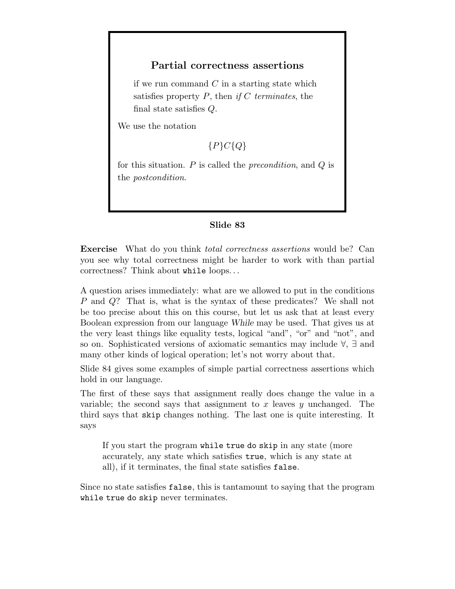### Partial correctness assertions

if we run command  $C$  in a starting state which satisfies property  $P$ , then if  $C$  terminates, the final state satisfies Q.

We use the notation

### ${P}C{Q}$

for this situation.  $P$  is called the *precondition*, and  $Q$  is the postcondition.

#### Slide 83

Exercise What do you think total correctness assertions would be? Can you see why total correctness might be harder to work with than partial correctness? Think about while loops. . .

A question arises immediately: what are we allowed to put in the conditions P and Q? That is, what is the syntax of these predicates? We shall not be too precise about this on this course, but let us ask that at least every Boolean expression from our language While may be used. That gives us at the very least things like equality tests, logical "and", "or" and "not", and so on. Sophisticated versions of axiomatic semantics may include ∀, ∃ and many other kinds of logical operation; let's not worry about that.

Slide 84 gives some examples of simple partial correctness assertions which hold in our language.

The first of these says that assignment really does change the value in a variable; the second says that assignment to x leaves  $y$  unchanged. The third says that skip changes nothing. The last one is quite interesting. It says

If you start the program while true do skip in any state (more accurately, any state which satisfies true, which is any state at all), if it terminates, the final state satisfies false.

Since no state satisfies false, this is tantamount to saying that the program while true do skip never terminates.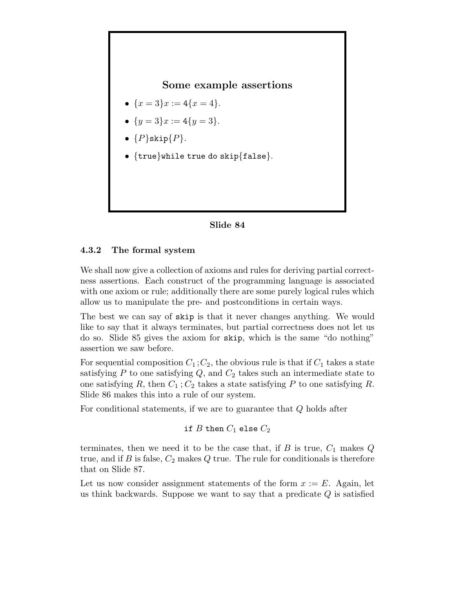### Some example assertions

- $\{x=3\}x:=4\{x=4\}.$
- $\{y=3\}x:=4\{y=3\}.$
- $\bullet$   $\{P\}$ skip $\{P\}.$
- {true}while true do skip{false}.



#### 4.3.2 The formal system

We shall now give a collection of axioms and rules for deriving partial correctness assertions. Each construct of the programming language is associated with one axiom or rule; additionally there are some purely logical rules which allow us to manipulate the pre- and postconditions in certain ways.

The best we can say of skip is that it never changes anything. We would like to say that it always terminates, but partial correctness does not let us do so. Slide 85 gives the axiom for skip, which is the same "do nothing" assertion we saw before.

For sequential composition  $C_1$ ;  $C_2$ , the obvious rule is that if  $C_1$  takes a state satisfying  $P$  to one satisfying  $Q$ , and  $C_2$  takes such an intermediate state to one satisfying R, then  $C_1$ ;  $C_2$  takes a state satisfying P to one satisfying R. Slide 86 makes this into a rule of our system.

For conditional statements, if we are to guarantee that  $Q$  holds after

```
if B then C_1 else C_2
```
terminates, then we need it to be the case that, if B is true,  $C_1$  makes  $Q$ true, and if B is false,  $C_2$  makes Q true. The rule for conditionals is therefore that on Slide 87.

Let us now consider assignment statements of the form  $x := E$ . Again, let us think backwards. Suppose we want to say that a predicate  $Q$  is satisfied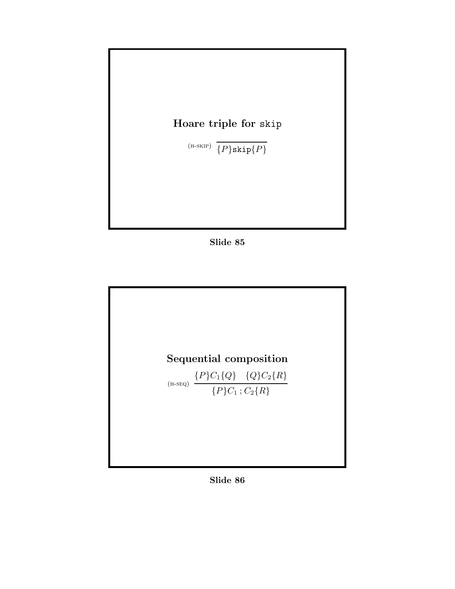

Slide 85



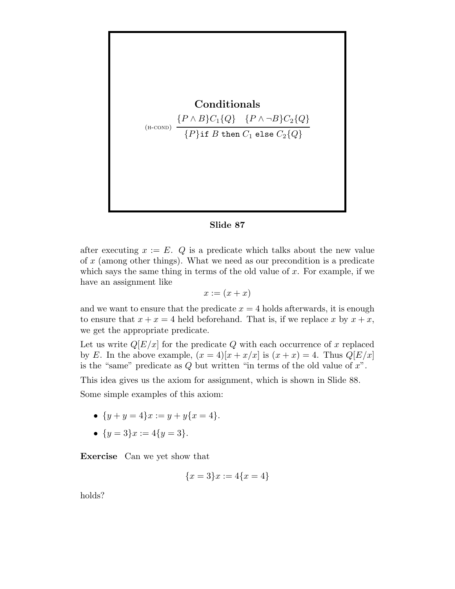

#### Slide 87

after executing  $x := E$ . Q is a predicate which talks about the new value of x (among other things). What we need as our precondition is a predicate which says the same thing in terms of the old value of  $x$ . For example, if we have an assignment like

$$
x := (x + x)
$$

and we want to ensure that the predicate  $x = 4$  holds afterwards, it is enough to ensure that  $x + x = 4$  held beforehand. That is, if we replace x by  $x + x$ , we get the appropriate predicate.

Let us write  $Q[E/x]$  for the predicate Q with each occurrence of x replaced by E. In the above example,  $(x = 4)[x + x/x]$  is  $(x + x) = 4$ . Thus  $Q[E/x]$ is the "same" predicate as  $Q$  but written "in terms of the old value of  $x$ ".

This idea gives us the axiom for assignment, which is shown in Slide 88.

Some simple examples of this axiom:

- $\{y+y=4\}x:=y+y\{x=4\}.$
- $\{y=3\}x:=4\{y=3\}.$

Exercise Can we yet show that

$$
\{x=3\}x:=4\{x=4\}
$$

holds?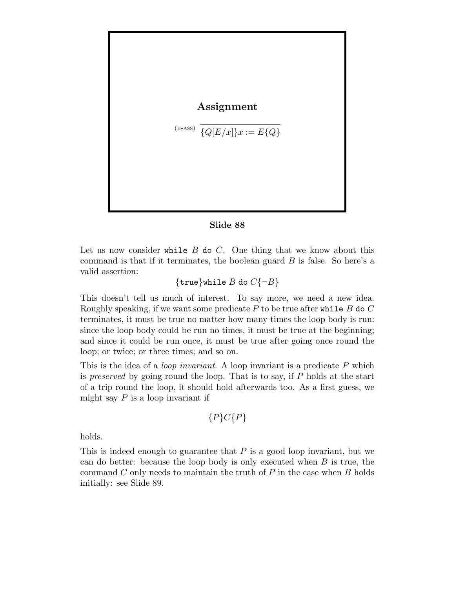$$
\begin{aligned} \textbf{Assignment} \\\\ (\text{\tiny{H-ASS}}) \ \overline{\{Q[E/x]\}x} := E\{Q\} \end{aligned}
$$

#### Slide 88

Let us now consider while  $B$  do  $C$ . One thing that we know about this command is that if it terminates, the boolean guard  $B$  is false. So here's a valid assertion:

 $\{true\}$ while  $B$  do  $C\{\neg B\}$ 

This doesn't tell us much of interest. To say more, we need a new idea. Roughly speaking, if we want some predicate P to be true after while B do C terminates, it must be true no matter how many times the loop body is run: since the loop body could be run no times, it must be true at the beginning; and since it could be run once, it must be true after going once round the loop; or twice; or three times; and so on.

This is the idea of a *loop invariant*. A loop invariant is a predicate  $P$  which is preserved by going round the loop. That is to say, if P holds at the start of a trip round the loop, it should hold afterwards too. As a first guess, we might say  $P$  is a loop invariant if

$$
\{P\}C\{P\}
$$

holds.

This is indeed enough to guarantee that  $P$  is a good loop invariant, but we can do better: because the loop body is only executed when  $B$  is true, the command  $C$  only needs to maintain the truth of  $P$  in the case when  $B$  holds initially: see Slide 89.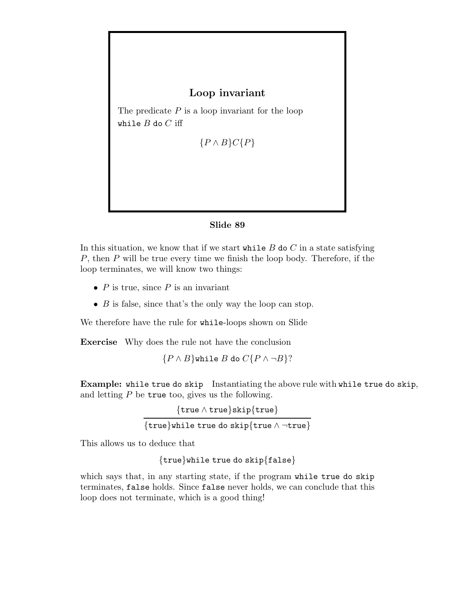## Loop invariant

The predicate  $P$  is a loop invariant for the loop while  $B$  do  $C$  iff

 ${P \wedge B}C{P}$ 

### Slide 89

In this situation, we know that if we start while  $B$  do  $C$  in a state satisfying  $P$ , then  $P$  will be true every time we finish the loop body. Therefore, if the loop terminates, we will know two things:

- $P$  is true, since  $P$  is an invariant
- $B$  is false, since that's the only way the loop can stop.

We therefore have the rule for while-loops shown on Slide

Exercise Why does the rule not have the conclusion

 ${P \land B}$ while B do  $C{P \land \neg B}$ ?

Example: while true do skip Instantiating the above rule with while true do skip, and letting  $P$  be true too, gives us the following.

> {true ∧ true}skip{true} {true}while true do skip{true ∧ ¬true}

This allows us to deduce that

{true}while true do skip{false}

which says that, in any starting state, if the program while true do skip terminates, false holds. Since false never holds, we can conclude that this loop does not terminate, which is a good thing!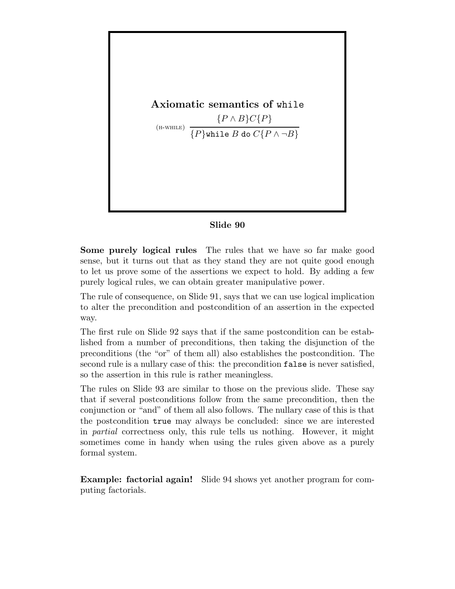

### Slide 90

Some purely logical rules The rules that we have so far make good sense, but it turns out that as they stand they are not quite good enough to let us prove some of the assertions we expect to hold. By adding a few purely logical rules, we can obtain greater manipulative power.

The rule of consequence, on Slide 91, says that we can use logical implication to alter the precondition and postcondition of an assertion in the expected way.

The first rule on Slide 92 says that if the same postcondition can be established from a number of preconditions, then taking the disjunction of the preconditions (the "or" of them all) also establishes the postcondition. The second rule is a nullary case of this: the precondition false is never satisfied, so the assertion in this rule is rather meaningless.

The rules on Slide 93 are similar to those on the previous slide. These say that if several postconditions follow from the same precondition, then the conjunction or "and" of them all also follows. The nullary case of this is that the postcondition true may always be concluded: since we are interested in partial correctness only, this rule tells us nothing. However, it might sometimes come in handy when using the rules given above as a purely formal system.

Example: factorial again! Slide 94 shows yet another program for computing factorials.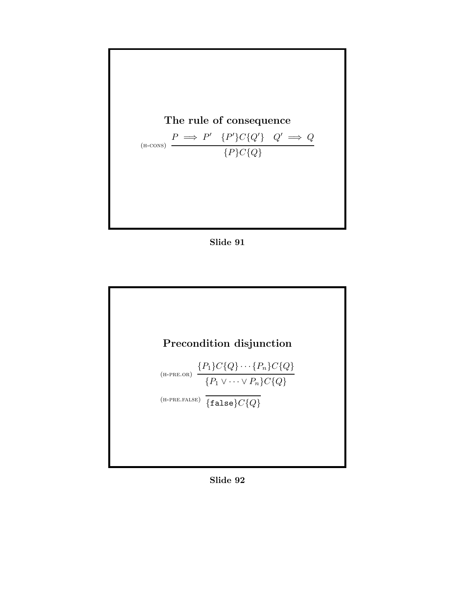

Slide 91



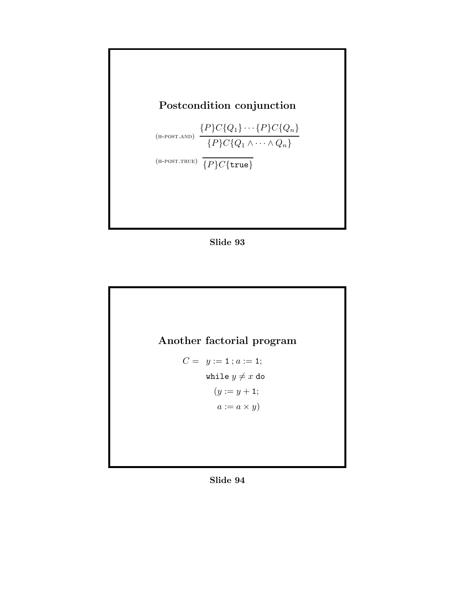

Slide 93



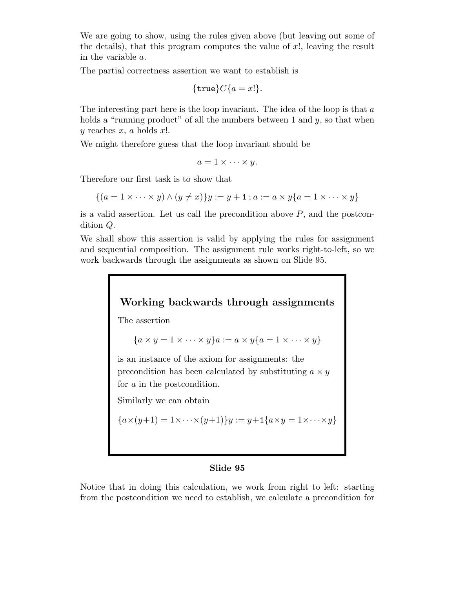We are going to show, using the rules given above (but leaving out some of the details), that this program computes the value of  $x!$ , leaving the result in the variable a.

The partial correctness assertion we want to establish is

$$
{\tt true}C{a = x!}.
$$

The interesting part here is the loop invariant. The idea of the loop is that  $a$ holds a "running product" of all the numbers between 1 and  $y$ , so that when y reaches  $x, a$  holds  $x!$ .

We might therefore guess that the loop invariant should be

$$
a=1\times\cdots\times y.
$$

Therefore our first task is to show that

$$
\{(a=1\times\cdots\times y)\wedge(y\neq x)\}y:=y+1\,; a:=a\times y\{a=1\times\cdots\times y\}
$$

is a valid assertion. Let us call the precondition above  $P$ , and the postcondition Q.

We shall show this assertion is valid by applying the rules for assignment and sequential composition. The assignment rule works right-to-left, so we work backwards through the assignments as shown on Slide 95.

# Working backwards through assignments

The assertion

$$
\{a \times y = 1 \times \cdots \times y\}a := a \times y\{a = 1 \times \cdots \times y\}
$$

is an instance of the axiom for assignments: the precondition has been calculated by substituting  $a \times y$ for a in the postcondition.

Similarly we can obtain

$$
{a \times (y+1) = 1 \times \cdots \times (y+1)} y := y+1{a \times y = 1 \times \cdots \times y}
$$

#### Slide 95

Notice that in doing this calculation, we work from right to left: starting from the postcondition we need to establish, we calculate a precondition for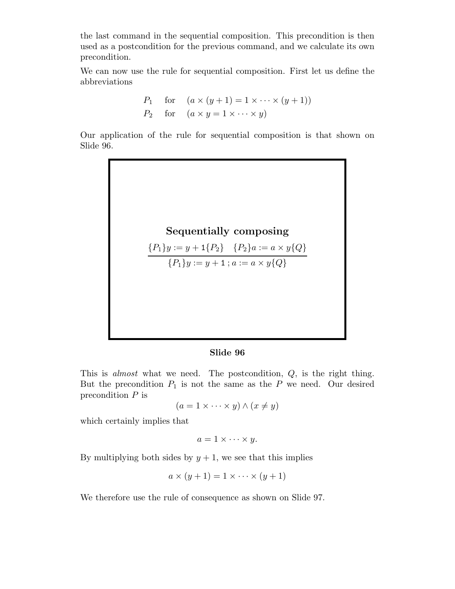the last command in the sequential composition. This precondition is then used as a postcondition for the previous command, and we calculate its own precondition.

We can now use the rule for sequential composition. First let us define the abbreviations

$$
P_1 \quad \text{for} \quad (a \times (y+1) = 1 \times \dots \times (y+1))
$$
  

$$
P_2 \quad \text{for} \quad (a \times y = 1 \times \dots \times y)
$$

Our application of the rule for sequential composition is that shown on Slide 96.



$$
{P_1}y := y + 1{P_2} \quad {P_2}a := a \times y{Q}
$$

 ${P_1}y := y + 1$ ;  $a := a \times y{Q}$ 

#### Slide 96

This is *almost* what we need. The postcondition, Q, is the right thing. But the precondition  $P_1$  is not the same as the P we need. Our desired precondition  $P$  is

$$
(a = 1 \times \cdots \times y) \wedge (x \neq y)
$$

which certainly implies that

$$
a=1\times\cdots\times y.
$$

By multiplying both sides by  $y + 1$ , we see that this implies

$$
a \times (y+1) = 1 \times \cdots \times (y+1)
$$

We therefore use the rule of consequence as shown on Slide 97.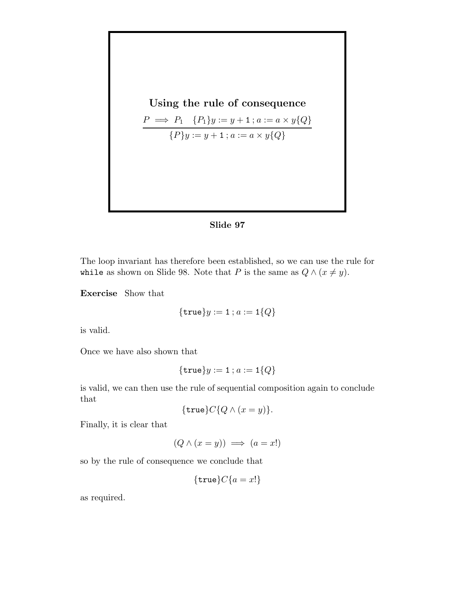Using the rule of consequence  $P \implies P_1 \{P_1\} y := y + 1 \; ; a := a \times y\{Q\}$  ${P}y := y + 1$ ;  $a := a \times y{Q}$ 



The loop invariant has therefore been established, so we can use the rule for while as shown on Slide 98. Note that P is the same as  $Q \wedge (x \neq y)$ .

Exercise Show that

$$
{\tt true} \} y := 1 \, ; a := 1\{Q\}
$$

is valid.

Once we have also shown that

$$
{\tt true} \} y := 1 \, ; a := 1 \{Q\}
$$

is valid, we can then use the rule of sequential composition again to conclude that

$$
{\tt true}C{Q \wedge (x = y)}.
$$

Finally, it is clear that

$$
(Q \land (x = y)) \implies (a = x!)
$$

so by the rule of consequence we conclude that

$$
{\tt true}C{a = x!}
$$

as required.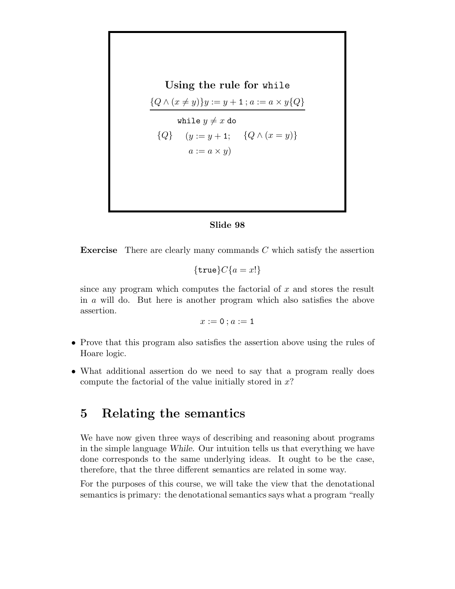Using the rule for while  $\{Q \wedge (x \neq y)\}y := y + 1$ ;  $a := a \times y\{Q\}$  $\{Q\}$ while  $y \neq x$  do  $(y := y + 1; \quad \{Q \wedge (x = y)\}\)$  $a := a \times y$ 

#### Slide 98

**Exercise** There are clearly many commands  $C$  which satisfy the assertion

$$
{\tt true}C{a = x!}
$$

since any program which computes the factorial of  $x$  and stores the result in a will do. But here is another program which also satisfies the above assertion.

$$
x:=\mathtt{0}\,; a:=\mathtt{1}
$$

- Prove that this program also satisfies the assertion above using the rules of Hoare logic.
- What additional assertion do we need to say that a program really does compute the factorial of the value initially stored in  $x$ ?

## 5 Relating the semantics

We have now given three ways of describing and reasoning about programs in the simple language While. Our intuition tells us that everything we have done corresponds to the same underlying ideas. It ought to be the case, therefore, that the three different semantics are related in some way.

For the purposes of this course, we will take the view that the denotational semantics is primary: the denotational semantics says what a program "really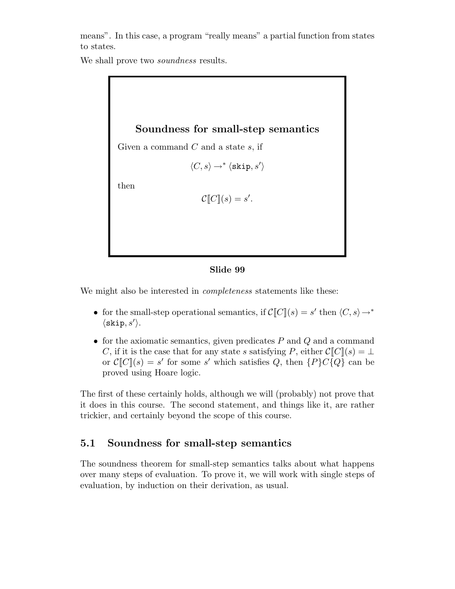means". In this case, a program "really means" a partial function from states to states.

We shall prove two *soundness* results.

## Soundness for small-step semantics

Given a command  $C$  and a state  $s$ , if

$$
\langle C, s \rangle \rightarrow^* \langle \texttt{skip}, s' \rangle
$$

then

$$
\mathcal{C}[[C]](s) = s'.
$$

#### Slide 99

We might also be interested in *completeness* statements like these:

- for the small-step operational semantics, if  $\mathcal{C}[[C]](s) = s'$  then  $\langle C, s \rangle \rightarrow^*$  $\langle$ skip, s' $\rangle$ .
- for the axiomatic semantics, given predicates  $P$  and  $Q$  and a command C, if it is the case that for any state s satisfying P, either  $\mathcal{C}[[C]](s) = \perp$ or  $\mathcal{C}[[C]](s) = s'$  for some s' which satisfies Q, then  $\{P\}C\{Q\}$  can be proved using Hoare logic.

The first of these certainly holds, although we will (probably) not prove that it does in this course. The second statement, and things like it, are rather trickier, and certainly beyond the scope of this course.

### 5.1 Soundness for small-step semantics

The soundness theorem for small-step semantics talks about what happens over many steps of evaluation. To prove it, we will work with single steps of evaluation, by induction on their derivation, as usual.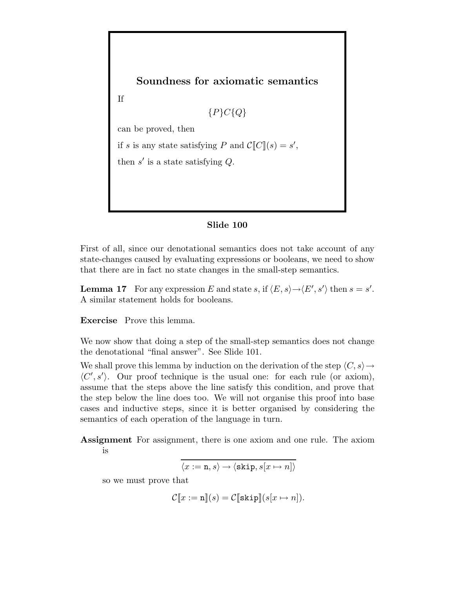

#### Slide 100

First of all, since our denotational semantics does not take account of any state-changes caused by evaluating expressions or booleans, we need to show that there are in fact no state changes in the small-step semantics.

**Lemma 17** For any expression E and state s, if  $\langle E, s \rangle \rightarrow \langle E', s' \rangle$  then  $s = s'$ . A similar statement holds for booleans.

Exercise Prove this lemma.

We now show that doing a step of the small-step semantics does not change the denotational "final answer". See Slide 101.

We shall prove this lemma by induction on the derivation of the step  $\langle C, s \rangle \rightarrow$  $\langle C', s' \rangle$ . Our proof technique is the usual one: for each rule (or axiom), assume that the steps above the line satisfy this condition, and prove that the step below the line does too. We will not organise this proof into base cases and inductive steps, since it is better organised by considering the semantics of each operation of the language in turn.

Assignment For assignment, there is one axiom and one rule. The axiom is

$$
\langle x:=\mathtt{n},s\rangle\rightarrow\langle\mathtt{skip},s[x\mapsto n]\rangle
$$

so we must prove that

$$
\mathcal{C}[\![x := n]\!](s) = \mathcal{C}[\![\text{skip}]\!](s[x \mapsto n]).
$$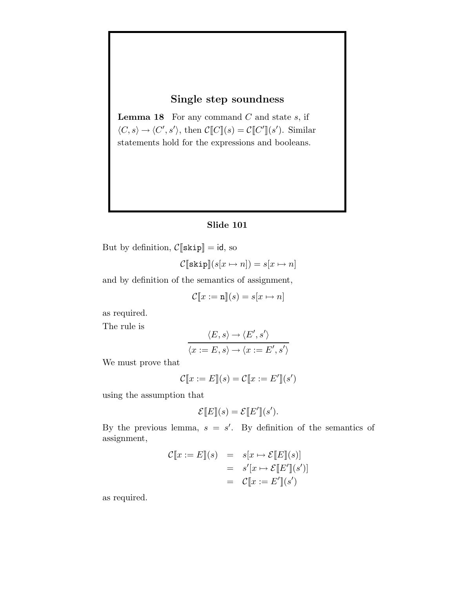### Single step soundness

**Lemma 18** For any command  $C$  and state  $s$ , if  $\langle C, s \rangle \rightarrow \langle C', s' \rangle$ , then  $\mathcal{C}[[C]](s) = \mathcal{C}[[C']](s')$ . Similar statements hold for the expressions and booleans.

#### Slide 101

But by definition,  $C[\![skip]$  skip $]\!] = id$ , so

$$
\mathcal{C}[\texttt{skip}](s[x \mapsto n]) = s[x \mapsto n]
$$

and by definition of the semantics of assignment,

$$
\mathcal{C}[\![x := \mathbf{n}]\!](s) = s[x \mapsto n]
$$

as required.

The rule is

$$
\langle E, s \rangle \rightarrow \langle E', s' \rangle
$$
  

$$
\langle x := E, s \rangle \rightarrow \langle x := E', s' \rangle
$$

We must prove that

$$
\mathcal{C}[\![x := E]\!](s) = \mathcal{C}[\![x := E']\!](s')
$$

using the assumption that

$$
\mathcal{E}[\![E]\!](s) = \mathcal{E}[\![E']\!](s').
$$

By the previous lemma,  $s = s'$ . By definition of the semantics of assignment,

$$
\mathcal{C}[\![x := E]\!](s) = s[x \mapsto \mathcal{E}[\![E]\!](s)]
$$
  

$$
= s'[x \mapsto \mathcal{E}[\![E']\!](s')]
$$
  

$$
= \mathcal{C}[\![x := E']\!](s')
$$

as required.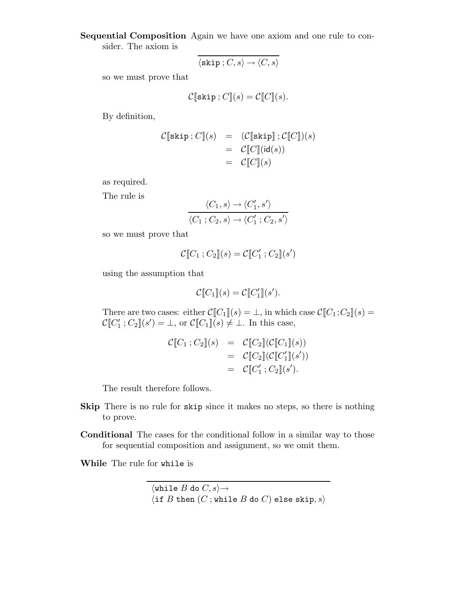Sequential Composition Again we have one axiom and one rule to consider. The axiom is

$$
\overline{\langle \mathtt{skip} \, ; C, s \rangle \rightarrow \langle C, s \rangle}
$$

so we must prove that

$$
\mathcal{C}[\![\texttt{skip};C]\!](s) = \mathcal{C}[\![C]\!](s).
$$

By definition,

$$
\mathcal{C}[\texttt{skip}; C](s) = (\mathcal{C}[\texttt{skip}]; \mathcal{C}[C])(s) \n= \mathcal{C}[C](\texttt{id}(s)) \n= \mathcal{C}[C](s)
$$

as required.

The rule is

$$
\frac{\langle C_1, s \rangle \to \langle C_1', s' \rangle}{\langle C_1; C_2, s \rangle \to \langle C_1'; C_2, s' \rangle}
$$

so we must prove that

$$
\mathcal{C}[\![C_1\,;C_2]\!](s) = \mathcal{C}[\![C_1'\,;C_2]\!](s')
$$

using the assumption that

$$
\mathcal{C}[\![C_1]\!](s) = \mathcal{C}[\![C'_1]\!](s').
$$

There are two cases: either  $\mathcal{C}[[C_1](s) = \bot$ , in which case  $\mathcal{C}[[C_1; C_2](s) = \bot$  $\mathcal{C}[[C_1':C_2]](s') = \bot$ , or  $\mathcal{C}[[C_1]](s) \neq \bot$ . In this case,

$$
\mathcal{C}[\![C_1\,;C_2]\!](s) = \mathcal{C}[\![C_2]\!](\mathcal{C}[\![C_1]\!](s)) \n= \mathcal{C}[\![C_2]\!](\mathcal{C}[\![C'_1]\!](s')) \n= \mathcal{C}[\![C'_1\,;C_2]\!](s').
$$

The result therefore follows.

- Skip There is no rule for skip since it makes no steps, so there is nothing to prove.
- Conditional The cases for the conditional follow in a similar way to those for sequential composition and assignment, so we omit them.

While The rule for while is

 $\langle \text{while } B \text{ do } C, s \rangle \rightarrow$  $\langle$  if  $B$  then  $(C$ ; while  $B$  do  $C$ ) else skip,  $s\rangle$ .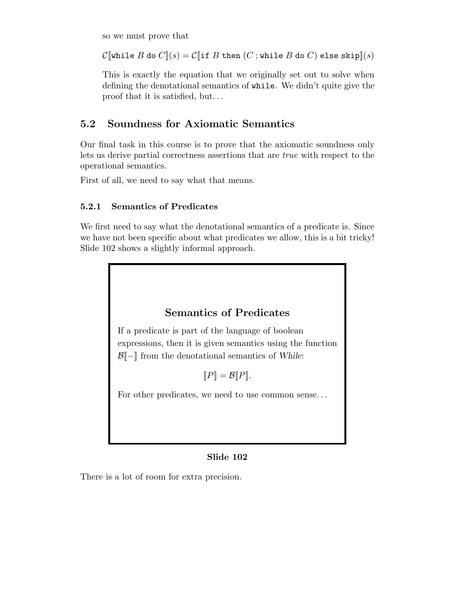so we must prove that

 $\mathcal{C}[\![\text{while }B\text{ do }C]\!](s) = \mathcal{C}[\![\text{if }B\text{ then }(C\,;\text{while }B\text{ do }C)\text{ else }\text{skip}]\!](s)$ 

This is exactly the equation that we originally set out to solve when defining the denotational semantics of while. We didn't quite give the proof that it is satisfied, but. . .

## 5.2 Soundness for Axiomatic Semantics

Our final task in this course is to prove that the axiomatic soundness only lets us derive partial correctness assertions that are true with respect to the operational semantics.

First of all, we need to say what that means.

### 5.2.1 Semantics of Predicates

We first need to say what the denotational semantics of a predicate is. Since we have not been specific about what predicates we allow, this is a bit tricky! Slide 102 shows a slightly informal approach.

## Semantics of Predicates

If a predicate is part of the language of boolean expressions, then it is given semantics using the function  $\mathcal{B}$ [-] from the denotational semantics of While:

 $\llbracket P \rrbracket = \mathcal{B} \llbracket P \rrbracket$ .

For other predicates, we need to use common sense. . .

### Slide 102

There is a lot of room for extra precision.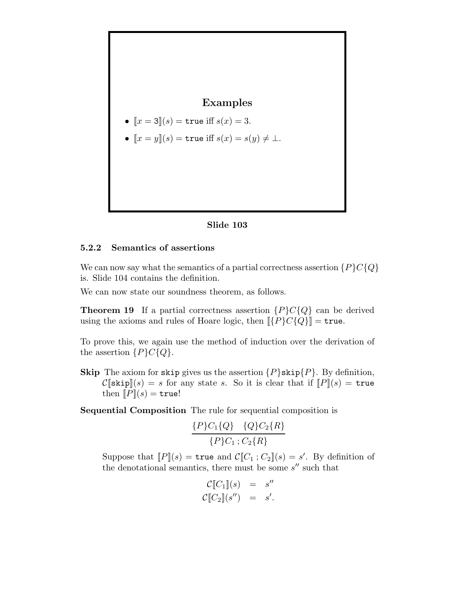

- $[x = 3](s) =$  true iff  $s(x) = 3$ .
- $[x = y](s) =$  true iff  $s(x) = s(y) \neq \bot$ .



#### 5.2.2 Semantics of assertions

We can now say what the semantics of a partial correctness assertion  ${P}C{Q}$ is. Slide 104 contains the definition.

We can now state our soundness theorem, as follows.

**Theorem 19** If a partial correctness assertion  $\{P\}C\{Q\}$  can be derived using the axioms and rules of Hoare logic, then  $\llbracket \{P\} C \{Q\} \rrbracket = \texttt{true}.$ 

To prove this, we again use the method of induction over the derivation of the assertion  $\{P\}C\{Q\}.$ 

**Skip** The axiom for skip gives us the assertion  $\{P\}$ skip $\{P\}$ . By definition,  $\mathcal{C}[\text{skip}](s) = s$  for any state s. So it is clear that if  $[ P](s) = \text{true}$ then  $[ P ] (s) = \text{true}!$ 

Sequential Composition The rule for sequential composition is

$$
\frac{\{P\}C_1\{Q\} \quad \{Q\}C_2\{R\}}{\{P\}C_1; C_2\{R\}}
$$

Suppose that  $[P](s) = \text{true}$  and  $C[C_1; C_2](s) = s'$ . By definition of the denotational semantics, there must be some  $s''$  such that

$$
\mathcal{C}[\![C_1]\!](s) = s''
$$
  

$$
\mathcal{C}[\![C_2]\!](s'') = s'.
$$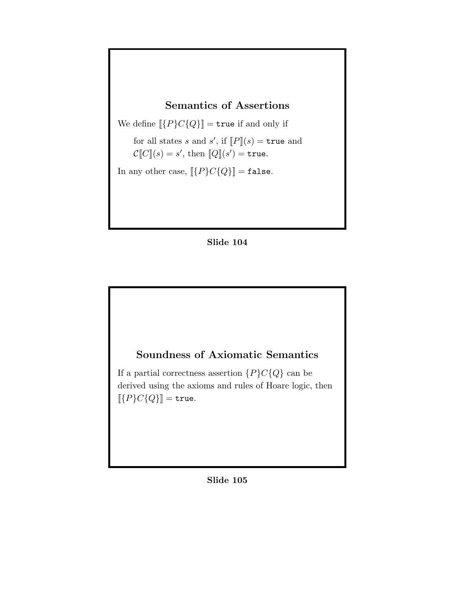## Semantics of Assertions

We define  $[\![\{P\}C\{Q\}]\!] = \mathtt{true}$  if and only if

for all states s and s', if  $[P](s) = \text{true}$  and  $\mathcal{C}[[C]](s) = s'$ , then  $[[Q]](s') = \mathtt{true}.$ 

In any other case,  $\lbrack\!\lbrack \{P\} C \{Q\}\rbrack\!\rbrack = \mathtt{false}.$ 



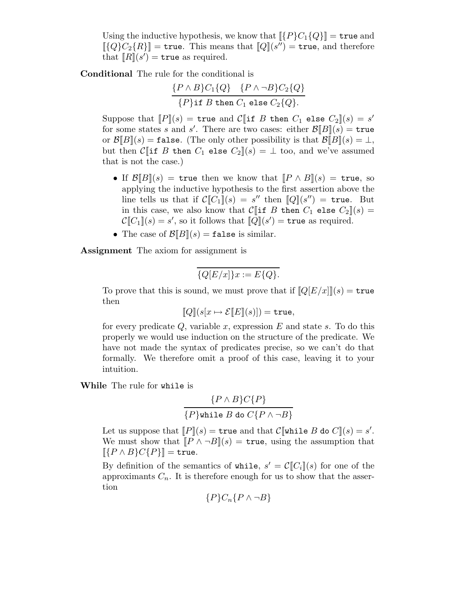Using the inductive hypothesis, we know that  $\llbracket \{P\} C_1 \{Q\} \rrbracket = \texttt{true}$  and  $[[{Q}C_2{R}]$  = true. This means that  $[Q](s'')$  = true, and therefore that  $\overline{[R]}(s')$  = true as required.

Conditional The rule for the conditional is

$$
\frac{\{P \wedge B\}C_1\{Q\} \quad \{P \wedge \neg B\}C_2\{Q\}}{\{P\} \text{if } B \text{ then } C_1 \text{ else } C_2\{Q\}}.
$$

Suppose that  $[P](s) =$  true and  $C$  if B then  $C_1$  else  $C_2$   $(s) = s'$ for some states s and s'. There are two cases: either  $\mathcal{B}[B](s) =$  true or  $\mathcal{B}[[B]](s) = \texttt{false}$ . (The only other possibility is that  $\mathcal{B}[[B]](s) = \perp$ , but then C[if B then  $C_1$  else  $C_2$ ](s) =  $\perp$  too, and we've assumed that is not the case.)

- If  $\mathcal{B}\llbracket B\rrbracket(s) = \text{true}$  then we know that  $\llbracket P \wedge B\rrbracket(s) = \text{true}$ , so applying the inductive hypothesis to the first assertion above the line tells us that if  $\mathcal{C}[[C_1]](s) = s''$  then  $[Q](s'') = \text{true}$ . But in this case, we also know that  $C[\![\text{if }B\!]$  then  $C_1$  else  $C_2\|(s)=$  $\mathcal{C}[\![C_1]\!](s) = s',$  so it follows that  $[\![\dot{Q}]\!](s') = \mathtt{true}$  as required.
- The case of  $\mathcal{B}[[B]](s) = \texttt{false}$  is similar.

Assignment The axiom for assignment is

$$
\overline{\{Q[E/x]\}x} := E\overline{\{Q\}}.
$$

To prove that this is sound, we must prove that if  $\llbracket Q[E/x] \rrbracket(s) = \texttt{true}$ then

$$
[\![Q]\!](s[x \mapsto \mathcal{E}[\![E]\!](s)]) = \mathtt{true},
$$

for every predicate  $Q$ , variable x, expression  $E$  and state s. To do this properly we would use induction on the structure of the predicate. We have not made the syntax of predicates precise, so we can't do that formally. We therefore omit a proof of this case, leaving it to your intuition.

While The rule for while is

$$
\frac{\{P \land B\}C\{P\}}{\{P\} \text{while } B \text{ do } C\{P \land \neg B\}}
$$

Let us suppose that  $[ P ] (s) = \texttt{true}$  and that  $C [ \texttt{while } B \texttt{ do } C ] (s) = s'.$ We must show that  $[ P \wedge \neg B ] (s) = \text{true}$ , using the assumption that  $\llbracket \{P \wedge B\} C \{P\} \rrbracket = \mathtt{true}.$ 

By definition of the semantics of while,  $s' = \mathcal{C}[[C_i]](s)$  for one of the approximants  $C_n$ . It is therefore enough for us to show that the assertion

$$
\{P\}C_n\{P\wedge\neg B\}
$$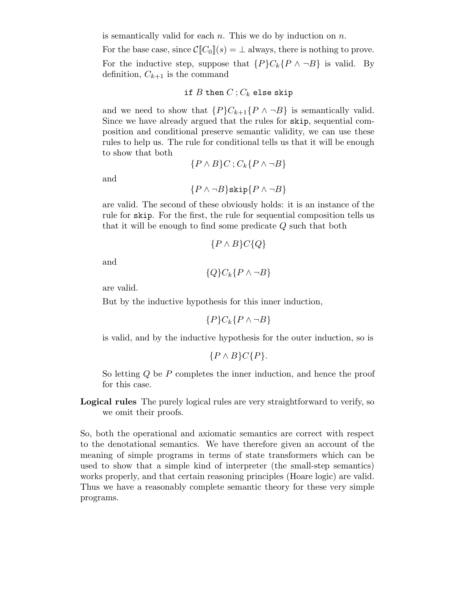is semantically valid for each  $n$ . This we do by induction on  $n$ .

For the base case, since  $\mathcal{C}[[C_0]](s) = \perp$  always, there is nothing to prove. For the inductive step, suppose that  $\{P\}C_k\{P \wedge \neg B\}$  is valid. By definition,  $C_{k+1}$  is the command

#### if  $B$  then  $C$ ;  $C_k$  else skip

and we need to show that  $\{P\}C_{k+1}\{P \wedge \neg B\}$  is semantically valid. Since we have already argued that the rules for skip, sequential composition and conditional preserve semantic validity, we can use these rules to help us. The rule for conditional tells us that it will be enough to show that both

$$
\{P \wedge B\}C \, ; C_k\{P \wedge \neg B\}
$$

and

$$
\{P \land \neg B\} \text{skip} \{P \land \neg B\}
$$

are valid. The second of these obviously holds: it is an instance of the rule for skip. For the first, the rule for sequential composition tells us that it will be enough to find some predicate Q such that both

$$
\{P \wedge B\} C \{Q\}
$$

$$
\quad\text{and}\quad
$$

 ${Q}C_k{P \wedge \neg B}$ 

are valid.

But by the inductive hypothesis for this inner induction,

$$
\{P\}C_k\{P \wedge \neg B\}
$$

is valid, and by the inductive hypothesis for the outer induction, so is

$$
\{P \wedge B\} C \{P\}.
$$

So letting Q be P completes the inner induction, and hence the proof for this case.

Logical rules The purely logical rules are very straightforward to verify, so we omit their proofs.

So, both the operational and axiomatic semantics are correct with respect to the denotational semantics. We have therefore given an account of the meaning of simple programs in terms of state transformers which can be used to show that a simple kind of interpreter (the small-step semantics) works properly, and that certain reasoning principles (Hoare logic) are valid. Thus we have a reasonably complete semantic theory for these very simple programs.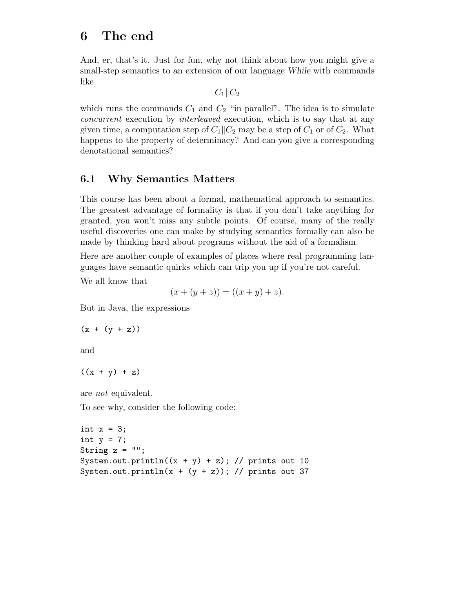# 6 The end

And, er, that's it. Just for fun, why not think about how you might give a small-step semantics to an extension of our language While with commands like

 $C_1||C_2$ 

which runs the commands  $C_1$  and  $C_2$  "in parallel". The idea is to simulate concurrent execution by interleaved execution, which is to say that at any given time, a computation step of  $C_1||C_2|$  may be a step of  $C_1$  or of  $C_2$ . What happens to the property of determinacy? And can you give a corresponding denotational semantics?

## 6.1 Why Semantics Matters

This course has been about a formal, mathematical approach to semantics. The greatest advantage of formality is that if you don't take anything for granted, you won't miss any subtle points. Of course, many of the really useful discoveries one can make by studying semantics formally can also be made by thinking hard about programs without the aid of a formalism.

Here are another couple of examples of places where real programming languages have semantic quirks which can trip you up if you're not careful.

We all know that

 $(x + (y + z)) = ((x + y) + z).$ 

But in Java, the expressions

```
(x + (y + z))
```
and

 $((x + y) + z)$ 

are not equivalent.

To see why, consider the following code:

```
int x = 3;
int y = 7;
String z = "";System.out.println((x + y) + z); // prints out 10
System.out.println(x + (y + z)); // prints out 37
```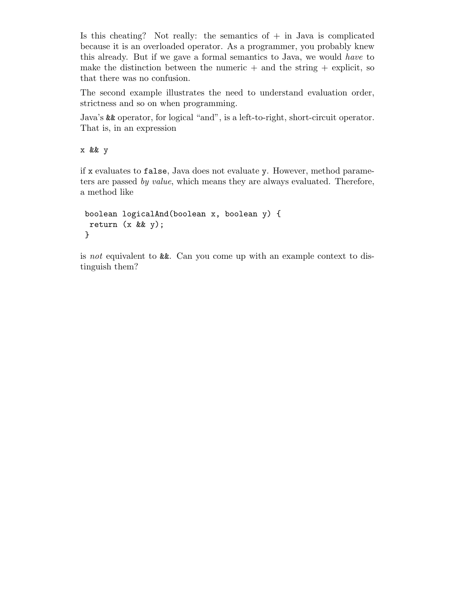Is this cheating? Not really: the semantics of  $+$  in Java is complicated because it is an overloaded operator. As a programmer, you probably knew this already. But if we gave a formal semantics to Java, we would have to make the distinction between the numeric  $+$  and the string  $+$  explicit, so that there was no confusion.

The second example illustrates the need to understand evaluation order, strictness and so on when programming.

Java's && operator, for logical "and", is a left-to-right, short-circuit operator. That is, in an expression

x && y

if x evaluates to false, Java does not evaluate y. However, method parameters are passed by value, which means they are always evaluated. Therefore, a method like

```
boolean logicalAnd(boolean x, boolean y) {
 return (x && y);
}
```
is not equivalent to &&. Can you come up with an example context to distinguish them?